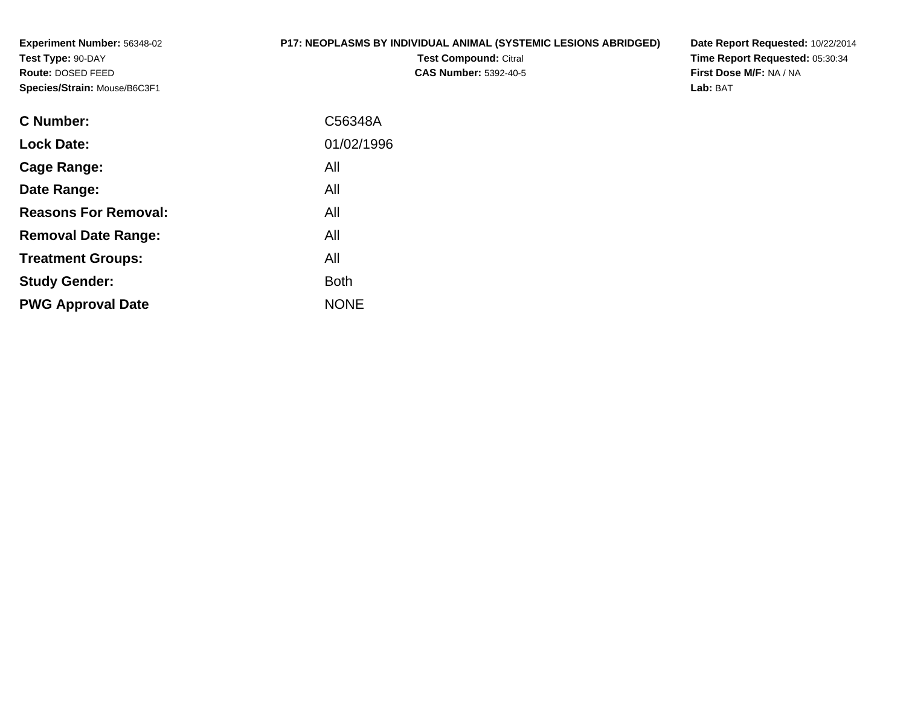**Experiment Number:** 56348-02**Test Type:** 90-DAY **Route:** DOSED FEED**Species/Strain:** Mouse/B6C3F1

# **P17: NEOPLASMS BY INDIVIDUAL ANIMAL (SYSTEMIC LESIONS ABRIDGED)**

**Test Compound:** Citral **CAS Number:** 5392-40-5 **Date Report Requested:** 10/22/2014**Time Report Requested:** 05:30:34**First Dose M/F:** NA / NA**Lab:** BAT

| <b>C</b> Number:            | C56348A     |
|-----------------------------|-------------|
| <b>Lock Date:</b>           | 01/02/1996  |
| Cage Range:                 | All         |
| Date Range:                 | All         |
| <b>Reasons For Removal:</b> | All         |
| <b>Removal Date Range:</b>  | All         |
| <b>Treatment Groups:</b>    | All         |
| <b>Study Gender:</b>        | <b>Both</b> |
| <b>PWG Approval Date</b>    | <b>NONE</b> |
|                             |             |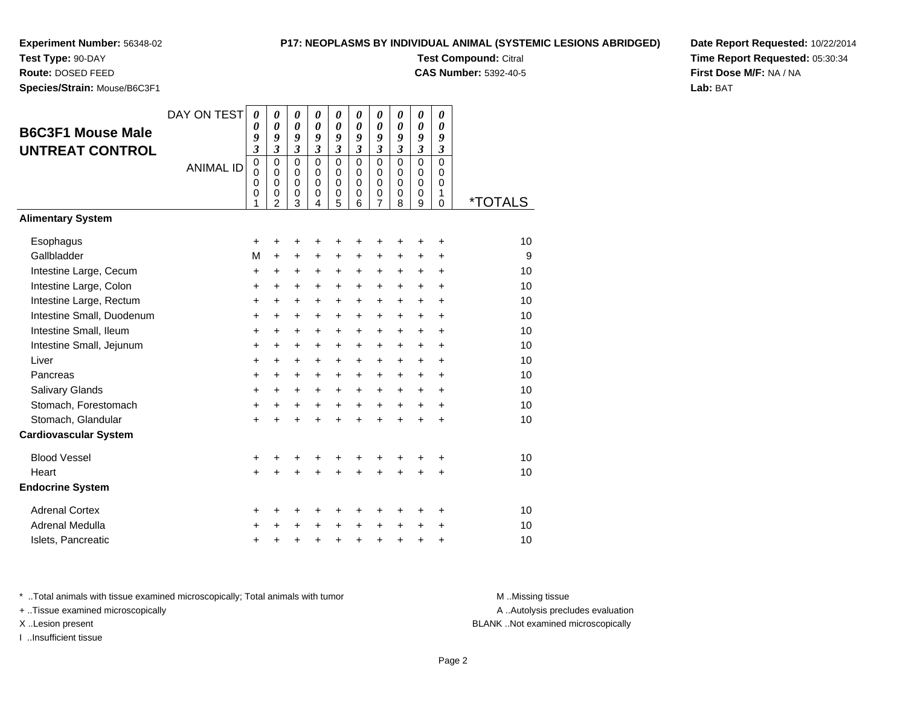**Test Type:** 90-DAY**Route:** DOSED FEED

**Species/Strain:** Mouse/B6C3F1

### **P17: NEOPLASMS BY INDIVIDUAL ANIMAL (SYSTEMIC LESIONS ABRIDGED)**

**Test Compound:** Citral

**CAS Number:** 5392-40-5

**Date Report Requested:** 10/22/2014**Time Report Requested:** 05:30:34**First Dose M/F:** NA / NA**Lab:** BAT

| <b>B6C3F1 Mouse Male</b><br><b>UNTREAT CONTROL</b> | DAY ON TEST<br><b>ANIMAL ID</b> | 0<br>0<br>9<br>$\overline{\mathbf{3}}$<br>$\mathbf 0$<br>$\mathbf 0$<br>$\mathbf 0$<br>0 | 0<br>$\boldsymbol{\theta}$<br>9<br>$\overline{\mathbf{3}}$<br>$\mathbf 0$<br>0<br>$\mathbf 0$<br>0 | 0<br>0<br>9<br>$\boldsymbol{\beta}$<br>$\overline{0}$<br>$\mathbf 0$<br>$\mathbf 0$<br>0 | 0<br>0<br>9<br>$\mathfrak{z}$<br>$\mathbf 0$<br>0<br>$\mathbf 0$<br>0 | 0<br>$\boldsymbol{\theta}$<br>9<br>$\boldsymbol{\beta}$<br>$\mathbf 0$<br>0<br>$\mathbf 0$<br>0 | 0<br>0<br>$\boldsymbol{g}$<br>3<br>$\mathbf 0$<br>$\Omega$<br>$\Omega$<br>0 | 0<br>0<br>9<br>$\mathfrak{z}$<br>$\overline{0}$<br>0<br>$\mathbf 0$<br>0 | 0<br>0<br>9<br>3<br>$\overline{0}$<br>$\Omega$<br>$\Omega$<br>0 | 0<br>$\boldsymbol{\theta}$<br>9<br>3<br>$\overline{0}$<br>0<br>$\mathbf 0$<br>0 | 0<br>0<br>9<br>$\boldsymbol{\beta}$<br>$\overline{0}$<br>0<br>$\Omega$<br>1 |                       |
|----------------------------------------------------|---------------------------------|------------------------------------------------------------------------------------------|----------------------------------------------------------------------------------------------------|------------------------------------------------------------------------------------------|-----------------------------------------------------------------------|-------------------------------------------------------------------------------------------------|-----------------------------------------------------------------------------|--------------------------------------------------------------------------|-----------------------------------------------------------------|---------------------------------------------------------------------------------|-----------------------------------------------------------------------------|-----------------------|
|                                                    |                                 | 1                                                                                        | $\overline{2}$                                                                                     | 3                                                                                        | 4                                                                     | 5                                                                                               | 6                                                                           | $\overline{7}$                                                           | 8                                                               | 9                                                                               | $\mathbf 0$                                                                 | <i><b>*TOTALS</b></i> |
| <b>Alimentary System</b>                           |                                 |                                                                                          |                                                                                                    |                                                                                          |                                                                       |                                                                                                 |                                                                             |                                                                          |                                                                 |                                                                                 |                                                                             |                       |
| Esophagus                                          |                                 | +                                                                                        | +                                                                                                  | +                                                                                        | +                                                                     | +                                                                                               | +                                                                           | +                                                                        | +                                                               | +                                                                               | +                                                                           | 10                    |
| Gallbladder                                        |                                 | M                                                                                        | $\ddot{}$                                                                                          | $\ddot{}$                                                                                | +                                                                     | +                                                                                               | +                                                                           | $\ddot{}$                                                                | +                                                               | +                                                                               | $\ddot{}$                                                                   | 9                     |
| Intestine Large, Cecum                             |                                 | $\ddot{}$                                                                                | $\ddot{}$                                                                                          | $\ddot{}$                                                                                | $\ddot{}$                                                             | $\ddot{}$                                                                                       | $\ddot{}$                                                                   | $+$                                                                      | $\ddot{}$                                                       | $\ddot{}$                                                                       | $\ddot{}$                                                                   | 10                    |
| Intestine Large, Colon                             |                                 | +                                                                                        | $\ddot{}$                                                                                          | $\ddot{}$                                                                                | +                                                                     | $\ddot{}$                                                                                       | $\ddot{}$                                                                   | $\ddot{}$                                                                | $\ddot{}$                                                       | $\ddot{}$                                                                       | $\ddot{}$                                                                   | 10                    |
| Intestine Large, Rectum                            |                                 | +                                                                                        | +                                                                                                  | $\ddot{}$                                                                                | $\ddot{}$                                                             | $\ddot{}$                                                                                       | $\ddot{}$                                                                   | $\pm$                                                                    | $\ddot{}$                                                       | $\ddot{}$                                                                       | $\ddot{}$                                                                   | 10                    |
| Intestine Small, Duodenum                          |                                 | +                                                                                        | $\ddot{}$                                                                                          | $\ddot{}$                                                                                | +                                                                     | $\ddot{}$                                                                                       | $\ddot{}$                                                                   | $\ddot{}$                                                                | $\ddot{}$                                                       | $\ddot{}$                                                                       | $\ddot{}$                                                                   | 10                    |
| Intestine Small, Ileum                             |                                 | +                                                                                        | $\ddot{}$                                                                                          | $\ddot{}$                                                                                | $\ddot{}$                                                             | $\ddot{}$                                                                                       | $\ddot{}$                                                                   | $+$                                                                      | $\ddot{}$                                                       | $\ddot{}$                                                                       | $\ddot{}$                                                                   | 10                    |
| Intestine Small, Jejunum                           |                                 | $\ddot{}$                                                                                | $\ddot{}$                                                                                          | $\ddot{}$                                                                                | $\ddot{}$                                                             | $\ddot{}$                                                                                       | $\ddot{}$                                                                   | $\ddot{}$                                                                | $+$                                                             | $\ddot{}$                                                                       | $\ddot{}$                                                                   | 10                    |
| Liver                                              |                                 | +                                                                                        | $\ddot{}$                                                                                          | $\ddot{}$                                                                                | $\ddot{}$                                                             | $\ddot{}$                                                                                       | $\ddot{}$                                                                   | $\ddot{}$                                                                | $\ddot{}$                                                       | $\ddot{}$                                                                       | $\ddot{}$                                                                   | 10                    |
| Pancreas                                           |                                 | $\pmb{+}$                                                                                | $\ddot{}$                                                                                          | $\ddot{}$                                                                                | +                                                                     | $\ddot{}$                                                                                       | $\ddot{}$                                                                   | $+$                                                                      | $+$                                                             | $\ddot{}$                                                                       | $\ddot{}$                                                                   | 10                    |
| Salivary Glands                                    |                                 | $\ddot{}$                                                                                | $\ddot{}$                                                                                          | $\ddot{}$                                                                                | $\ddot{}$                                                             | $\ddot{}$                                                                                       | $\ddot{}$                                                                   | $\ddot{}$                                                                | $\ddot{}$                                                       | $\ddot{}$                                                                       | $\ddot{}$                                                                   | 10                    |
| Stomach, Forestomach                               |                                 | $\ddot{}$                                                                                | $\ddot{}$                                                                                          | $\ddot{}$                                                                                | $\ddot{}$                                                             | $\ddot{}$                                                                                       | $\ddot{}$                                                                   | $+$                                                                      | $+$                                                             | $+$                                                                             | $\ddot{}$                                                                   | 10                    |
| Stomach, Glandular                                 |                                 | $\ddot{}$                                                                                |                                                                                                    | $\ddot{}$                                                                                | ÷                                                                     | $\ddot{}$                                                                                       | $\ddot{}$                                                                   | $\ddot{}$                                                                | $\ddot{}$                                                       | $\ddot{}$                                                                       | $\ddot{}$                                                                   | 10                    |
| <b>Cardiovascular System</b>                       |                                 |                                                                                          |                                                                                                    |                                                                                          |                                                                       |                                                                                                 |                                                                             |                                                                          |                                                                 |                                                                                 |                                                                             |                       |
| <b>Blood Vessel</b>                                |                                 | +                                                                                        | +                                                                                                  | +                                                                                        | +                                                                     | +                                                                                               | +                                                                           | +                                                                        | +                                                               | +                                                                               | +                                                                           | 10                    |
| Heart                                              |                                 | $\ddot{}$                                                                                |                                                                                                    | $\ddot{}$                                                                                | $\ddot{}$                                                             | $\ddot{}$                                                                                       | $\ddot{}$                                                                   | $\ddot{}$                                                                | $\ddot{}$                                                       | +                                                                               | $\ddot{}$                                                                   | 10                    |
| <b>Endocrine System</b>                            |                                 |                                                                                          |                                                                                                    |                                                                                          |                                                                       |                                                                                                 |                                                                             |                                                                          |                                                                 |                                                                                 |                                                                             |                       |
| <b>Adrenal Cortex</b>                              |                                 | +                                                                                        | +                                                                                                  | +                                                                                        | +                                                                     | +                                                                                               | +                                                                           | +                                                                        | ٠                                                               | +                                                                               | ÷                                                                           | 10                    |
| Adrenal Medulla                                    |                                 | +                                                                                        |                                                                                                    | $\ddot{}$                                                                                | $\ddot{}$                                                             | $\ddot{}$                                                                                       | $\ddot{}$                                                                   | $+$                                                                      | $\ddot{}$                                                       | $\ddot{}$                                                                       | $\ddot{}$                                                                   | 10                    |
| Islets, Pancreatic                                 |                                 | +                                                                                        | +                                                                                                  | +                                                                                        | +                                                                     | +                                                                                               | $\ddot{}$                                                                   | $\ddot{}$                                                                | +                                                               | +                                                                               | +                                                                           | 10                    |

\* ..Total animals with tissue examined microscopically; Total animals with tumor **M** . Missing tissue M ..Missing tissue

+ ..Tissue examined microscopically

I ..Insufficient tissue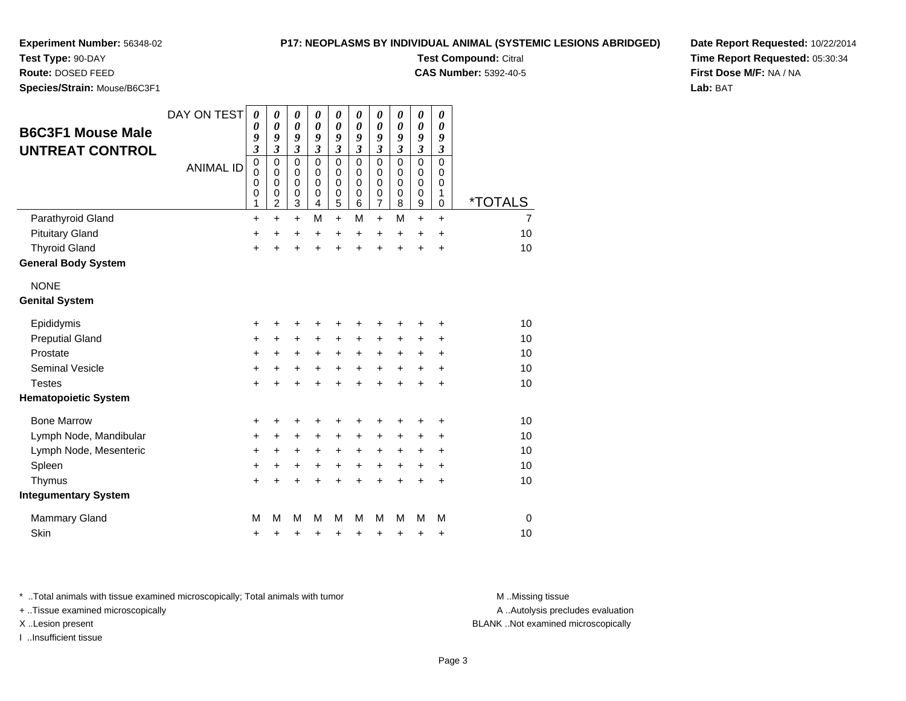# **P17: NEOPLASMS BY INDIVIDUAL ANIMAL (SYSTEMIC LESIONS ABRIDGED)**

**Experiment Number:** 56348-02

**Test Type:** 90-DAY

**Route:** DOSED FEED

**Species/Strain:** Mouse/B6C3F1

**B6C3F1 Mouse MaleUNTREAT CONTROL**

| IMDEL: 56348-02<br><b>DAY</b><br><b>FEED</b><br>: Mouse/B6C3F1 |                                 | <b>PT7: NEOPLASMS BY INDIVIDUAL ANIMAL (STSTEMIC LESION</b><br><b>Test Compound: Citral</b><br><b>CAS Number: 5392-40-5</b> |                                                  |                                                                |                                                         |                                                   |                                             |                                      |                                           |                                           |                                      |                       |
|----------------------------------------------------------------|---------------------------------|-----------------------------------------------------------------------------------------------------------------------------|--------------------------------------------------|----------------------------------------------------------------|---------------------------------------------------------|---------------------------------------------------|---------------------------------------------|--------------------------------------|-------------------------------------------|-------------------------------------------|--------------------------------------|-----------------------|
| <b>puse Male</b><br><b>CONTROL</b>                             | DAY ON TEST<br><b>ANIMAL ID</b> | 0<br>0<br>9<br>3<br>0<br>0<br>0<br>0<br>4                                                                                   | 0<br>0<br>9<br>3<br>0<br>$\Omega$<br>0<br>0<br>2 | 0<br>0<br>9<br>3<br>$\Omega$<br>$\Omega$<br>$\Omega$<br>0<br>3 | 0<br>0<br>9<br>3<br>$\Omega$<br>$\Omega$<br>0<br>0<br>4 | $\theta$<br>0<br>9<br>3<br><sup>0</sup><br>0<br>5 | 0<br>9<br>3<br>$\Omega$<br>0<br>0<br>0<br>6 | 0<br>0<br>9<br>3<br>0<br>0<br>0<br>0 | 0<br>0<br>9<br>3<br>0<br>0<br>0<br>0<br>8 | 0<br>0<br>9<br>3<br>0<br>0<br>0<br>0<br>9 | 0<br>0<br>9<br>3<br>0<br>0<br>0<br>0 | <i><b>*TOTALS</b></i> |
| <b>Gland</b><br>١d<br>d<br>Svstem                              |                                 | $\ddot{}$<br>$\ddot{}$<br>$\ddot{}$                                                                                         | $\ddot{}$<br>$\ddot{}$<br>+                      | $+$<br>÷<br>+                                                  | м<br>$\ddot{}$<br>$\div$                                | $+$<br>$\ddot{}$<br>$\div$                        | М<br>$\ddot{}$<br>$\div$                    | $+$<br>÷<br>$\div$                   | М<br>$\pm$<br>÷                           | $\ddot{}$<br>$\div$<br>$\div$             | $\ddot{}$<br>$\ddot{}$<br>$\ddot{}$  | 7<br>10<br>10         |

# NONE

Parathyroid Gland

**General Body System**

Pituitary Gland

Thyroid Gland

# **Genital System**

| Epididymis                  | ٠         | ٠         | ÷         | $\ddot{}$ | ÷         | ÷         | ÷         | ÷         | ٠         | ÷         | 10 |  |
|-----------------------------|-----------|-----------|-----------|-----------|-----------|-----------|-----------|-----------|-----------|-----------|----|--|
| <b>Preputial Gland</b>      | $\pm$     | $\ddot{}$ | $\ddot{}$ | $\pm$     | $\ddot{}$ | $\ddot{}$ | $\pm$     | $\ddot{}$ | +         | $\ddot{}$ | 10 |  |
| Prostate                    | $\ddot{}$ | ٠         | $\ddot{}$ | $\pm$     | $\ddot{}$ | $\pm$     | $\ddot{}$ | $\ddot{}$ | $\ddot{}$ | $\ddot{}$ | 10 |  |
| <b>Seminal Vesicle</b>      | $\ddot{}$ | +         | $\ddot{}$ | $\ddot{}$ | $\ddot{}$ | $\ddot{}$ | $\ddot{}$ | $\ddot{}$ | $\ddot{}$ | $\ddot{}$ | 10 |  |
| Testes                      | $+$       | $\div$    | $\div$    | $\ddot{}$ | $\ddot{}$ | $\ddot{}$ | $\ddot{}$ | $\ddot{}$ | +         | $\ddot{}$ | 10 |  |
| <b>Hematopoietic System</b> |           |           |           |           |           |           |           |           |           |           |    |  |
| <b>Bone Marrow</b>          | +         |           | ٠         | +         | ÷         | ÷         | ÷         | +         | ٠         | $\ddot{}$ | 10 |  |
| Lymph Node, Mandibular      | $\pm$     | +         | $\div$    | $\div$    | $\ddot{}$ | $\ddot{}$ | $\ddot{}$ | $\ddot{}$ | ÷         | ÷         | 10 |  |
| Lymph Node, Mesenteric      | $\pm$     | $\ddot{}$ | $\ddot{}$ | $+$       | $\pm$     | $\pm$     | $\ddot{}$ | $\ddot{}$ | $\ddot{}$ | $\ddot{}$ | 10 |  |
| Spleen                      | $\ddot{}$ | $\ddot{}$ | $\ddot{}$ | $+$       | $+$       | $+$       | $+$       | $\ddot{}$ | $\ddot{}$ | $\ddot{}$ | 10 |  |
| Thymus                      | +         | +         | $\ddot{}$ | $\ddot{}$ | $\ddot{}$ | $+$       | $\ddot{}$ | +         | +         | $\ddot{}$ | 10 |  |
| <b>Integumentary System</b> |           |           |           |           |           |           |           |           |           |           |    |  |
| <b>Mammary Gland</b>        | М         | м         | М         | м         | M         | М         | м         | М         | м         | м         | 0  |  |
| Skin                        | +         |           |           |           |           | ٠         | ٠         | +         | +         | $\ddot{}$ | 10 |  |
|                             |           |           |           |           |           |           |           |           |           |           |    |  |

\* ..Total animals with tissue examined microscopically; Total animals with tumor **M** . Missing tissue M ..Missing tissue

+ ..Tissue examined microscopically

I ..Insufficient tissue

A ..Autolysis precludes evaluation

X ..Lesion present BLANK ..Not examined microscopically

**Date Report Requested:** 10/22/2014**Time Report Requested:** 05:30:34**First Dose M/F:** NA / NA**Lab:** BAT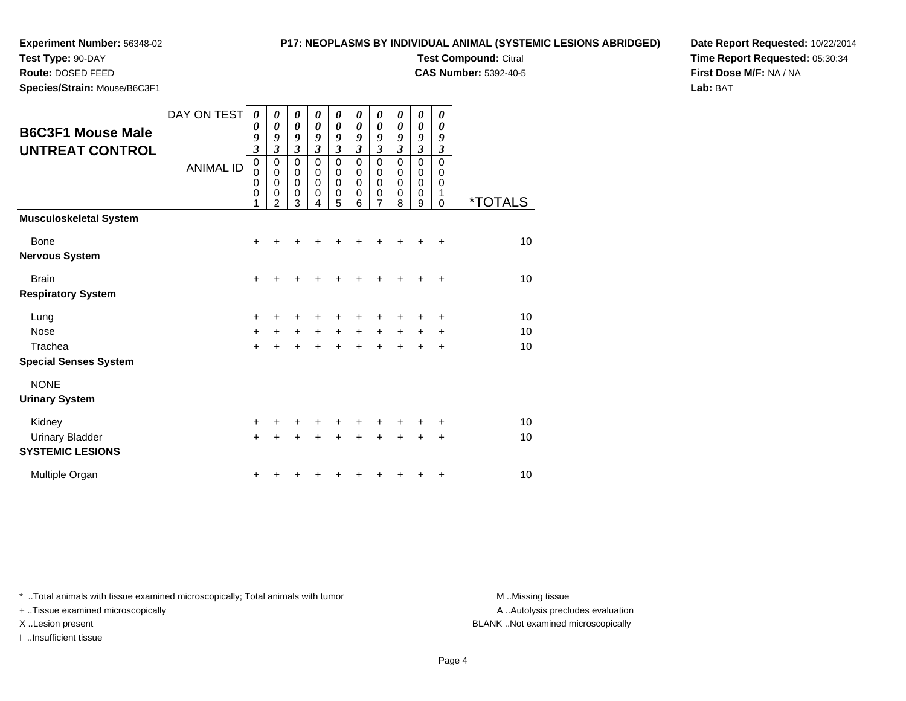**Test Type:** 90-DAY

**Route:** DOSED FEED

**Species/Strain:** Mouse/B6C3F1

## **P17: NEOPLASMS BY INDIVIDUAL ANIMAL (SYSTEMIC LESIONS ABRIDGED)**

**Test Compound:** Citral

**CAS Number:** 5392-40-5

**Date Report Requested:** 10/22/2014**Time Report Requested:** 05:30:34**First Dose M/F:** NA / NA**Lab:** BAT

| <b>B6C3F1 Mouse Male</b><br><b>UNTREAT CONTROL</b>             | DAY ON TEST<br><b>ANIMAL ID</b> | $\boldsymbol{\theta}$<br>0<br>9<br>$\overline{\mathbf{3}}$<br>$\mathbf 0$<br>$\mathbf 0$<br>$\mathbf 0$<br>0<br>1 | 0<br>$\boldsymbol{\theta}$<br>9<br>$\mathfrak{z}$<br>$\mathbf 0$<br>$\mathbf 0$<br>$\mathbf 0$<br>0<br>2 | 0<br>$\boldsymbol{\theta}$<br>9<br>$\mathfrak{z}$<br>$\mathbf 0$<br>$\mathbf 0$<br>$\mathbf 0$<br>$\mathbf 0$<br>3 | 0<br>0<br>9<br>$\overline{\mathbf{3}}$<br>$\Omega$<br>$\mathbf 0$<br>$\mathbf 0$<br>0<br>4 | 0<br>$\boldsymbol{\theta}$<br>9<br>$\mathfrak{z}$<br>$\mathbf 0$<br>$\mathbf 0$<br>$\mathbf 0$<br>0<br>5 | 0<br>0<br>9<br>$\mathfrak{z}$<br>$\Omega$<br>0<br>0<br>0<br>6 | 0<br>0<br>9<br>$\mathfrak{z}$<br>$\mathbf 0$<br>0<br>0<br>0<br>7 | 0<br>0<br>9<br>3<br>$\mathbf 0$<br>0<br>0<br>0<br>8 | 0<br>0<br>9<br>$\overline{\mathbf{3}}$<br>$\mathbf 0$<br>0<br>$\mathbf 0$<br>0<br>9 | 0<br>0<br>9<br>3<br>$\Omega$<br>0<br>0<br>1<br>0 | <i><b>*TOTALS</b></i> |
|----------------------------------------------------------------|---------------------------------|-------------------------------------------------------------------------------------------------------------------|----------------------------------------------------------------------------------------------------------|--------------------------------------------------------------------------------------------------------------------|--------------------------------------------------------------------------------------------|----------------------------------------------------------------------------------------------------------|---------------------------------------------------------------|------------------------------------------------------------------|-----------------------------------------------------|-------------------------------------------------------------------------------------|--------------------------------------------------|-----------------------|
| <b>Musculoskeletal System</b>                                  |                                 |                                                                                                                   |                                                                                                          |                                                                                                                    |                                                                                            |                                                                                                          |                                                               |                                                                  |                                                     |                                                                                     |                                                  |                       |
| <b>Bone</b><br><b>Nervous System</b>                           |                                 | $\ddot{}$                                                                                                         |                                                                                                          |                                                                                                                    |                                                                                            |                                                                                                          |                                                               |                                                                  |                                                     |                                                                                     | +                                                | 10                    |
| <b>Brain</b><br><b>Respiratory System</b>                      |                                 | +                                                                                                                 |                                                                                                          |                                                                                                                    |                                                                                            | +                                                                                                        | +                                                             | +                                                                |                                                     |                                                                                     | ÷                                                | 10                    |
| Lung<br><b>Nose</b><br>Trachea<br><b>Special Senses System</b> |                                 | $\ddot{}$<br>$\ddot{}$<br>$\ddot{}$                                                                               | $\ddot{}$<br>÷                                                                                           | $\ddot{}$<br>+                                                                                                     | $\ddot{}$<br>$\ddot{}$                                                                     | +<br>$+$<br>$\ddot{}$                                                                                    | +<br>$\ddot{}$<br>$\ddot{}$                                   | +<br>$\ddot{}$<br>$+$                                            | $+$<br>$\ddot{}$                                    | $\pm$<br>$\div$                                                                     | +<br>÷<br>$\ddot{}$                              | 10<br>10<br>10        |
| <b>NONE</b><br><b>Urinary System</b>                           |                                 |                                                                                                                   |                                                                                                          |                                                                                                                    |                                                                                            |                                                                                                          |                                                               |                                                                  |                                                     |                                                                                     |                                                  |                       |
| Kidney<br><b>Urinary Bladder</b><br><b>SYSTEMIC LESIONS</b>    |                                 | $\ddot{}$<br>$\ddot{}$                                                                                            |                                                                                                          |                                                                                                                    |                                                                                            | +                                                                                                        | ÷                                                             | +                                                                |                                                     |                                                                                     | ٠<br>÷                                           | 10<br>10              |
| Multiple Organ                                                 |                                 |                                                                                                                   |                                                                                                          |                                                                                                                    |                                                                                            |                                                                                                          |                                                               |                                                                  |                                                     |                                                                                     | +                                                | 10                    |

\* ..Total animals with tissue examined microscopically; Total animals with tumor **M** . Missing tissue M ..Missing tissue

+ ..Tissue examined microscopically

I ..Insufficient tissue

A ..Autolysis precludes evaluation

X ..Lesion present BLANK ..Not examined microscopically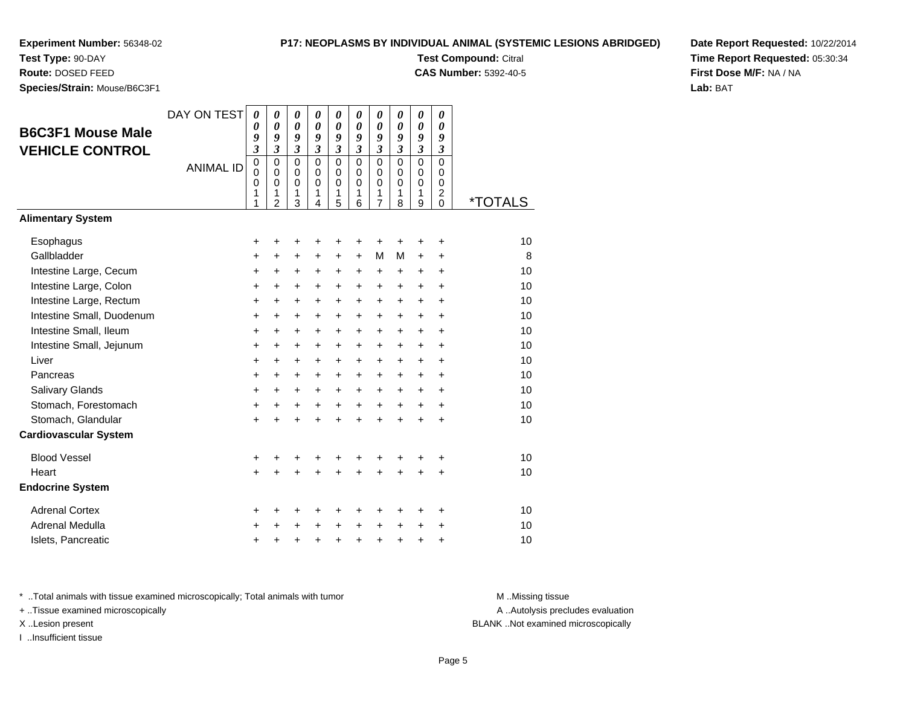**Test Type:** 90-DAY**Route:** DOSED FEED

**Species/Strain:** Mouse/B6C3F1

# **P17: NEOPLASMS BY INDIVIDUAL ANIMAL (SYSTEMIC LESIONS ABRIDGED)**

**Test Compound:** Citral

**CAS Number:** 5392-40-5

**Date Report Requested:** 10/22/2014**Time Report Requested:** 05:30:34**First Dose M/F:** NA / NA**Lab:** BAT

| <b>B6C3F1 Mouse Male</b><br><b>VEHICLE CONTROL</b> | DAY ON TEST<br><b>ANIMAL ID</b> | $\boldsymbol{\theta}$<br>0<br>9<br>3<br>$\overline{0}$<br>$\mathbf 0$<br>0<br>1<br>1 | 0<br>$\boldsymbol{\theta}$<br>9<br>$\mathfrak{z}$<br>$\Omega$<br>$\mathbf 0$<br>$\mathbf 0$<br>1<br>$\overline{2}$ | 0<br>$\boldsymbol{\theta}$<br>9<br>$\mathfrak{z}$<br>$\mathbf 0$<br>$\mathbf 0$<br>$\mathbf 0$<br>1<br>3 | 0<br>0<br>9<br>$\mathfrak{z}$<br>$\Omega$<br>$\mathbf 0$<br>$\Omega$<br>1<br>4 | 0<br>0<br>9<br>$\mathfrak{z}$<br>$\mathbf 0$<br>$\mathbf 0$<br>$\mathbf 0$<br>1<br>5 | 0<br>$\boldsymbol{\theta}$<br>9<br>$\mathfrak{z}$<br>$\Omega$<br>$\mathbf 0$<br>$\Omega$<br>1<br>6 | 0<br>$\boldsymbol{\theta}$<br>9<br>$\mathfrak{z}$<br>$\mathbf 0$<br>$\mathbf 0$<br>$\mathbf 0$<br>1<br>$\overline{7}$ | 0<br>$\boldsymbol{\theta}$<br>9<br>$\mathfrak{z}$<br>$\Omega$<br>$\mathbf 0$<br>$\mathbf 0$<br>1<br>8 | 0<br>$\boldsymbol{\theta}$<br>9<br>$\mathfrak{z}$<br>$\mathbf 0$<br>$\mathbf 0$<br>0<br>1<br>9 | 0<br>0<br>9<br>$\mathfrak{z}$<br>$\mathbf 0$<br>$\mathbf 0$<br>0<br>2<br>$\Omega$ | <i><b>*TOTALS</b></i> |
|----------------------------------------------------|---------------------------------|--------------------------------------------------------------------------------------|--------------------------------------------------------------------------------------------------------------------|----------------------------------------------------------------------------------------------------------|--------------------------------------------------------------------------------|--------------------------------------------------------------------------------------|----------------------------------------------------------------------------------------------------|-----------------------------------------------------------------------------------------------------------------------|-------------------------------------------------------------------------------------------------------|------------------------------------------------------------------------------------------------|-----------------------------------------------------------------------------------|-----------------------|
| <b>Alimentary System</b>                           |                                 |                                                                                      |                                                                                                                    |                                                                                                          |                                                                                |                                                                                      |                                                                                                    |                                                                                                                       |                                                                                                       |                                                                                                |                                                                                   |                       |
| Esophagus                                          |                                 | +                                                                                    | +                                                                                                                  | +                                                                                                        | +                                                                              | +                                                                                    | +                                                                                                  | +                                                                                                                     | +                                                                                                     | ٠                                                                                              | $\ddot{}$                                                                         | 10                    |
| Gallbladder                                        |                                 | $\ddot{}$                                                                            | $\ddot{}$                                                                                                          | $\ddot{}$                                                                                                | $\ddot{}$                                                                      | $\ddot{}$                                                                            | $\ddot{}$                                                                                          | M                                                                                                                     | м                                                                                                     | $\ddot{}$                                                                                      | $\ddot{}$                                                                         | 8                     |
| Intestine Large, Cecum                             |                                 | +                                                                                    | $\ddot{}$                                                                                                          | $\ddot{}$                                                                                                | $\ddot{}$                                                                      | +                                                                                    | +                                                                                                  | +                                                                                                                     | $\ddot{}$                                                                                             | $\ddot{}$                                                                                      | $\ddot{}$                                                                         | 10                    |
| Intestine Large, Colon                             |                                 | $\ddot{}$                                                                            | $\ddot{}$                                                                                                          | $\ddot{}$                                                                                                | $\ddot{}$                                                                      | $\ddot{}$                                                                            | $\ddot{}$                                                                                          | +                                                                                                                     | $\ddot{}$                                                                                             | $\ddot{}$                                                                                      | $\ddot{}$                                                                         | 10                    |
| Intestine Large, Rectum                            |                                 | $\ddot{}$                                                                            | $\ddot{}$                                                                                                          | $\ddot{}$                                                                                                | $\ddot{}$                                                                      | $\ddot{}$                                                                            | $\ddot{}$                                                                                          | $\ddot{}$                                                                                                             | $\ddot{}$                                                                                             | $\ddot{}$                                                                                      | $\ddot{}$                                                                         | 10                    |
| Intestine Small, Duodenum                          |                                 | $\ddot{}$                                                                            | $\ddot{}$                                                                                                          | $\ddot{}$                                                                                                | $\ddot{}$                                                                      | $\ddot{}$                                                                            | $\ddot{}$                                                                                          | $\ddot{}$                                                                                                             | $\ddot{}$                                                                                             | $\ddot{}$                                                                                      | $\ddot{}$                                                                         | 10                    |
| Intestine Small, Ileum                             |                                 | $\ddot{}$                                                                            | $\ddot{}$                                                                                                          | $\ddot{}$                                                                                                | $\ddot{}$                                                                      | $\ddot{}$                                                                            | $\ddot{}$                                                                                          | +                                                                                                                     | $\ddot{}$                                                                                             | +                                                                                              | $\ddot{}$                                                                         | 10                    |
| Intestine Small, Jejunum                           |                                 | $\ddot{}$                                                                            | $\ddot{}$                                                                                                          | $\ddot{}$                                                                                                | $\ddot{}$                                                                      | $\ddot{}$                                                                            | $\ddot{}$                                                                                          | $\ddot{}$                                                                                                             | $+$                                                                                                   | $\ddot{}$                                                                                      | $\ddot{}$                                                                         | 10                    |
| Liver                                              |                                 | +                                                                                    | $\ddot{}$                                                                                                          | +                                                                                                        | $\ddot{}$                                                                      | $\ddot{}$                                                                            | $\ddot{}$                                                                                          | $\ddot{}$                                                                                                             | $\ddot{}$                                                                                             | $\ddot{}$                                                                                      | $\ddot{}$                                                                         | 10                    |
| Pancreas                                           |                                 | $\ddot{}$                                                                            | $\ddot{}$                                                                                                          | $\ddot{}$                                                                                                | $\ddot{}$                                                                      | $\ddot{}$                                                                            | $\ddot{}$                                                                                          | $\ddot{}$                                                                                                             | $\ddot{}$                                                                                             | $\ddot{}$                                                                                      | $\ddot{}$                                                                         | 10                    |
| <b>Salivary Glands</b>                             |                                 | +                                                                                    | $\ddot{}$                                                                                                          | $\ddot{}$                                                                                                | $\ddot{}$                                                                      | $\ddot{}$                                                                            | $\ddot{}$                                                                                          | $\ddot{}$                                                                                                             | $\ddot{}$                                                                                             | $\ddot{}$                                                                                      | $\ddot{}$                                                                         | 10                    |
| Stomach, Forestomach                               |                                 | +                                                                                    | +                                                                                                                  | $\ddot{}$                                                                                                | $\ddot{}$                                                                      | $\ddot{}$                                                                            | $\ddot{}$                                                                                          | $\ddot{}$                                                                                                             | $\ddot{}$                                                                                             | $\ddot{}$                                                                                      | $\ddot{}$                                                                         | 10                    |
| Stomach, Glandular                                 |                                 | $\ddot{}$                                                                            |                                                                                                                    | $\ddot{}$                                                                                                | $\ddot{}$                                                                      | $\ddot{}$                                                                            | $\ddot{}$                                                                                          | $+$                                                                                                                   | $\ddot{}$                                                                                             | $\ddot{}$                                                                                      | $\ddot{}$                                                                         | 10                    |
| <b>Cardiovascular System</b>                       |                                 |                                                                                      |                                                                                                                    |                                                                                                          |                                                                                |                                                                                      |                                                                                                    |                                                                                                                       |                                                                                                       |                                                                                                |                                                                                   |                       |
| <b>Blood Vessel</b>                                |                                 | +                                                                                    | +                                                                                                                  |                                                                                                          | +                                                                              | +                                                                                    | +                                                                                                  | +                                                                                                                     | +                                                                                                     | +                                                                                              | +                                                                                 | 10                    |
| Heart                                              |                                 | +                                                                                    |                                                                                                                    |                                                                                                          |                                                                                | +                                                                                    |                                                                                                    |                                                                                                                       |                                                                                                       | +                                                                                              | $\ddot{}$                                                                         | 10                    |
| <b>Endocrine System</b>                            |                                 |                                                                                      |                                                                                                                    |                                                                                                          |                                                                                |                                                                                      |                                                                                                    |                                                                                                                       |                                                                                                       |                                                                                                |                                                                                   |                       |
| <b>Adrenal Cortex</b>                              |                                 | +                                                                                    | +                                                                                                                  | +                                                                                                        | +                                                                              | +                                                                                    | +                                                                                                  | +                                                                                                                     | +                                                                                                     | ٠                                                                                              | +                                                                                 | 10                    |
| Adrenal Medulla                                    |                                 | +                                                                                    |                                                                                                                    |                                                                                                          |                                                                                | +                                                                                    | $\ddot{}$                                                                                          | $\ddot{}$                                                                                                             | $\div$                                                                                                | +                                                                                              | +                                                                                 | 10                    |
| Islets, Pancreatic                                 |                                 | +                                                                                    |                                                                                                                    | +                                                                                                        | +                                                                              | +                                                                                    | +                                                                                                  | +                                                                                                                     | +                                                                                                     | +                                                                                              | +                                                                                 | 10                    |

\* ..Total animals with tissue examined microscopically; Total animals with tumor **M** . Missing tissue M ..Missing tissue

+ ..Tissue examined microscopically

I ..Insufficient tissue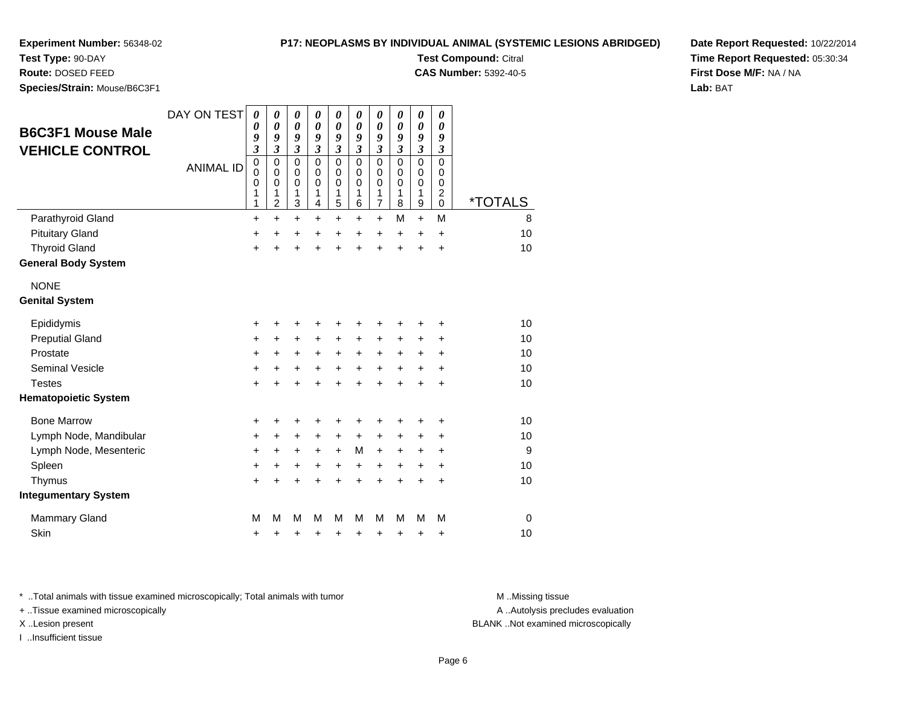#### **P17: NEOPLASMS BY INDIVIDUAL ANIMAL (SYSTEMIC LESIONS ABRIDGED)**

**Experiment Number:** 56348-02

**Test Type:** 90-DAY

**Route:** DOSED FEED

**Species/Strain:** Mouse/B6C3F1

|                              | SMS BY INDIVIDUAL ANIMAL (SYSTEMIC LESIONS ABRIDGE |
|------------------------------|----------------------------------------------------|
| <b>Test Compound: Citral</b> |                                                    |

**CAS Number:** 5392-40-5

**Date Report Requested:** 10/22/2014**Time Report Requested:** 05:30:34**First Dose M/F:** NA / NA**Lab:** BAT

| <b>B6C3F1 Mouse Male</b><br><b>VEHICLE CONTROL</b> | DAY ON TEST      | $\boldsymbol{\theta}$<br>0<br>9<br>$\overline{\mathbf{3}}$ | $\boldsymbol{\theta}$<br>0<br>9<br>$\mathfrak{z}$ | 0<br>0<br>9<br>$\mathfrak{z}$             | 0<br>$\boldsymbol{\theta}$<br>9<br>$\mathfrak{z}$ | 0<br>0<br>9<br>$\boldsymbol{\beta}$ | 0<br>0<br>9<br>3                              | 0<br>0<br>9<br>$\boldsymbol{\beta}$                           | 0<br>$\boldsymbol{\theta}$<br>9<br>$\boldsymbol{\beta}$ | 0<br>$\boldsymbol{\theta}$<br>9<br>$\boldsymbol{\beta}$            | 0<br>0<br>9<br>3                                             |                       |
|----------------------------------------------------|------------------|------------------------------------------------------------|---------------------------------------------------|-------------------------------------------|---------------------------------------------------|-------------------------------------|-----------------------------------------------|---------------------------------------------------------------|---------------------------------------------------------|--------------------------------------------------------------------|--------------------------------------------------------------|-----------------------|
|                                                    | <b>ANIMAL ID</b> | $\pmb{0}$<br>0<br>0<br>1<br>1                              | 0<br>0<br>$\mathbf 0$<br>1<br>$\overline{2}$      | $\mathbf 0$<br>0<br>$\mathbf 0$<br>1<br>3 | $\Omega$<br>$\mathbf 0$<br>$\mathbf 0$<br>1<br>4  | $\mathbf 0$<br>0<br>0<br>1<br>5     | $\Omega$<br>$\Omega$<br>$\mathbf 0$<br>1<br>6 | $\Omega$<br>$\mathbf 0$<br>$\mathbf 0$<br>1<br>$\overline{7}$ | $\Omega$<br>0<br>$\mathbf 0$<br>1<br>8                  | $\mathbf 0$<br>$\mathbf 0$<br>$\mathbf 0$<br>1<br>$\boldsymbol{9}$ | $\Omega$<br>0<br>$\mathbf 0$<br>$\boldsymbol{2}$<br>$\Omega$ | <i><b>*TOTALS</b></i> |
| Parathyroid Gland                                  |                  | +                                                          | $\ddot{}$                                         | $\ddot{}$                                 | $\pm$                                             | +                                   | +                                             | $\ddot{}$                                                     | м                                                       | $\ddot{}$                                                          | M                                                            | 8                     |
| <b>Pituitary Gland</b>                             |                  | +                                                          | $\ddot{}$                                         | +                                         | $\ddot{}$                                         | $\ddot{}$                           | $\ddot{}$                                     | $\ddot{}$                                                     | $\ddot{}$                                               | $\ddot{}$                                                          | $\ddot{}$                                                    | 10                    |
| <b>Thyroid Gland</b>                               |                  | $\ddot{}$                                                  | $\ddot{}$                                         | $\ddot{}$                                 | $\ddot{}$                                         | $\ddot{}$                           | $\ddot{}$                                     | $\ddot{}$                                                     | $\ddot{}$                                               | $\ddot{}$                                                          | $\ddot{}$                                                    | 10                    |
| <b>General Body System</b>                         |                  |                                                            |                                                   |                                           |                                                   |                                     |                                               |                                                               |                                                         |                                                                    |                                                              |                       |
| <b>NONE</b>                                        |                  |                                                            |                                                   |                                           |                                                   |                                     |                                               |                                                               |                                                         |                                                                    |                                                              |                       |
| <b>Genital System</b>                              |                  |                                                            |                                                   |                                           |                                                   |                                     |                                               |                                                               |                                                         |                                                                    |                                                              |                       |
| Epididymis                                         |                  | $\ddot{}$                                                  | +                                                 | +                                         | +                                                 | +                                   | +                                             | +                                                             | +                                                       | +                                                                  | +                                                            | 10                    |
| <b>Preputial Gland</b>                             |                  | $\ddot{}$                                                  | $\ddot{}$                                         | +                                         | $\pm$                                             | +                                   | +                                             | +                                                             | +                                                       | +                                                                  | +                                                            | 10                    |
| Prostate                                           |                  | $\ddot{}$                                                  | $\ddot{}$                                         | +                                         | +                                                 | $\ddot{}$                           | $\ddot{}$                                     | +                                                             | $\ddot{}$                                               | +                                                                  | +                                                            | 10                    |
| <b>Seminal Vesicle</b>                             |                  | $\ddot{}$                                                  | $\ddot{}$                                         | $\ddot{}$                                 | +                                                 | $\ddot{}$                           | $\ddot{}$                                     | $\ddot{}$                                                     | $\ddot{}$                                               | $\ddot{}$                                                          | $\ddot{}$                                                    | 10                    |
| <b>Testes</b>                                      |                  | $\ddot{}$                                                  |                                                   | $\ddot{}$                                 | $\ddot{}$                                         | $\ddot{}$                           | $\ddot{}$                                     | $\ddot{}$                                                     | $\ddot{}$                                               | $\ddot{}$                                                          | $\ddot{}$                                                    | 10                    |
| <b>Hematopoietic System</b>                        |                  |                                                            |                                                   |                                           |                                                   |                                     |                                               |                                                               |                                                         |                                                                    |                                                              |                       |
| <b>Bone Marrow</b>                                 |                  | +                                                          | +                                                 | +                                         | +                                                 | +                                   | +                                             | +                                                             |                                                         |                                                                    | +                                                            | 10                    |
| Lymph Node, Mandibular                             |                  | $\ddot{}$                                                  | $\ddot{}$                                         | $\ddot{}$                                 | +                                                 | $\ddot{}$                           | $\ddot{}$                                     | $\ddot{}$                                                     | +                                                       | +                                                                  | +                                                            | 10                    |
| Lymph Node, Mesenteric                             |                  | +                                                          | +                                                 | +                                         | +                                                 | $\ddot{}$                           | М                                             | +                                                             | $\ddot{}$                                               | +                                                                  | +                                                            | 9                     |
| Spleen                                             |                  | $\ddot{}$                                                  | +                                                 | +                                         | +                                                 | +                                   | +                                             | +                                                             | $\ddot{}$                                               | $\ddot{}$                                                          | +                                                            | 10                    |
| Thymus                                             |                  | $\ddot{}$                                                  |                                                   | +                                         | +                                                 | $\ddot{}$                           | $\ddot{}$                                     | $\ddot{}$                                                     | $\ddot{}$                                               | $\ddot{}$                                                          | $\ddot{}$                                                    | 10                    |
| <b>Integumentary System</b>                        |                  |                                                            |                                                   |                                           |                                                   |                                     |                                               |                                                               |                                                         |                                                                    |                                                              |                       |
| <b>Mammary Gland</b>                               |                  | M                                                          | М                                                 | M                                         | м                                                 | M                                   | М                                             | M                                                             | М                                                       | М                                                                  | M                                                            | $\Omega$              |
| Skin                                               |                  | +                                                          | +                                                 | +                                         | +                                                 | +                                   | +                                             | +                                                             | +                                                       | +                                                                  | +                                                            | 10                    |

\* ..Total animals with tissue examined microscopically; Total animals with tumor **M** . Missing tissue M ..Missing tissue

+ ..Tissue examined microscopically

I ..Insufficient tissue

A ..Autolysis precludes evaluation

X ..Lesion present BLANK ..Not examined microscopically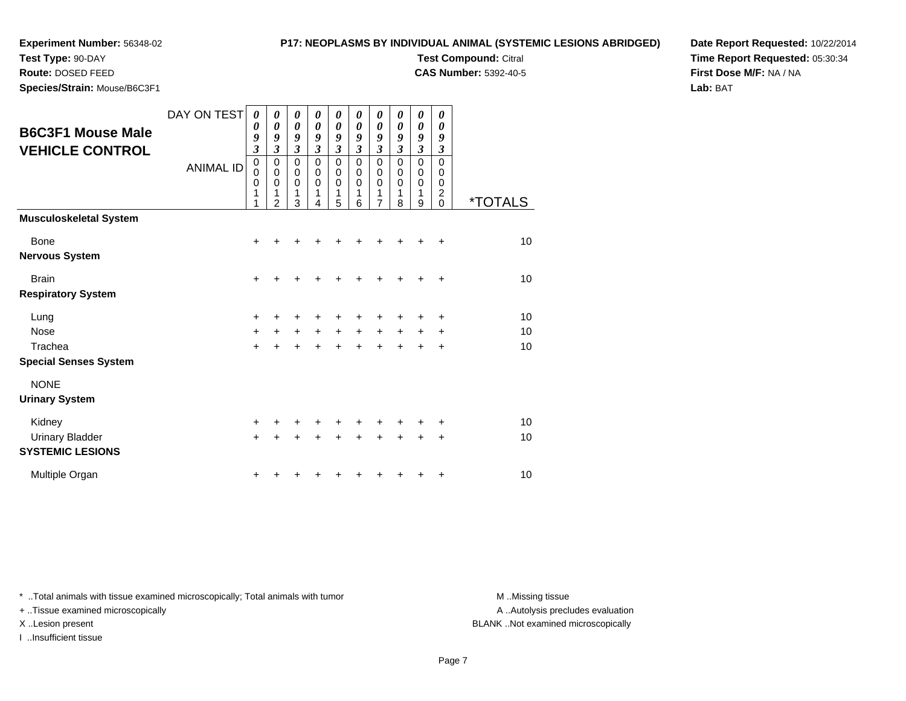# **P17: NEOPLASMS BY INDIVIDUAL ANIMAL (SYSTEMIC LESIONS ABRIDGED)**

**Test Compound:** Citral **CAS Number:** 5392-40-5

**Test Type:** 90-DAY

**Route:** DOSED FEED

**Species/Strain:** Mouse/B6C3F1

**Date Report Requested:** 10/22/2014**Time Report Requested:** 05:30:34**First Dose M/F:** NA / NA**Lab:** BAT

| <b>B6C3F1 Mouse Male</b><br><b>VEHICLE CONTROL</b> | DAY ON TEST<br><b>ANIMAL ID</b> | $\boldsymbol{\theta}$<br>0<br>9<br>$\overline{\mathbf{3}}$<br>$\mathbf 0$<br>$\mathbf 0$<br>$\mathbf 0$<br>1<br>1 | 0<br>0<br>9<br>3<br>0<br>$\mathbf 0$<br>$\mathbf 0$<br>1<br>$\mathfrak{p}$ | 0<br>$\boldsymbol{\theta}$<br>9<br>3<br>0<br>$\mathsf 0$<br>$\mathbf 0$<br>1<br>3 | 0<br>0<br>9<br>3<br>0<br>$\mathbf 0$<br>$\mathbf 0$<br>1<br>4 | 0<br>$\boldsymbol{\theta}$<br>9<br>$\mathfrak{z}$<br>$\pmb{0}$<br>$\mathbf 0$<br>$\mathbf 0$<br>1<br>5 | 0<br>0<br>$\boldsymbol{g}$<br>3<br>0<br>0<br>$\mathbf 0$<br>1<br>6 | 0<br>0<br>9<br>3<br>0<br>0<br>$\mathbf 0$<br>1<br>$\overline{7}$ | 0<br>0<br>9<br>3<br>0<br>$\mathbf 0$<br>0<br>1<br>8 | 0<br>0<br>9<br>$\mathfrak{z}$<br>0<br>0<br>0<br>1<br>9 | 0<br>0<br>9<br>3<br>$\Omega$<br>$\Omega$<br>0<br>2<br>$\Omega$ | <i><b>*TOTALS</b></i> |
|----------------------------------------------------|---------------------------------|-------------------------------------------------------------------------------------------------------------------|----------------------------------------------------------------------------|-----------------------------------------------------------------------------------|---------------------------------------------------------------|--------------------------------------------------------------------------------------------------------|--------------------------------------------------------------------|------------------------------------------------------------------|-----------------------------------------------------|--------------------------------------------------------|----------------------------------------------------------------|-----------------------|
| <b>Musculoskeletal System</b>                      |                                 |                                                                                                                   |                                                                            |                                                                                   |                                                               |                                                                                                        |                                                                    |                                                                  |                                                     |                                                        |                                                                |                       |
| <b>Bone</b>                                        |                                 | +                                                                                                                 |                                                                            |                                                                                   |                                                               |                                                                                                        |                                                                    |                                                                  |                                                     |                                                        | +                                                              | 10                    |
| <b>Nervous System</b>                              |                                 |                                                                                                                   |                                                                            |                                                                                   |                                                               |                                                                                                        |                                                                    |                                                                  |                                                     |                                                        |                                                                |                       |
| <b>Brain</b>                                       |                                 | $\ddot{}$                                                                                                         | +                                                                          | ٠                                                                                 | ┿                                                             |                                                                                                        |                                                                    |                                                                  |                                                     | ٠                                                      | ÷                                                              | 10                    |
| <b>Respiratory System</b>                          |                                 |                                                                                                                   |                                                                            |                                                                                   |                                                               |                                                                                                        |                                                                    |                                                                  |                                                     |                                                        |                                                                |                       |
| Lung                                               |                                 | +                                                                                                                 |                                                                            |                                                                                   |                                                               |                                                                                                        |                                                                    |                                                                  |                                                     |                                                        | +                                                              | 10                    |
| <b>Nose</b>                                        |                                 | $+$                                                                                                               | $\ddot{}$                                                                  | $\ddot{}$                                                                         | $\ddot{}$                                                     | $\ddot{}$                                                                                              | $\ddot{}$                                                          | $+$                                                              | $\ddot{}$                                           | +                                                      | ٠                                                              | 10                    |
| Trachea                                            |                                 | $\ddot{}$                                                                                                         | Ŧ.                                                                         | $\ddot{}$                                                                         | $\ddot{}$                                                     | $\ddot{}$                                                                                              |                                                                    | +                                                                |                                                     |                                                        | +                                                              | 10                    |
| <b>Special Senses System</b>                       |                                 |                                                                                                                   |                                                                            |                                                                                   |                                                               |                                                                                                        |                                                                    |                                                                  |                                                     |                                                        |                                                                |                       |
| <b>NONE</b>                                        |                                 |                                                                                                                   |                                                                            |                                                                                   |                                                               |                                                                                                        |                                                                    |                                                                  |                                                     |                                                        |                                                                |                       |
| <b>Urinary System</b>                              |                                 |                                                                                                                   |                                                                            |                                                                                   |                                                               |                                                                                                        |                                                                    |                                                                  |                                                     |                                                        |                                                                |                       |
| Kidney                                             |                                 | +                                                                                                                 |                                                                            |                                                                                   |                                                               |                                                                                                        |                                                                    |                                                                  |                                                     |                                                        | +                                                              | 10                    |
| <b>Urinary Bladder</b>                             |                                 | $\ddot{}$                                                                                                         | +                                                                          | +                                                                                 | +                                                             | +                                                                                                      |                                                                    |                                                                  |                                                     |                                                        | +                                                              | 10                    |
| <b>SYSTEMIC LESIONS</b>                            |                                 |                                                                                                                   |                                                                            |                                                                                   |                                                               |                                                                                                        |                                                                    |                                                                  |                                                     |                                                        |                                                                |                       |
| Multiple Organ                                     |                                 | +                                                                                                                 |                                                                            |                                                                                   |                                                               |                                                                                                        |                                                                    |                                                                  |                                                     |                                                        | +                                                              | 10                    |

\* ..Total animals with tissue examined microscopically; Total animals with tumor **M** . Missing tissue M ..Missing tissue

+ ..Tissue examined microscopically

I ..Insufficient tissue

A ..Autolysis precludes evaluation

X ..Lesion present BLANK ..Not examined microscopically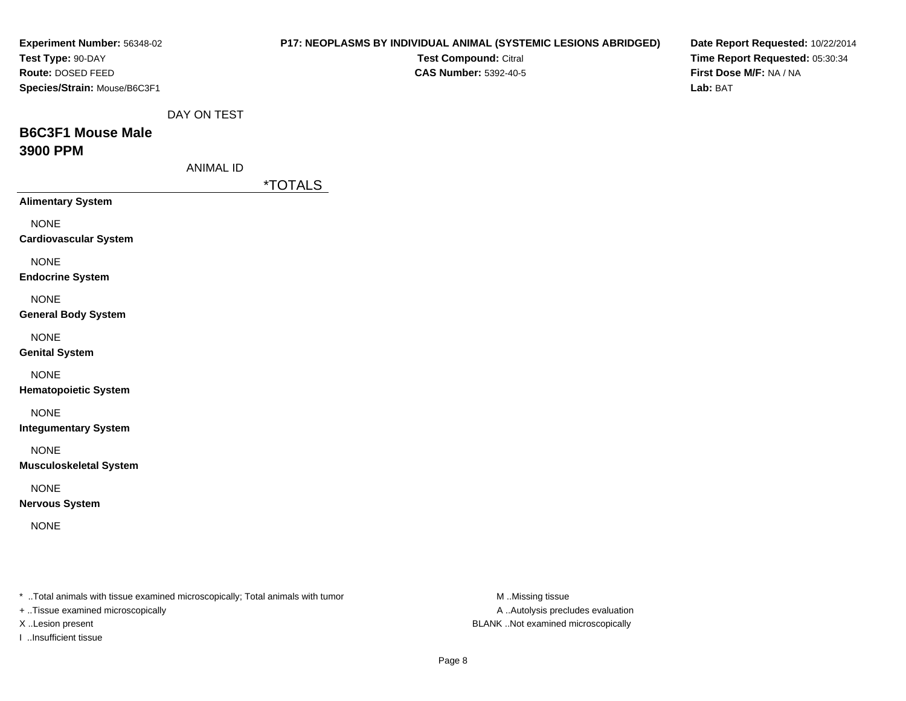| Experiment Number: 56348-02<br>Test Type: 90-DAY<br>Route: DOSED FEED<br>Species/Strain: Mouse/B6C3F1 |                                 | P17: NEOPLASMS BY INDIVIDUAL ANIMAL (SYSTEMIC LESIONS ABRIDGED)<br>Test Compound: Citral<br><b>CAS Number: 5392-40-5</b> |                  | Date Report Requested: 10/22/2014<br>Time Report Requested: 05:30:34<br>First Dose M/F: NA / NA<br>Lab: BAT |
|-------------------------------------------------------------------------------------------------------|---------------------------------|--------------------------------------------------------------------------------------------------------------------------|------------------|-------------------------------------------------------------------------------------------------------------|
| <b>B6C3F1 Mouse Male</b><br>3900 PPM                                                                  | DAY ON TEST<br><b>ANIMAL ID</b> |                                                                                                                          |                  |                                                                                                             |
|                                                                                                       |                                 | <i><b>*TOTALS</b></i>                                                                                                    |                  |                                                                                                             |
| <b>Alimentary System</b>                                                                              |                                 |                                                                                                                          |                  |                                                                                                             |
| <b>NONE</b><br><b>Cardiovascular System</b>                                                           |                                 |                                                                                                                          |                  |                                                                                                             |
| <b>NONE</b><br><b>Endocrine System</b>                                                                |                                 |                                                                                                                          |                  |                                                                                                             |
| <b>NONE</b><br><b>General Body System</b>                                                             |                                 |                                                                                                                          |                  |                                                                                                             |
| <b>NONE</b><br><b>Genital System</b>                                                                  |                                 |                                                                                                                          |                  |                                                                                                             |
| <b>NONE</b><br><b>Hematopoietic System</b>                                                            |                                 |                                                                                                                          |                  |                                                                                                             |
| <b>NONE</b><br><b>Integumentary System</b>                                                            |                                 |                                                                                                                          |                  |                                                                                                             |
| <b>NONE</b><br><b>Musculoskeletal System</b>                                                          |                                 |                                                                                                                          |                  |                                                                                                             |
| <b>NONE</b><br><b>Nervous System</b>                                                                  |                                 |                                                                                                                          |                  |                                                                                                             |
| <b>NONE</b>                                                                                           |                                 |                                                                                                                          |                  |                                                                                                             |
| * Total animals with tissue examined microscopically; Total animals with tumor                        |                                 |                                                                                                                          | M Missing tissue |                                                                                                             |

- + ..Tissue examined microscopically
- 
- I ..Insufficient tissue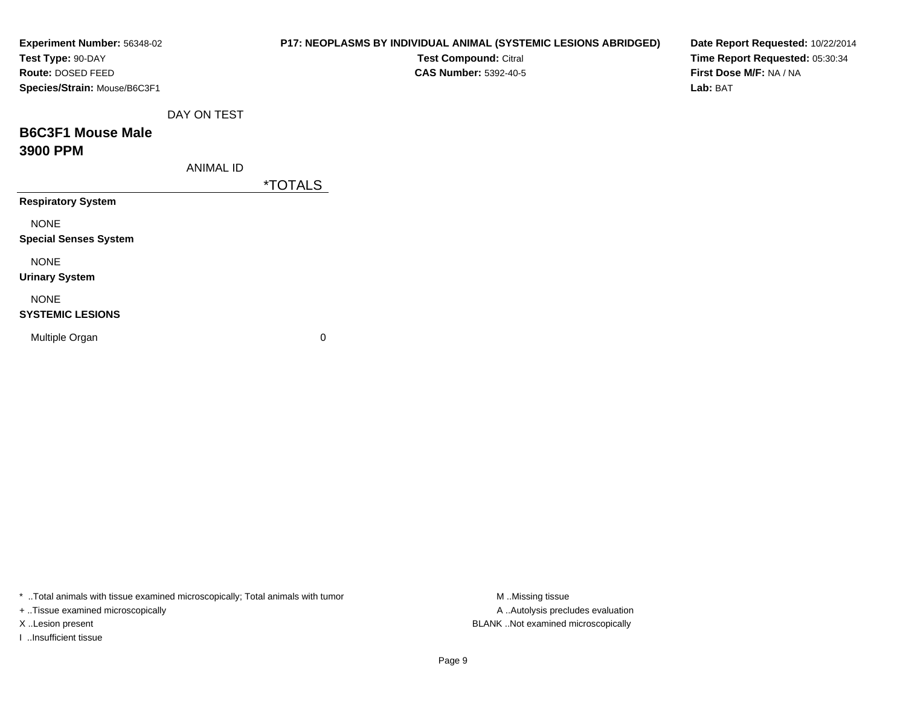| Experiment Number: 56348-02<br>Test Type: 90-DAY<br>Route: DOSED FEED<br>Species/Strain: Mouse/B6C3F1 |                  | P17: NEOPLASMS BY INDIVIDUAL ANIMAL (SYSTEMIC LESIONS ABRIDGED)<br>Test Compound: Citral<br><b>CAS Number: 5392-40-5</b> | Date Report Requested: 10/22/2014<br>Time Report Requested: 05:30:34<br>First Dose M/F: NA / NA<br>Lab: BAT |
|-------------------------------------------------------------------------------------------------------|------------------|--------------------------------------------------------------------------------------------------------------------------|-------------------------------------------------------------------------------------------------------------|
| <b>B6C3F1 Mouse Male</b><br>3900 PPM                                                                  | DAY ON TEST      |                                                                                                                          |                                                                                                             |
|                                                                                                       | <b>ANIMAL ID</b> | <i><b>*TOTALS</b></i>                                                                                                    |                                                                                                             |
| <b>Respiratory System</b>                                                                             |                  |                                                                                                                          |                                                                                                             |
| <b>NONE</b><br><b>Special Senses System</b>                                                           |                  |                                                                                                                          |                                                                                                             |
| <b>NONE</b><br><b>Urinary System</b>                                                                  |                  |                                                                                                                          |                                                                                                             |
| <b>NONE</b><br><b>SYSTEMIC LESIONS</b>                                                                |                  |                                                                                                                          |                                                                                                             |
| Multiple Organ                                                                                        |                  | 0                                                                                                                        |                                                                                                             |

\* ..Total animals with tissue examined microscopically; Total animals with tumor M..Missing tissue M

+ ..Tissue examined microscopically

I ..Insufficient tissue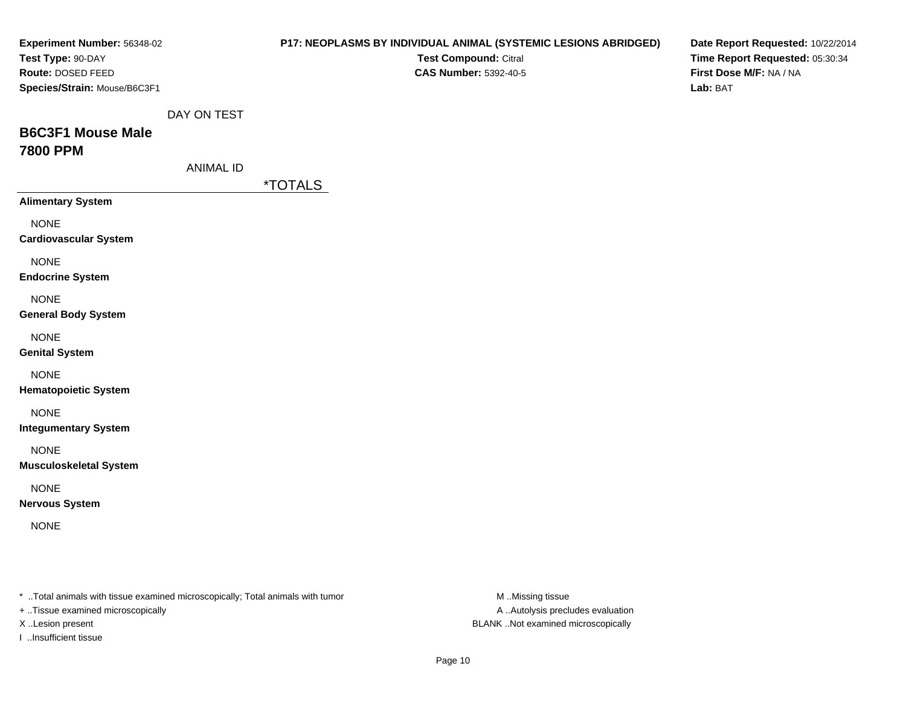| Experiment Number: 56348-02<br>Test Type: 90-DAY<br>Route: DOSED FEED<br>Species/Strain: Mouse/B6C3F1 |                  | P17: NEOPLASMS BY INDIVIDUAL ANIMAL (SYSTEMIC LESIONS ABRIDGED)<br>Test Compound: Citral<br><b>CAS Number: 5392-40-5</b> |                  | Date Report Requested: 10/22/2014<br>Time Report Requested: 05:30:34<br>First Dose M/F: NA / NA<br>Lab: BAT |
|-------------------------------------------------------------------------------------------------------|------------------|--------------------------------------------------------------------------------------------------------------------------|------------------|-------------------------------------------------------------------------------------------------------------|
| <b>B6C3F1 Mouse Male</b><br><b>7800 PPM</b>                                                           | DAY ON TEST      |                                                                                                                          |                  |                                                                                                             |
|                                                                                                       | <b>ANIMAL ID</b> | <i><b>*TOTALS</b></i>                                                                                                    |                  |                                                                                                             |
| <b>Alimentary System</b>                                                                              |                  |                                                                                                                          |                  |                                                                                                             |
| <b>NONE</b><br><b>Cardiovascular System</b>                                                           |                  |                                                                                                                          |                  |                                                                                                             |
| <b>NONE</b><br><b>Endocrine System</b>                                                                |                  |                                                                                                                          |                  |                                                                                                             |
| <b>NONE</b><br><b>General Body System</b>                                                             |                  |                                                                                                                          |                  |                                                                                                             |
| <b>NONE</b><br><b>Genital System</b>                                                                  |                  |                                                                                                                          |                  |                                                                                                             |
| <b>NONE</b><br><b>Hematopoietic System</b>                                                            |                  |                                                                                                                          |                  |                                                                                                             |
| <b>NONE</b><br><b>Integumentary System</b>                                                            |                  |                                                                                                                          |                  |                                                                                                             |
| <b>NONE</b><br><b>Musculoskeletal System</b>                                                          |                  |                                                                                                                          |                  |                                                                                                             |
| <b>NONE</b><br><b>Nervous System</b>                                                                  |                  |                                                                                                                          |                  |                                                                                                             |
| <b>NONE</b>                                                                                           |                  |                                                                                                                          |                  |                                                                                                             |
| * Total animals with tissue examined microscopically; Total animals with tumor                        |                  |                                                                                                                          | M Missing tissue |                                                                                                             |

+ ..Tissue examined microscopically

I ..Insufficient tissue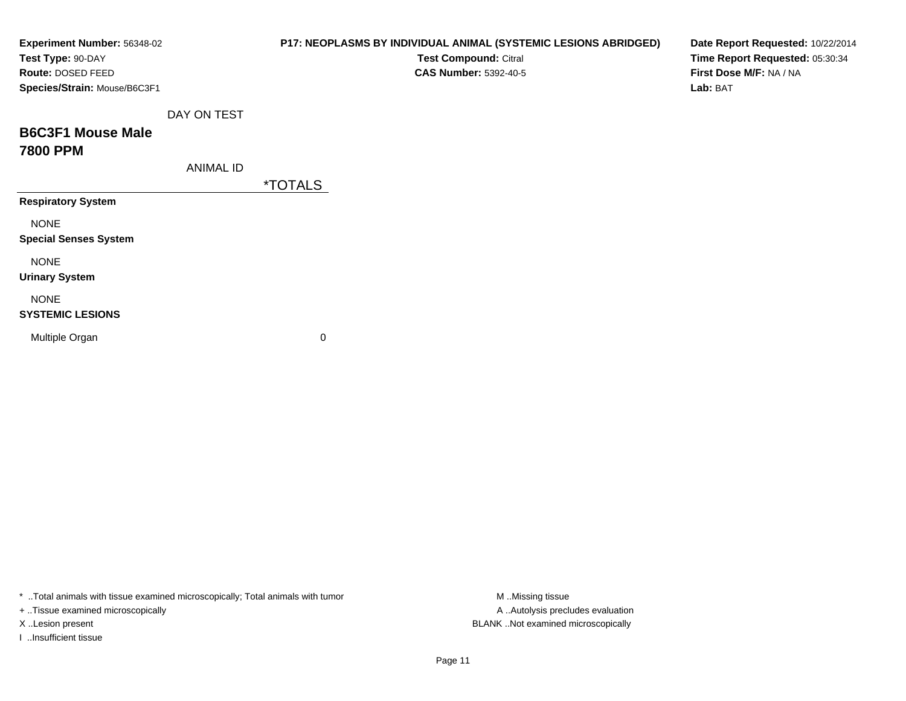| Experiment Number: 56348-02<br>Test Type: 90-DAY<br>Route: DOSED FEED<br>Species/Strain: Mouse/B6C3F1 |                  | P17: NEOPLASMS BY INDIVIDUAL ANIMAL (SYSTEMIC LESIONS ABRIDGED)<br>Test Compound: Citral<br><b>CAS Number: 5392-40-5</b> | Date Report Requested: 10/22/2014<br>Time Report Requested: 05:30:34<br>First Dose M/F: NA / NA<br>Lab: BAT |
|-------------------------------------------------------------------------------------------------------|------------------|--------------------------------------------------------------------------------------------------------------------------|-------------------------------------------------------------------------------------------------------------|
| <b>B6C3F1 Mouse Male</b><br><b>7800 PPM</b>                                                           | DAY ON TEST      |                                                                                                                          |                                                                                                             |
|                                                                                                       | <b>ANIMAL ID</b> | <i><b>*TOTALS</b></i>                                                                                                    |                                                                                                             |
| <b>Respiratory System</b>                                                                             |                  |                                                                                                                          |                                                                                                             |
| <b>NONE</b><br><b>Special Senses System</b>                                                           |                  |                                                                                                                          |                                                                                                             |
| <b>NONE</b><br><b>Urinary System</b>                                                                  |                  |                                                                                                                          |                                                                                                             |
| <b>NONE</b><br><b>SYSTEMIC LESIONS</b>                                                                |                  |                                                                                                                          |                                                                                                             |
| Multiple Organ                                                                                        |                  | 0                                                                                                                        |                                                                                                             |

\* ..Total animals with tissue examined microscopically; Total animals with tumor M..Missing tissue M ..Missing tissue

+ ..Tissue examined microscopically

I ..Insufficient tissue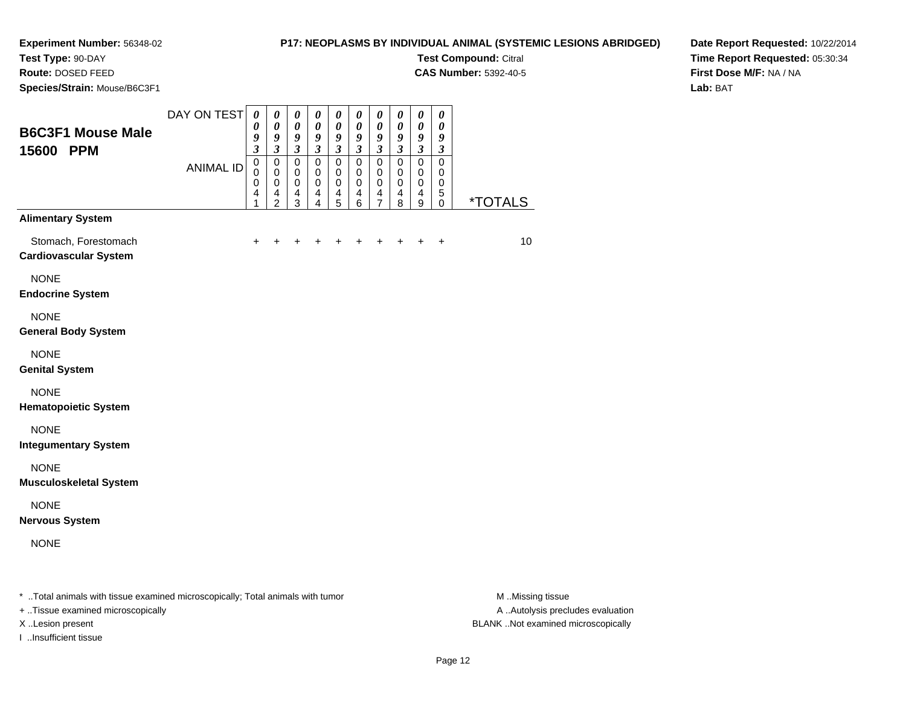**Test Type:** 90-DAY

**Route:** DOSED FEED

**Species/Strain:** Mouse/B6C3F1

# **P17: NEOPLASMS BY INDIVIDUAL ANIMAL (SYSTEMIC LESIONS ABRIDGED)**

**Test Compound:** Citral

**CAS Number:** 5392-40-5

**Date Report Requested:** 10/22/2014**Time Report Requested:** 05:30:34**First Dose M/F:** NA / NA**Lab:** BAT

| <b>B6C3F1 Mouse Male</b><br>15600 PPM                                           | DAY ON TEST<br><b>ANIMAL ID</b> | $\boldsymbol{\theta}$<br>0<br>9<br>$\mathfrak{z}$<br>$\pmb{0}$<br>0<br>$\mathbf 0$<br>4<br>1 | 0<br>0<br>9<br>$\mathfrak{z}$<br>$\mathbf 0$<br>0<br>$\mathbf 0$<br>4<br>$\overline{2}$ | $\boldsymbol{\theta}$<br>$\boldsymbol{\theta}$<br>$\boldsymbol{9}$<br>$\mathfrak{z}$<br>$\pmb{0}$<br>$\mathbf 0$<br>$\pmb{0}$<br>4<br>3 | $\boldsymbol{\theta}$<br>0<br>9<br>$\mathfrak{z}$<br>$\pmb{0}$<br>0<br>$\pmb{0}$<br>$\overline{4}$<br>4 | $\boldsymbol{\theta}$<br>0<br>9<br>$\mathfrak{z}$<br>$\pmb{0}$<br>0<br>$\pmb{0}$<br>$\overline{4}$<br>5 | $\boldsymbol{\theta}$<br>$\boldsymbol{\theta}$<br>9<br>$\mathfrak{z}$<br>$\pmb{0}$<br>0<br>$\pmb{0}$<br>$\overline{4}$<br>$6\phantom{1}$ | $\boldsymbol{\theta}$<br>0<br>9<br>$\mathfrak{z}$<br>$\pmb{0}$<br>0<br>$\pmb{0}$<br>4<br>$\overline{7}$ | $\boldsymbol{\theta}$<br>0<br>9<br>$\mathfrak{z}$<br>$\mathbf 0$<br>0<br>$\pmb{0}$<br>4<br>8 | $\boldsymbol{\theta}$<br>$\boldsymbol{\theta}$<br>9<br>$\mathfrak{z}$<br>$\mathbf 0$<br>0<br>$\pmb{0}$<br>$\overline{\mathbf{4}}$<br>9 | $\pmb{\theta}$<br>0<br>9<br>$\mathfrak{z}$<br>$\pmb{0}$<br>0<br>$\mathbf 0$<br>5<br>0 | <i><b>*TOTALS</b></i> |
|---------------------------------------------------------------------------------|---------------------------------|----------------------------------------------------------------------------------------------|-----------------------------------------------------------------------------------------|-----------------------------------------------------------------------------------------------------------------------------------------|---------------------------------------------------------------------------------------------------------|---------------------------------------------------------------------------------------------------------|------------------------------------------------------------------------------------------------------------------------------------------|---------------------------------------------------------------------------------------------------------|----------------------------------------------------------------------------------------------|----------------------------------------------------------------------------------------------------------------------------------------|---------------------------------------------------------------------------------------|-----------------------|
| <b>Alimentary System</b>                                                        |                                 |                                                                                              |                                                                                         |                                                                                                                                         |                                                                                                         |                                                                                                         |                                                                                                                                          |                                                                                                         |                                                                                              |                                                                                                                                        |                                                                                       |                       |
| Stomach, Forestomach<br><b>Cardiovascular System</b>                            |                                 | ÷                                                                                            |                                                                                         |                                                                                                                                         |                                                                                                         |                                                                                                         | +                                                                                                                                        | +                                                                                                       |                                                                                              |                                                                                                                                        | $\ddot{}$                                                                             | 10                    |
| <b>NONE</b><br><b>Endocrine System</b>                                          |                                 |                                                                                              |                                                                                         |                                                                                                                                         |                                                                                                         |                                                                                                         |                                                                                                                                          |                                                                                                         |                                                                                              |                                                                                                                                        |                                                                                       |                       |
| <b>NONE</b><br><b>General Body System</b>                                       |                                 |                                                                                              |                                                                                         |                                                                                                                                         |                                                                                                         |                                                                                                         |                                                                                                                                          |                                                                                                         |                                                                                              |                                                                                                                                        |                                                                                       |                       |
| <b>NONE</b><br><b>Genital System</b>                                            |                                 |                                                                                              |                                                                                         |                                                                                                                                         |                                                                                                         |                                                                                                         |                                                                                                                                          |                                                                                                         |                                                                                              |                                                                                                                                        |                                                                                       |                       |
| <b>NONE</b><br><b>Hematopoietic System</b>                                      |                                 |                                                                                              |                                                                                         |                                                                                                                                         |                                                                                                         |                                                                                                         |                                                                                                                                          |                                                                                                         |                                                                                              |                                                                                                                                        |                                                                                       |                       |
| <b>NONE</b><br><b>Integumentary System</b>                                      |                                 |                                                                                              |                                                                                         |                                                                                                                                         |                                                                                                         |                                                                                                         |                                                                                                                                          |                                                                                                         |                                                                                              |                                                                                                                                        |                                                                                       |                       |
| <b>NONE</b><br><b>Musculoskeletal System</b>                                    |                                 |                                                                                              |                                                                                         |                                                                                                                                         |                                                                                                         |                                                                                                         |                                                                                                                                          |                                                                                                         |                                                                                              |                                                                                                                                        |                                                                                       |                       |
| <b>NONE</b><br><b>Nervous System</b>                                            |                                 |                                                                                              |                                                                                         |                                                                                                                                         |                                                                                                         |                                                                                                         |                                                                                                                                          |                                                                                                         |                                                                                              |                                                                                                                                        |                                                                                       |                       |
| <b>NONE</b>                                                                     |                                 |                                                                                              |                                                                                         |                                                                                                                                         |                                                                                                         |                                                                                                         |                                                                                                                                          |                                                                                                         |                                                                                              |                                                                                                                                        |                                                                                       |                       |
| * Total opimala with tionus overningd misrosoppisally: Total opimala with tumor |                                 |                                                                                              |                                                                                         |                                                                                                                                         |                                                                                                         |                                                                                                         |                                                                                                                                          |                                                                                                         |                                                                                              |                                                                                                                                        |                                                                                       | $M$ $Micchi$          |

..Total animals with tissue examined microscopically; Total animals with tumor M ..Missing tissue M ..Missing tissue

+ ..Tissue examined microscopically

I ..Insufficient tissue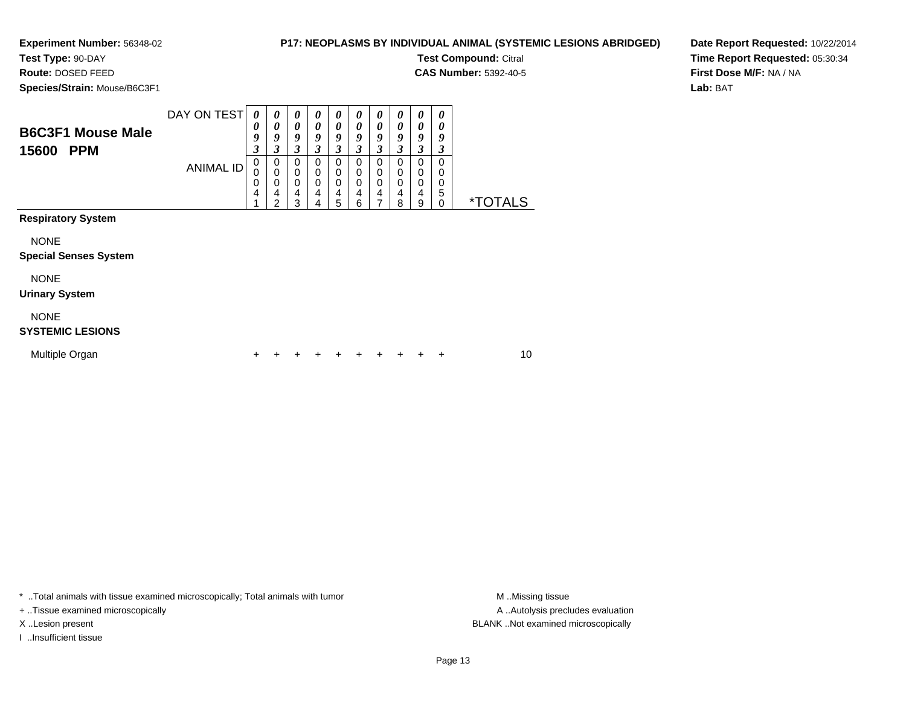**Test Type:** 90-DAY**Route:** DOSED FEED

# **P17: NEOPLASMS BY INDIVIDUAL ANIMAL (SYSTEMIC LESIONS ABRIDGED)**

**Test Compound:** Citral

**CAS Number:** 5392-40-5

**Date Report Requested:** 10/22/2014**Time Report Requested:** 05:30:34**First Dose M/F:** NA / NA**Lab:** BAT

**Species/Strain:** Mouse/B6C3F1

|                                                 | DAY ON TEST      | 0                | 0                | $\theta$              | $\boldsymbol{\theta}$ | $\theta$              | $\boldsymbol{\theta}$ | $\boldsymbol{\theta}$ | "                     | 0                     | 0      |                       |
|-------------------------------------------------|------------------|------------------|------------------|-----------------------|-----------------------|-----------------------|-----------------------|-----------------------|-----------------------|-----------------------|--------|-----------------------|
| <b>B6C3F1 Mouse Male</b><br><b>PPM</b><br>15600 |                  | 0<br>9<br>3      | 0<br>9           | 0<br>9<br>3           | 0<br>9                | 0<br>9<br>3           | 0<br>Q                | 0<br>Q                | 0<br>Q                | 0<br>Q                | Q      |                       |
|                                                 | <b>ANIMAL ID</b> | 0<br>U<br>0<br>4 | 0<br>0<br>4<br>⌒ | 0<br>0<br>0<br>4<br>3 | 0<br>0<br>0<br>4<br>4 | 0<br>0<br>0<br>4<br>5 | 0<br>0<br>0<br>4<br>6 | 0<br>0<br>0<br>4      | 0<br>0<br>0<br>4<br>8 | 0<br>0<br>0<br>4<br>9 | 0<br>5 | <i><b>*TOTALS</b></i> |
| <b>Respiratory System</b>                       |                  |                  |                  |                       |                       |                       |                       |                       |                       |                       |        |                       |

NONE

#### **Special Senses System**

NONE

#### **Urinary System**

NONE

#### **SYSTEMIC LESIONS**

| Multiple Organ |  | + + + + + + + + + + |  |  |  | 10 |
|----------------|--|---------------------|--|--|--|----|
|                |  |                     |  |  |  |    |

\* ..Total animals with tissue examined microscopically; Total animals with tumor **M** . Missing tissue M ..Missing tissue

+ ..Tissue examined microscopically

I ..Insufficient tissue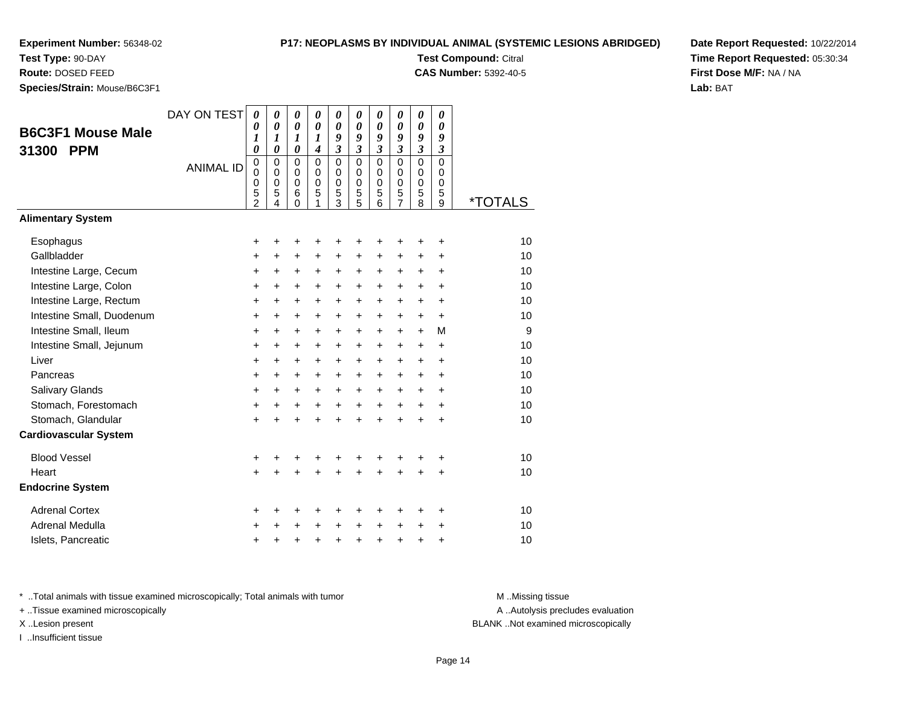**Test Type:** 90-DAY

**Route:** DOSED FEED

**Species/Strain:** Mouse/B6C3F1

### **P17: NEOPLASMS BY INDIVIDUAL ANIMAL (SYSTEMIC LESIONS ABRIDGED)**

**Test Compound:** Citral

**CAS Number:** 5392-40-5

**Date Report Requested:** 10/22/2014**Time Report Requested:** 05:30:34**First Dose M/F:** NA / NA**Lab:** BAT

| <b>B6C3F1 Mouse Male</b><br><b>PPM</b><br>31300     | DAY ON TEST<br><b>ANIMAL ID</b> | $\boldsymbol{\theta}$<br>0<br>1<br>0<br>$\pmb{0}$<br>$\mathbf 0$<br>0<br>5 | $\boldsymbol{\theta}$<br>$\boldsymbol{\theta}$<br>1<br>$\boldsymbol{\theta}$<br>$\mathbf 0$<br>$\mathbf 0$<br>0<br>5 | 0<br>$\boldsymbol{\theta}$<br>1<br>$\boldsymbol{\theta}$<br>$\mathbf 0$<br>$\mathbf 0$<br>$\mathbf 0$<br>6 | 0<br>$\boldsymbol{\theta}$<br>$\boldsymbol{l}$<br>$\boldsymbol{4}$<br>$\mathbf 0$<br>$\mathbf 0$<br>$\pmb{0}$<br>5 | 0<br>$\boldsymbol{\theta}$<br>9<br>$\mathfrak{z}$<br>$\mathbf 0$<br>$\mathbf 0$<br>0<br>5 | 0<br>$\boldsymbol{\theta}$<br>9<br>$\mathfrak{z}$<br>$\mathbf 0$<br>$\mathbf 0$<br>0<br>5 | 0<br>$\boldsymbol{\theta}$<br>9<br>$\mathfrak{z}$<br>$\mathbf 0$<br>$\mathbf 0$<br>0<br>5 | 0<br>$\boldsymbol{\theta}$<br>9<br>$\mathfrak{z}$<br>0<br>$\mathbf 0$<br>0<br>5 | 0<br>$\boldsymbol{\theta}$<br>9<br>$\mathfrak{z}$<br>$\mathbf 0$<br>$\mathbf 0$<br>$\mathbf 0$<br>5 | 0<br>$\boldsymbol{\theta}$<br>9<br>$\mathfrak{z}$<br>$\Omega$<br>0<br>0<br>5 |                       |
|-----------------------------------------------------|---------------------------------|----------------------------------------------------------------------------|----------------------------------------------------------------------------------------------------------------------|------------------------------------------------------------------------------------------------------------|--------------------------------------------------------------------------------------------------------------------|-------------------------------------------------------------------------------------------|-------------------------------------------------------------------------------------------|-------------------------------------------------------------------------------------------|---------------------------------------------------------------------------------|-----------------------------------------------------------------------------------------------------|------------------------------------------------------------------------------|-----------------------|
| <b>Alimentary System</b>                            |                                 | 2                                                                          | 4                                                                                                                    | $\Omega$                                                                                                   | 1                                                                                                                  | $\overline{3}$                                                                            | 5                                                                                         | $\overline{6}$                                                                            | $\overline{7}$                                                                  | 8                                                                                                   | 9                                                                            | <i><b>*TOTALS</b></i> |
|                                                     |                                 |                                                                            |                                                                                                                      |                                                                                                            |                                                                                                                    |                                                                                           |                                                                                           |                                                                                           |                                                                                 |                                                                                                     |                                                                              |                       |
| Esophagus                                           |                                 | +                                                                          | +                                                                                                                    | +                                                                                                          | +                                                                                                                  | +                                                                                         | +                                                                                         | +                                                                                         | +                                                                               | +                                                                                                   | +                                                                            | 10                    |
| Gallbladder                                         |                                 | $\ddot{}$                                                                  | +                                                                                                                    | +                                                                                                          | +                                                                                                                  | +                                                                                         | +                                                                                         | +                                                                                         | +                                                                               | +                                                                                                   | +                                                                            | 10                    |
| Intestine Large, Cecum                              |                                 | $\ddot{}$                                                                  | $\ddot{}$                                                                                                            | $\ddot{}$                                                                                                  | $\ddot{}$                                                                                                          | $\ddot{}$                                                                                 | $\ddot{}$                                                                                 | $\ddot{}$                                                                                 | $\ddot{}$                                                                       | $\ddot{}$                                                                                           | $\ddot{}$                                                                    | 10                    |
| Intestine Large, Colon                              |                                 | $\ddot{}$                                                                  | $\ddot{}$                                                                                                            | $\ddot{}$                                                                                                  | $\ddot{}$                                                                                                          | $\ddot{}$                                                                                 | $\ddot{}$                                                                                 | $+$                                                                                       | $+$                                                                             | $\ddot{}$                                                                                           | $\ddot{}$                                                                    | 10                    |
| Intestine Large, Rectum                             |                                 | $\ddot{}$                                                                  | $\ddot{}$                                                                                                            | $\ddot{}$                                                                                                  | $\ddot{}$                                                                                                          | $\ddot{}$                                                                                 | $\ddot{}$                                                                                 | $\ddot{}$                                                                                 | $\ddot{}$                                                                       | $\ddot{}$                                                                                           | $\ddot{}$                                                                    | 10<br>10              |
| Intestine Small, Duodenum<br>Intestine Small, Ileum |                                 | $\ddot{}$                                                                  | $\ddot{}$                                                                                                            | $\ddot{}$                                                                                                  | $\ddot{}$                                                                                                          | $\ddot{}$                                                                                 | $\ddot{}$                                                                                 | $+$                                                                                       | $\ddot{}$                                                                       | $\ddot{}$                                                                                           | $+$<br>M                                                                     | 9                     |
| Intestine Small, Jejunum                            |                                 | $\ddot{}$<br>+                                                             | $\ddot{}$<br>+                                                                                                       | $\ddot{}$<br>$\ddot{}$                                                                                     | $\ddot{}$<br>+                                                                                                     | $\ddot{}$<br>$\ddot{}$                                                                    | $\ddot{}$<br>$\ddot{}$                                                                    | $\ddot{}$<br>$\pm$                                                                        | $\ddot{}$<br>$\pm$                                                              | $\ddot{}$<br>$\ddot{}$                                                                              | $\ddot{}$                                                                    | 10                    |
| Liver                                               |                                 | $\ddot{}$                                                                  | $\ddot{}$                                                                                                            | $\ddot{}$                                                                                                  | $\ddot{}$                                                                                                          | $\ddot{}$                                                                                 | $\ddot{}$                                                                                 | $+$                                                                                       | $\ddot{}$                                                                       | $\ddot{}$                                                                                           | $\div$                                                                       | 10                    |
| Pancreas                                            |                                 | $\ddot{}$                                                                  | $\ddot{}$                                                                                                            | $\ddot{}$                                                                                                  | $\ddot{}$                                                                                                          | $\ddot{}$                                                                                 | $\ddot{}$                                                                                 | $+$                                                                                       | $\ddot{}$                                                                       | $\ddot{}$                                                                                           | $\ddot{}$                                                                    | 10                    |
| Salivary Glands                                     |                                 | +                                                                          | $\ddot{}$                                                                                                            | $\ddot{}$                                                                                                  | $\ddot{}$                                                                                                          | $\ddot{}$                                                                                 | $\ddot{}$                                                                                 | $\ddot{}$                                                                                 | $\ddot{}$                                                                       | $\ddot{}$                                                                                           | $\ddot{}$                                                                    | 10                    |
| Stomach, Forestomach                                |                                 | +                                                                          | +                                                                                                                    | +                                                                                                          | $\ddot{}$                                                                                                          | $\ddot{}$                                                                                 | $\ddot{}$                                                                                 | $\ddot{}$                                                                                 | $\ddot{}$                                                                       | +                                                                                                   | $\ddot{}$                                                                    | 10                    |
| Stomach, Glandular                                  |                                 | $\ddot{}$                                                                  |                                                                                                                      | $\ddot{}$                                                                                                  | $\ddot{}$                                                                                                          | $\ddot{}$                                                                                 | $\ddot{}$                                                                                 | $\ddot{}$                                                                                 | $\ddot{}$                                                                       | $\ddot{}$                                                                                           | $\ddot{}$                                                                    | 10                    |
| <b>Cardiovascular System</b>                        |                                 |                                                                            |                                                                                                                      |                                                                                                            |                                                                                                                    |                                                                                           |                                                                                           |                                                                                           |                                                                                 |                                                                                                     |                                                                              |                       |
| <b>Blood Vessel</b>                                 |                                 | +                                                                          | +                                                                                                                    | +                                                                                                          | +                                                                                                                  | +                                                                                         | +                                                                                         | +                                                                                         | +                                                                               |                                                                                                     | +                                                                            | 10                    |
| Heart                                               |                                 | $\ddot{}$                                                                  |                                                                                                                      | $\ddot{}$                                                                                                  | Ŧ.                                                                                                                 | $\ddot{}$                                                                                 | ÷                                                                                         | $\ddot{}$                                                                                 | $\ddot{}$                                                                       | $\ddot{}$                                                                                           | $\ddot{}$                                                                    | 10                    |
| <b>Endocrine System</b>                             |                                 |                                                                            |                                                                                                                      |                                                                                                            |                                                                                                                    |                                                                                           |                                                                                           |                                                                                           |                                                                                 |                                                                                                     |                                                                              |                       |
| <b>Adrenal Cortex</b>                               |                                 | +                                                                          | +                                                                                                                    | +                                                                                                          | +                                                                                                                  | +                                                                                         | +                                                                                         | +                                                                                         | ٠                                                                               | ٠                                                                                                   | ÷                                                                            | 10                    |
| Adrenal Medulla                                     |                                 | +                                                                          |                                                                                                                      | +                                                                                                          | $\ddot{}$                                                                                                          | $\ddot{}$                                                                                 | $\ddot{}$                                                                                 | $\ddot{}$                                                                                 | $\ddot{}$                                                                       | $\ddot{}$                                                                                           | +                                                                            | 10                    |
| Islets, Pancreatic                                  |                                 | +                                                                          | +                                                                                                                    | +                                                                                                          | +                                                                                                                  | $\ddot{}$                                                                                 | $\ddot{}$                                                                                 | +                                                                                         | +                                                                               | +                                                                                                   | +                                                                            | 10                    |

\* ..Total animals with tissue examined microscopically; Total animals with tumor **M** . Missing tissue M ..Missing tissue

+ ..Tissue examined microscopically

I ..Insufficient tissue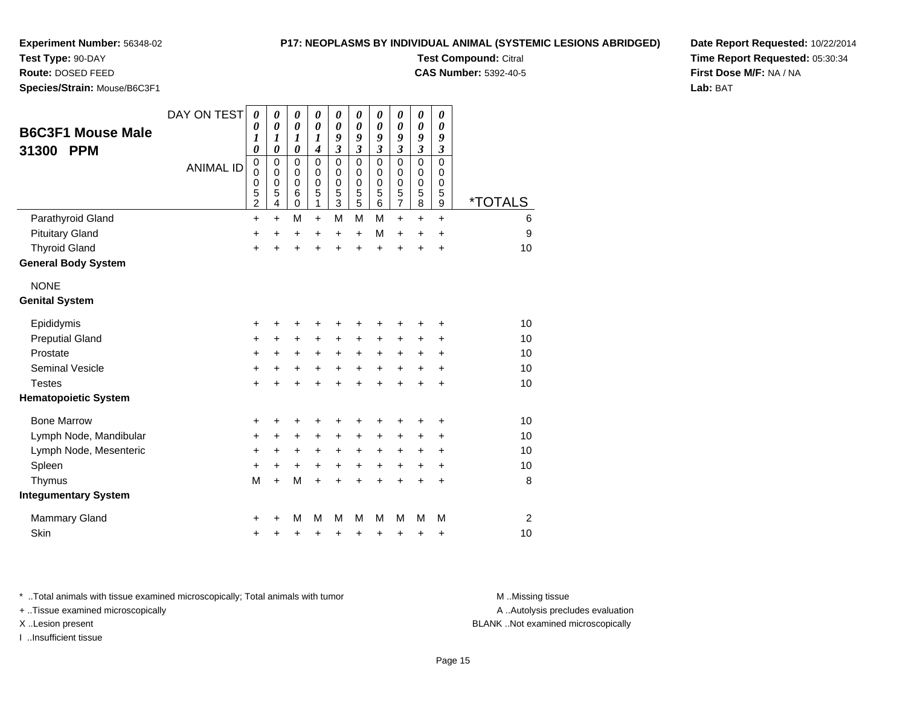**Test Type:** 90-DAY

**Route:** DOSED FEED

**Species/Strain:** Mouse/B6C3F1

#### **P17: NEOPLASMS BY INDIVIDUAL ANIMAL (SYSTEMIC LESIONS ABRIDGED)**

**Test Compound:** Citral

**CAS Number:** 5392-40-5

**Date Report Requested:** 10/22/2014**Time Report Requested:** 05:30:34**First Dose M/F:** NA / NA**Lab:** BAT

| <b>B6C3F1 Mouse Male</b><br><b>PPM</b><br>31300 | DAY ON TEST<br><b>ANIMAL ID</b> | $\boldsymbol{\theta}$<br>0<br>1<br>0<br>$\mathbf 0$<br>0<br>$\boldsymbol{0}$<br>$\frac{5}{2}$ | 0<br>$\boldsymbol{\theta}$<br>1<br>$\boldsymbol{\theta}$<br>$\mathbf 0$<br>$\mathbf 0$<br>$\pmb{0}$<br>5<br>4 | 0<br>$\boldsymbol{\theta}$<br>1<br>$\boldsymbol{\theta}$<br>$\mathbf 0$<br>$\mathbf 0$<br>$\mathbf 0$<br>$\,6$<br>$\mathbf 0$ | $\boldsymbol{\theta}$<br>$\boldsymbol{\theta}$<br>$\boldsymbol{l}$<br>$\overline{\boldsymbol{4}}$<br>$\mathbf 0$<br>$\mathbf 0$<br>$\pmb{0}$<br>5<br>1 | $\boldsymbol{\theta}$<br>$\boldsymbol{\theta}$<br>9<br>$\overline{\mathbf{3}}$<br>$\mathbf 0$<br>$\mathbf 0$<br>$\mathbf 0$<br>5<br>3 | 0<br>$\boldsymbol{\theta}$<br>9<br>$\mathfrak{z}$<br>$\Omega$<br>$\mathbf 0$<br>$\mathbf 0$<br>5<br>5 | $\boldsymbol{\theta}$<br>$\boldsymbol{\theta}$<br>9<br>$\overline{\mathbf{3}}$<br>$\mathbf 0$<br>$\pmb{0}$<br>$\mathbf 0$<br>5<br>6 | $\pmb{\theta}$<br>$\boldsymbol{\theta}$<br>9<br>$\mathfrak{z}$<br>$\mathbf 0$<br>$\mathbf 0$<br>0<br>$\frac{5}{7}$ | $\boldsymbol{\theta}$<br>$\boldsymbol{\theta}$<br>9<br>$\overline{\mathbf{3}}$<br>$\mathbf 0$<br>$\mathbf 0$<br>$\begin{array}{c} 0 \\ 5 \\ 8 \end{array}$ | 0<br>0<br>9<br>$\mathfrak{z}$<br>0<br>0<br>0<br>5<br>9 | <i><b>*TOTALS</b></i> |
|-------------------------------------------------|---------------------------------|-----------------------------------------------------------------------------------------------|---------------------------------------------------------------------------------------------------------------|-------------------------------------------------------------------------------------------------------------------------------|--------------------------------------------------------------------------------------------------------------------------------------------------------|---------------------------------------------------------------------------------------------------------------------------------------|-------------------------------------------------------------------------------------------------------|-------------------------------------------------------------------------------------------------------------------------------------|--------------------------------------------------------------------------------------------------------------------|------------------------------------------------------------------------------------------------------------------------------------------------------------|--------------------------------------------------------|-----------------------|
| Parathyroid Gland                               |                                 | $\ddot{}$                                                                                     | $+$                                                                                                           | M                                                                                                                             | $\ddot{}$                                                                                                                                              | M                                                                                                                                     | M                                                                                                     | M                                                                                                                                   | $\ddot{}$                                                                                                          | $\ddot{}$                                                                                                                                                  | $\ddot{}$                                              | 6                     |
| <b>Pituitary Gland</b>                          |                                 | +                                                                                             | +                                                                                                             | +                                                                                                                             | $\pm$                                                                                                                                                  | +                                                                                                                                     | $\ddot{}$                                                                                             | M                                                                                                                                   | $\ddot{}$                                                                                                          | $\ddot{}$                                                                                                                                                  | $\ddot{}$                                              | 9                     |
| <b>Thyroid Gland</b>                            |                                 | $\ddot{}$                                                                                     |                                                                                                               | +                                                                                                                             | +                                                                                                                                                      | $\ddot{}$                                                                                                                             | $\ddot{}$                                                                                             | $\ddot{}$                                                                                                                           | $\ddot{}$                                                                                                          | $\ddot{}$                                                                                                                                                  | $\ddot{}$                                              | 10                    |
| <b>General Body System</b>                      |                                 |                                                                                               |                                                                                                               |                                                                                                                               |                                                                                                                                                        |                                                                                                                                       |                                                                                                       |                                                                                                                                     |                                                                                                                    |                                                                                                                                                            |                                                        |                       |
| <b>NONE</b>                                     |                                 |                                                                                               |                                                                                                               |                                                                                                                               |                                                                                                                                                        |                                                                                                                                       |                                                                                                       |                                                                                                                                     |                                                                                                                    |                                                                                                                                                            |                                                        |                       |
| <b>Genital System</b>                           |                                 |                                                                                               |                                                                                                               |                                                                                                                               |                                                                                                                                                        |                                                                                                                                       |                                                                                                       |                                                                                                                                     |                                                                                                                    |                                                                                                                                                            |                                                        |                       |
| Epididymis                                      |                                 | +                                                                                             |                                                                                                               | +                                                                                                                             | +                                                                                                                                                      | +                                                                                                                                     | +                                                                                                     | +                                                                                                                                   | +                                                                                                                  | +                                                                                                                                                          | +                                                      | 10                    |
| <b>Preputial Gland</b>                          |                                 | +                                                                                             | +                                                                                                             | $\ddot{}$                                                                                                                     | +                                                                                                                                                      | $\ddot{}$                                                                                                                             | +                                                                                                     | +                                                                                                                                   | +                                                                                                                  | +                                                                                                                                                          | +                                                      | 10                    |
| Prostate                                        |                                 | $\ddot{}$                                                                                     | +                                                                                                             | +                                                                                                                             | +                                                                                                                                                      | $\ddot{}$                                                                                                                             | +                                                                                                     | $\ddot{}$                                                                                                                           | $\ddot{}$                                                                                                          | +                                                                                                                                                          | +                                                      | 10                    |
| <b>Seminal Vesicle</b>                          |                                 | +                                                                                             | +                                                                                                             | +                                                                                                                             | +                                                                                                                                                      | $\ddot{}$                                                                                                                             | +                                                                                                     | $\ddot{}$                                                                                                                           | +                                                                                                                  | +                                                                                                                                                          | +                                                      | 10                    |
| <b>Testes</b>                                   |                                 | $\ddot{}$                                                                                     |                                                                                                               | +                                                                                                                             | +                                                                                                                                                      | ÷                                                                                                                                     | $\ddot{}$                                                                                             | $\ddot{}$                                                                                                                           | $\ddot{}$                                                                                                          | ÷                                                                                                                                                          | $\div$                                                 | 10                    |
| <b>Hematopoietic System</b>                     |                                 |                                                                                               |                                                                                                               |                                                                                                                               |                                                                                                                                                        |                                                                                                                                       |                                                                                                       |                                                                                                                                     |                                                                                                                    |                                                                                                                                                            |                                                        |                       |
| <b>Bone Marrow</b>                              |                                 | +                                                                                             |                                                                                                               | +                                                                                                                             |                                                                                                                                                        | +                                                                                                                                     | +                                                                                                     | +                                                                                                                                   | +                                                                                                                  | +                                                                                                                                                          | +                                                      | 10                    |
| Lymph Node, Mandibular                          |                                 | +                                                                                             | ٠                                                                                                             | +                                                                                                                             | $\pm$                                                                                                                                                  | +                                                                                                                                     | +                                                                                                     | +                                                                                                                                   | +                                                                                                                  | $\ddot{}$                                                                                                                                                  | +                                                      | 10                    |
| Lymph Node, Mesenteric                          |                                 | +                                                                                             | +                                                                                                             | +                                                                                                                             | +                                                                                                                                                      | +                                                                                                                                     | +                                                                                                     | +                                                                                                                                   | $\ddot{}$                                                                                                          | $\ddot{}$                                                                                                                                                  | +                                                      | 10                    |
| Spleen                                          |                                 | +                                                                                             | +                                                                                                             | $\ddot{}$                                                                                                                     | +                                                                                                                                                      | $\ddot{}$                                                                                                                             | $\ddot{}$                                                                                             | $\ddot{}$                                                                                                                           | $\ddot{}$                                                                                                          | $\ddot{}$                                                                                                                                                  | $\ddot{}$                                              | 10                    |
| Thymus                                          |                                 | M                                                                                             | $\ddot{}$                                                                                                     | M                                                                                                                             | $\ddot{}$                                                                                                                                              | $\ddot{}$                                                                                                                             | $\ddot{}$                                                                                             | $\ddot{}$                                                                                                                           | $\ddot{}$                                                                                                          | $\ddot{}$                                                                                                                                                  | $\ddot{}$                                              | 8                     |
| <b>Integumentary System</b>                     |                                 |                                                                                               |                                                                                                               |                                                                                                                               |                                                                                                                                                        |                                                                                                                                       |                                                                                                       |                                                                                                                                     |                                                                                                                    |                                                                                                                                                            |                                                        |                       |
| <b>Mammary Gland</b>                            |                                 | +                                                                                             |                                                                                                               | M                                                                                                                             | M                                                                                                                                                      | M                                                                                                                                     | м                                                                                                     | M                                                                                                                                   | М                                                                                                                  | м                                                                                                                                                          | М                                                      | 2                     |
| Skin                                            |                                 | +                                                                                             |                                                                                                               | +                                                                                                                             | +                                                                                                                                                      | +                                                                                                                                     | +                                                                                                     | +                                                                                                                                   | +                                                                                                                  | +                                                                                                                                                          | +                                                      | 10                    |

\* ..Total animals with tissue examined microscopically; Total animals with tumor **M** . Missing tissue M ..Missing tissue

+ ..Tissue examined microscopically

I ..Insufficient tissue

A ..Autolysis precludes evaluation

X ..Lesion present BLANK ..Not examined microscopically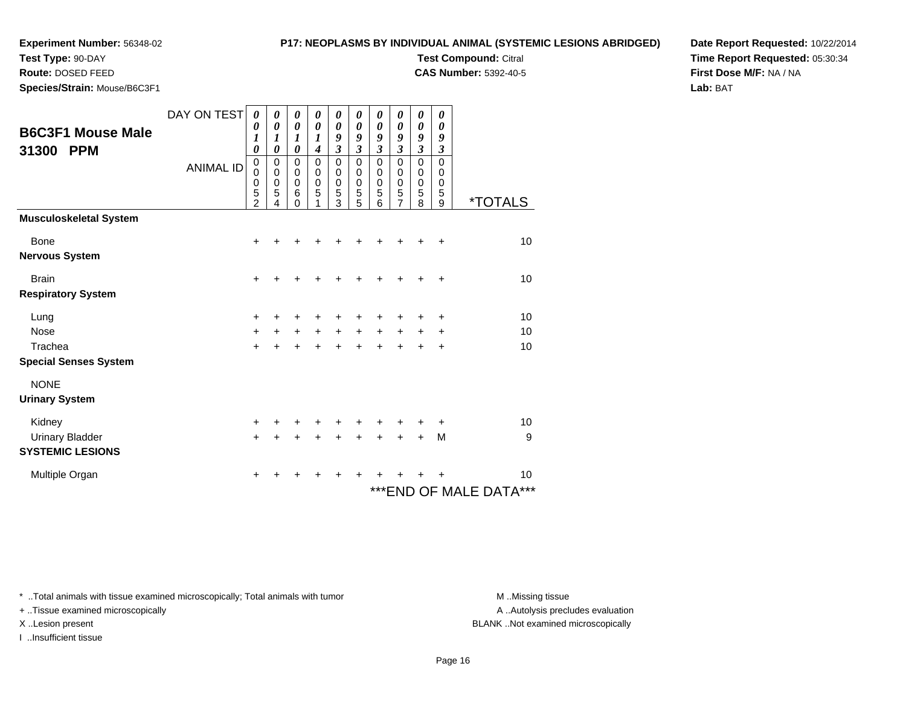# **P17: NEOPLASMS BY INDIVIDUAL ANIMAL (SYSTEMIC LESIONS ABRIDGED)**

**Test Compound:** Citral **CAS Number:** 5392-40-5

**Test Type:** 90-DAY

**Route:** DOSED FEED

**Species/Strain:** Mouse/B6C3F1

**Date Report Requested:** 10/22/2014**Time Report Requested:** 05:30:34**First Dose M/F:** NA / NA**Lab:** BAT

| <b>B6C3F1 Mouse Male</b><br><b>PPM</b><br>31300 | DAY ON TEST<br><b>ANIMAL ID</b> | 0<br>0<br>1<br>$\boldsymbol{\theta}$<br>$\pmb{0}$<br>0<br>$\begin{array}{c} 0 \\ 5 \\ 2 \end{array}$ | 0<br>0<br>1<br>$\boldsymbol{\theta}$<br>0<br>0<br>$\mathbf 0$<br>5<br>4 | 0<br>0<br>1<br>$\pmb{\theta}$<br>$\mathsf 0$<br>0<br>$\mathbf 0$<br>6<br>$\Omega$ | 0<br>$\boldsymbol{\theta}$<br>1<br>$\boldsymbol{4}$<br>$\mathbf 0$<br>$\mathbf 0$<br>$\mathbf 0$<br>5 | 0<br>0<br>9<br>$\mathfrak{z}$<br>$\mathbf 0$<br>$\mathbf 0$<br>$\mathbf 0$<br>5<br>3 | 0<br>0<br>9<br>$\mathfrak{z}$<br>$\mathbf 0$<br>$\mathbf 0$<br>$\mathbf 0$<br>5<br>5 | 0<br>0<br>9<br>$\mathfrak{z}$<br>$\mathbf 0$<br>$\mathbf 0$<br>$\mathbf 0$<br>5<br>6 | 0<br>0<br>9<br>$\mathfrak{z}$<br>$\pmb{0}$<br>$\pmb{0}$<br>$\mathbf 0$<br>5<br>$\overline{7}$ | 0<br>0<br>9<br>$\mathfrak{z}$<br>$\mathbf 0$<br>$\pmb{0}$<br>$\pmb{0}$<br>5<br>8 | 0<br>0<br>9<br>$\boldsymbol{\beta}$<br>$\mathsf 0$<br>$\pmb{0}$<br>$\mathbf 0$<br>5<br>9 | <i><b>*TOTALS</b></i>      |
|-------------------------------------------------|---------------------------------|------------------------------------------------------------------------------------------------------|-------------------------------------------------------------------------|-----------------------------------------------------------------------------------|-------------------------------------------------------------------------------------------------------|--------------------------------------------------------------------------------------|--------------------------------------------------------------------------------------|--------------------------------------------------------------------------------------|-----------------------------------------------------------------------------------------------|----------------------------------------------------------------------------------|------------------------------------------------------------------------------------------|----------------------------|
| <b>Musculoskeletal System</b>                   |                                 |                                                                                                      |                                                                         |                                                                                   |                                                                                                       |                                                                                      |                                                                                      |                                                                                      |                                                                                               |                                                                                  |                                                                                          |                            |
| Bone                                            |                                 | $\ddot{}$                                                                                            |                                                                         |                                                                                   |                                                                                                       |                                                                                      |                                                                                      | ┿                                                                                    | ٠                                                                                             | ٠                                                                                | $\ddot{}$                                                                                | 10                         |
| <b>Nervous System</b>                           |                                 |                                                                                                      |                                                                         |                                                                                   |                                                                                                       |                                                                                      |                                                                                      |                                                                                      |                                                                                               |                                                                                  |                                                                                          |                            |
| <b>Brain</b>                                    |                                 | $\ddot{}$                                                                                            |                                                                         |                                                                                   |                                                                                                       |                                                                                      |                                                                                      | +                                                                                    | ٠                                                                                             | ٠                                                                                | +                                                                                        | 10                         |
| <b>Respiratory System</b>                       |                                 |                                                                                                      |                                                                         |                                                                                   |                                                                                                       |                                                                                      |                                                                                      |                                                                                      |                                                                                               |                                                                                  |                                                                                          |                            |
| Lung                                            |                                 | $\ddot{}$                                                                                            |                                                                         |                                                                                   |                                                                                                       |                                                                                      |                                                                                      |                                                                                      | +                                                                                             |                                                                                  | $\ddot{}$                                                                                | 10                         |
| <b>Nose</b>                                     |                                 | $\ddot{}$                                                                                            |                                                                         | $\ddot{}$                                                                         | $\ddot{}$                                                                                             | $\ddot{}$                                                                            | $+$                                                                                  | $\ddot{}$                                                                            | $\ddot{}$                                                                                     | $\pm$                                                                            | +                                                                                        | 10                         |
| Trachea                                         |                                 | $+$                                                                                                  | $\ddot{}$                                                               | $\ddot{}$                                                                         | +                                                                                                     | $\ddot{}$                                                                            | $\ddot{}$                                                                            | $\ddot{}$                                                                            | $\ddot{}$                                                                                     | $\ddot{}$                                                                        | $\ddot{}$                                                                                | 10                         |
| <b>Special Senses System</b>                    |                                 |                                                                                                      |                                                                         |                                                                                   |                                                                                                       |                                                                                      |                                                                                      |                                                                                      |                                                                                               |                                                                                  |                                                                                          |                            |
| <b>NONE</b>                                     |                                 |                                                                                                      |                                                                         |                                                                                   |                                                                                                       |                                                                                      |                                                                                      |                                                                                      |                                                                                               |                                                                                  |                                                                                          |                            |
| <b>Urinary System</b>                           |                                 |                                                                                                      |                                                                         |                                                                                   |                                                                                                       |                                                                                      |                                                                                      |                                                                                      |                                                                                               |                                                                                  |                                                                                          |                            |
| Kidney                                          |                                 | $\pm$                                                                                                |                                                                         |                                                                                   |                                                                                                       |                                                                                      |                                                                                      | ٠                                                                                    | ٠                                                                                             |                                                                                  | $\ddot{}$                                                                                | 10                         |
| <b>Urinary Bladder</b>                          |                                 | $+$                                                                                                  |                                                                         | +                                                                                 |                                                                                                       | $\div$                                                                               | $\div$                                                                               | $\div$                                                                               | $\ddot{}$                                                                                     | $\ddot{}$                                                                        | M                                                                                        | 9                          |
| <b>SYSTEMIC LESIONS</b>                         |                                 |                                                                                                      |                                                                         |                                                                                   |                                                                                                       |                                                                                      |                                                                                      |                                                                                      |                                                                                               |                                                                                  |                                                                                          |                            |
| Multiple Organ                                  |                                 | $\pm$                                                                                                |                                                                         | +                                                                                 | +                                                                                                     |                                                                                      | ٠                                                                                    |                                                                                      |                                                                                               |                                                                                  | +                                                                                        | 10                         |
|                                                 |                                 |                                                                                                      |                                                                         |                                                                                   |                                                                                                       |                                                                                      |                                                                                      |                                                                                      |                                                                                               |                                                                                  |                                                                                          | ***<br>***END OF MALE DATA |

\* ..Total animals with tissue examined microscopically; Total animals with tumor **M** . Missing tissue M ..Missing tissue

+ ..Tissue examined microscopically

I ..Insufficient tissue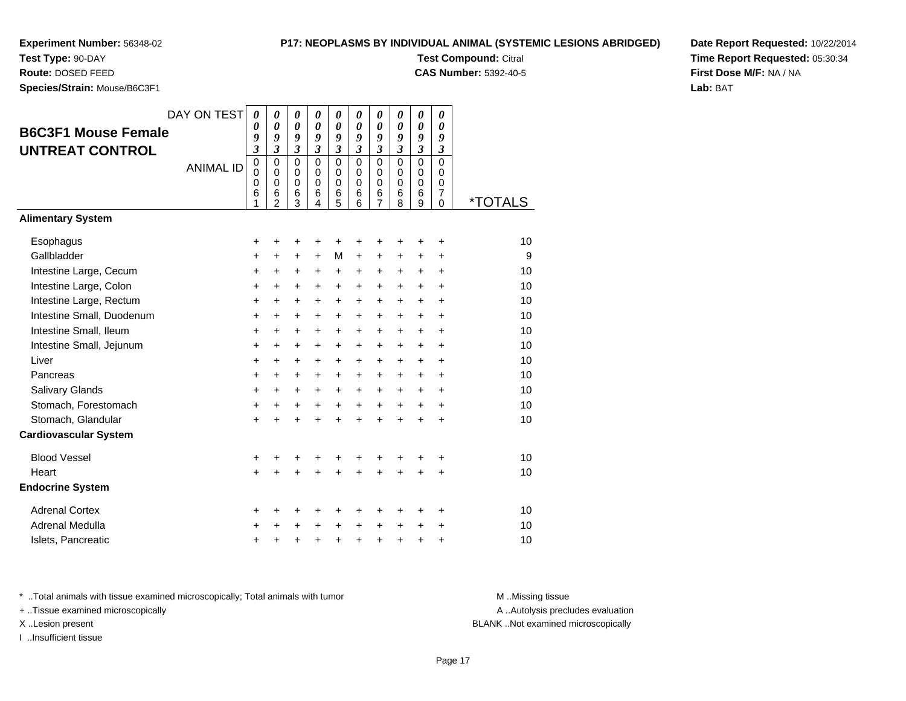**Test Type:** 90-DAY**Route:** DOSED FEED

**Species/Strain:** Mouse/B6C3F1

### **P17: NEOPLASMS BY INDIVIDUAL ANIMAL (SYSTEMIC LESIONS ABRIDGED)**

**Test Compound:** Citral

**CAS Number:** 5392-40-5

**Date Report Requested:** 10/22/2014**Time Report Requested:** 05:30:34**First Dose M/F:** NA / NA**Lab:** BAT

| <b>B6C3F1 Mouse Female</b><br><b>UNTREAT CONTROL</b> | DAY ON TEST<br><b>ANIMAL ID</b> | 0<br>0<br>9<br>3<br>$\mathbf 0$<br>$\mathbf 0$<br>0<br>6<br>1 | $\boldsymbol{\theta}$<br>$\boldsymbol{\theta}$<br>9<br>3<br>$\mathbf 0$<br>$\mathbf 0$<br>0<br>6<br>$\overline{2}$ | $\boldsymbol{\theta}$<br>$\boldsymbol{\theta}$<br>9<br>$\boldsymbol{\beta}$<br>$\mathbf 0$<br>0<br>$\mathbf 0$<br>6<br>3 | $\boldsymbol{\theta}$<br>$\boldsymbol{\theta}$<br>9<br>$\boldsymbol{\beta}$<br>$\Omega$<br>$\Omega$<br>$\mathbf 0$<br>6<br>4 | 0<br>$\boldsymbol{\theta}$<br>9<br>$\mathfrak{z}$<br>$\mathbf 0$<br>$\mathbf 0$<br>0<br>$\,6$<br>5 | 0<br>0<br>9<br>3<br>$\Omega$<br>$\Omega$<br>$\mathbf 0$<br>6<br>6 | 0<br>$\boldsymbol{\theta}$<br>9<br>3<br>$\mathbf 0$<br>$\mathbf 0$<br>0<br>6<br>$\overline{7}$ | 0<br>0<br>9<br>3<br>$\mathbf 0$<br>0<br>0<br>6<br>8 | 0<br>$\boldsymbol{\theta}$<br>9<br>3<br>$\mathbf 0$<br>$\mathbf 0$<br>0<br>6<br>9 | 0<br>0<br>9<br>3<br>$\mathbf 0$<br>$\Omega$<br>0<br>7<br>0 | <i><b>*TOTALS</b></i> |
|------------------------------------------------------|---------------------------------|---------------------------------------------------------------|--------------------------------------------------------------------------------------------------------------------|--------------------------------------------------------------------------------------------------------------------------|------------------------------------------------------------------------------------------------------------------------------|----------------------------------------------------------------------------------------------------|-------------------------------------------------------------------|------------------------------------------------------------------------------------------------|-----------------------------------------------------|-----------------------------------------------------------------------------------|------------------------------------------------------------|-----------------------|
| <b>Alimentary System</b>                             |                                 |                                                               |                                                                                                                    |                                                                                                                          |                                                                                                                              |                                                                                                    |                                                                   |                                                                                                |                                                     |                                                                                   |                                                            |                       |
| Esophagus                                            |                                 | +                                                             | +                                                                                                                  | +                                                                                                                        | +                                                                                                                            | +                                                                                                  | +                                                                 | +                                                                                              | +                                                   | +                                                                                 | +                                                          | 10                    |
| Gallbladder                                          |                                 | +                                                             | +                                                                                                                  | +                                                                                                                        | $\ddot{}$                                                                                                                    | M                                                                                                  | +                                                                 | +                                                                                              | +                                                   | +                                                                                 | +                                                          | 9                     |
| Intestine Large, Cecum                               |                                 | +                                                             | +                                                                                                                  | +                                                                                                                        | $\ddot{}$                                                                                                                    | +                                                                                                  | +                                                                 | +                                                                                              | $\ddot{}$                                           | $\pm$                                                                             | +                                                          | 10                    |
| Intestine Large, Colon                               |                                 | $\ddot{}$                                                     | $\ddot{}$                                                                                                          | $\ddot{}$                                                                                                                | $\ddot{}$                                                                                                                    | $\ddot{}$                                                                                          | $\ddot{}$                                                         | $\ddot{}$                                                                                      | $\ddot{}$                                           | $+$                                                                               | $\ddot{}$                                                  | 10                    |
| Intestine Large, Rectum                              |                                 | +                                                             | $\ddot{}$                                                                                                          | $\ddot{}$                                                                                                                | $\ddot{}$                                                                                                                    | +                                                                                                  | $\ddot{}$                                                         | $\ddot{}$                                                                                      | $\ddot{}$                                           | +                                                                                 | $\ddot{}$                                                  | 10                    |
| Intestine Small, Duodenum                            |                                 | +                                                             | +                                                                                                                  | +                                                                                                                        | +                                                                                                                            | +                                                                                                  | +                                                                 | +                                                                                              | +                                                   | +                                                                                 | +                                                          | 10                    |
| Intestine Small, Ileum                               |                                 | $\ddot{}$                                                     | $\ddot{}$                                                                                                          | $\ddot{}$                                                                                                                | $\ddot{}$                                                                                                                    | $\ddot{}$                                                                                          | $\ddot{}$                                                         | $\ddot{}$                                                                                      | $\ddot{}$                                           | $\ddot{}$                                                                         | $\ddot{}$                                                  | 10                    |
| Intestine Small, Jejunum                             |                                 | +                                                             | +                                                                                                                  | +                                                                                                                        | $\ddot{}$                                                                                                                    | $\ddot{}$                                                                                          | +                                                                 | $\ddot{}$                                                                                      | $\ddot{}$                                           | $\pm$                                                                             | +                                                          | 10                    |
| Liver                                                |                                 | +                                                             | +                                                                                                                  | $\ddot{}$                                                                                                                | $\ddot{}$                                                                                                                    | +                                                                                                  | +                                                                 | +                                                                                              | +                                                   | +                                                                                 | +                                                          | 10                    |
| Pancreas                                             |                                 | $\ddot{}$                                                     | +                                                                                                                  | $\ddot{}$                                                                                                                | $\ddot{}$                                                                                                                    | $\ddot{}$                                                                                          | $\ddot{}$                                                         | $\ddot{}$                                                                                      | $\ddot{}$                                           | $\ddot{}$                                                                         | $\ddot{}$                                                  | 10                    |
| Salivary Glands                                      |                                 | $\ddot{}$                                                     | $\ddot{}$                                                                                                          | $\ddot{}$                                                                                                                | $\ddot{}$                                                                                                                    | $\ddot{}$                                                                                          | $\ddot{}$                                                         | $\ddot{}$                                                                                      | $\ddot{}$                                           | $\ddot{}$                                                                         | $\ddot{}$                                                  | 10                    |
| Stomach, Forestomach                                 |                                 | +                                                             | +                                                                                                                  | +                                                                                                                        | $\ddot{}$                                                                                                                    | +                                                                                                  | $\ddot{}$                                                         | $\ddot{}$                                                                                      | $\ddot{}$                                           | $\pm$                                                                             | +                                                          | 10                    |
| Stomach, Glandular                                   |                                 | $\ddot{}$                                                     | +                                                                                                                  | $\ddot{}$                                                                                                                | $\ddot{}$                                                                                                                    | $\ddot{}$                                                                                          | $\ddot{}$                                                         | $\ddot{}$                                                                                      | $\ddot{}$                                           | $\ddot{}$                                                                         | +                                                          | 10                    |
| <b>Cardiovascular System</b>                         |                                 |                                                               |                                                                                                                    |                                                                                                                          |                                                                                                                              |                                                                                                    |                                                                   |                                                                                                |                                                     |                                                                                   |                                                            |                       |
| <b>Blood Vessel</b>                                  |                                 | +                                                             | +                                                                                                                  | +                                                                                                                        | +                                                                                                                            | +                                                                                                  | +                                                                 | +                                                                                              | +                                                   | +                                                                                 | +                                                          | 10                    |
| Heart                                                |                                 | $\ddot{}$                                                     |                                                                                                                    | +                                                                                                                        |                                                                                                                              | $\ddot{}$                                                                                          | Ŧ.                                                                | +                                                                                              | $\ddot{}$                                           | +                                                                                 | $\ddot{}$                                                  | 10                    |
| <b>Endocrine System</b>                              |                                 |                                                               |                                                                                                                    |                                                                                                                          |                                                                                                                              |                                                                                                    |                                                                   |                                                                                                |                                                     |                                                                                   |                                                            |                       |
| <b>Adrenal Cortex</b>                                |                                 | +                                                             | +                                                                                                                  | +                                                                                                                        | +                                                                                                                            | +                                                                                                  | +                                                                 | +                                                                                              | ٠                                                   | ٠                                                                                 | +                                                          | 10                    |
| Adrenal Medulla                                      |                                 | +                                                             | +                                                                                                                  | +                                                                                                                        | $\ddot{}$                                                                                                                    | +                                                                                                  | $\ddot{}$                                                         | $\ddot{}$                                                                                      | $\ddot{}$                                           | +                                                                                 | +                                                          | 10                    |
| Islets, Pancreatic                                   |                                 | +                                                             | +                                                                                                                  | +                                                                                                                        | +                                                                                                                            | +                                                                                                  | $\ddot{}$                                                         | +                                                                                              | +                                                   | +                                                                                 | +                                                          | 10                    |

\* ..Total animals with tissue examined microscopically; Total animals with tumor **M** . Missing tissue M ..Missing tissue

+ ..Tissue examined microscopically

I ..Insufficient tissue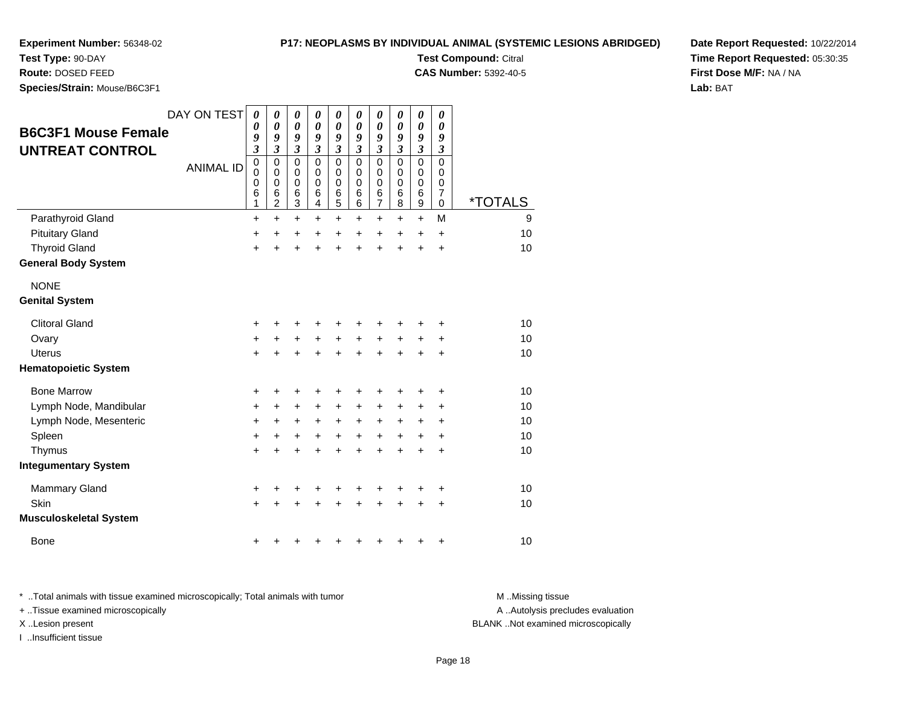**Test Type:** 90-DAY**Route:** DOSED FEED

# **P17: NEOPLASMS BY INDIVIDUAL ANIMAL (SYSTEMIC LESIONS ABRIDGED)**

**Test Compound:** Citral

**CAS Number:** 5392-40-5

**Date Report Requested:** 10/22/2014**Time Report Requested:** 05:30:35**First Dose M/F:** NA / NA**Lab:** BAT

| Species/Strain: Mouse/B6C3F1                         |                  |                                         |                                                   |                                                                |                                                            |                                                                |                                                            |                                                                |                                        |                                                            |                                           |                       |
|------------------------------------------------------|------------------|-----------------------------------------|---------------------------------------------------|----------------------------------------------------------------|------------------------------------------------------------|----------------------------------------------------------------|------------------------------------------------------------|----------------------------------------------------------------|----------------------------------------|------------------------------------------------------------|-------------------------------------------|-----------------------|
| <b>B6C3F1 Mouse Female</b><br><b>UNTREAT CONTROL</b> | DAY ON TEST      | 0<br>0<br>9<br>$\overline{\mathbf{3}}$  | 0<br>$\boldsymbol{\theta}$<br>9<br>$\mathfrak{z}$ | 0<br>$\boldsymbol{\theta}$<br>9<br>$\boldsymbol{\mathfrak{z}}$ | 0<br>$\boldsymbol{\theta}$<br>9<br>$\overline{\mathbf{3}}$ | 0<br>$\boldsymbol{\theta}$<br>9<br>$\boldsymbol{\mathfrak{z}}$ | 0<br>$\boldsymbol{\theta}$<br>9<br>$\overline{\mathbf{3}}$ | 0<br>$\boldsymbol{\theta}$<br>9<br>$\boldsymbol{\mathfrak{z}}$ | 0<br>0<br>9<br>$\overline{\mathbf{3}}$ | 0<br>$\boldsymbol{\theta}$<br>9<br>$\overline{\mathbf{3}}$ | 0<br>0<br>9<br>$\mathfrak{z}$             |                       |
|                                                      | <b>ANIMAL ID</b> | $\pmb{0}$<br>$\mathbf 0$<br>0<br>6<br>1 | 0<br>$\mathbf 0$<br>0<br>6<br>$\overline{c}$      | $\mathbf 0$<br>0<br>$\boldsymbol{0}$<br>6<br>3                 | $\mathbf 0$<br>0<br>0<br>6<br>4                            | $\mathbf 0$<br>0<br>$\boldsymbol{0}$<br>6<br>5                 | $\mathbf 0$<br>0<br>0<br>6<br>6                            | $\mathbf 0$<br>0<br>$\boldsymbol{0}$<br>6<br>$\overline{7}$    | $\mathbf 0$<br>0<br>0<br>6<br>8        | $\mathsf 0$<br>0<br>$\pmb{0}$<br>6<br>9                    | $\mathbf 0$<br>0<br>0<br>7<br>$\mathbf 0$ | <i><b>*TOTALS</b></i> |
| Parathyroid Gland                                    |                  | +                                       | $\ddot{}$                                         | +                                                              | $\ddot{}$                                                  | +                                                              | $\ddot{}$                                                  | +                                                              | $\ddot{}$                              | $\ddot{}$                                                  | M                                         | 9                     |
| <b>Pituitary Gland</b>                               |                  | $\ddot{}$                               | +                                                 | +                                                              | +                                                          | +                                                              | +                                                          | +                                                              | +                                      | +                                                          | +                                         | 10                    |
| <b>Thyroid Gland</b>                                 |                  | $\ddot{}$                               |                                                   | $\ddot{}$                                                      |                                                            | $\ddot{}$                                                      |                                                            | $\ddot{}$                                                      | $\ddot{}$                              | $\ddot{}$                                                  | $\ddot{}$                                 | 10                    |
| <b>General Body System</b>                           |                  |                                         |                                                   |                                                                |                                                            |                                                                |                                                            |                                                                |                                        |                                                            |                                           |                       |
| <b>NONE</b>                                          |                  |                                         |                                                   |                                                                |                                                            |                                                                |                                                            |                                                                |                                        |                                                            |                                           |                       |
| <b>Genital System</b>                                |                  |                                         |                                                   |                                                                |                                                            |                                                                |                                                            |                                                                |                                        |                                                            |                                           |                       |
| <b>Clitoral Gland</b>                                |                  | +                                       |                                                   |                                                                |                                                            |                                                                |                                                            |                                                                |                                        |                                                            | +                                         | 10                    |
| Ovary                                                |                  | +                                       | +                                                 | $\ddot{}$                                                      | $\ddot{}$                                                  | $\ddot{}$                                                      | $\ddot{}$                                                  | $\ddot{}$                                                      | +                                      | +                                                          | +                                         | 10                    |
| <b>Uterus</b>                                        |                  | $\ddot{}$                               |                                                   | $\ddot{}$                                                      |                                                            | $\ddot{}$                                                      |                                                            | $\ddot{}$                                                      |                                        | $\ddot{}$                                                  | $\ddot{}$                                 | 10                    |
| <b>Hematopoietic System</b>                          |                  |                                         |                                                   |                                                                |                                                            |                                                                |                                                            |                                                                |                                        |                                                            |                                           |                       |
| <b>Bone Marrow</b>                                   |                  | +                                       | +                                                 | +                                                              | +                                                          | +                                                              | +                                                          | +                                                              | +                                      | +                                                          | +                                         | 10                    |
| Lymph Node, Mandibular                               |                  | +                                       | $\ddot{}$                                         | +                                                              | +                                                          | +                                                              | $\ddot{}$                                                  | +                                                              | +                                      | +                                                          | $\ddot{}$                                 | 10                    |
| Lymph Node, Mesenteric                               |                  | $\ddot{}$                               | +                                                 | $\ddot{}$                                                      | $\ddot{}$                                                  | $+$                                                            | $\ddot{}$                                                  | $\ddot{}$                                                      | $\ddot{}$                              | $\ddot{}$                                                  | +                                         | 10                    |
| Spleen                                               |                  | +                                       | $\ddot{}$                                         | $\ddot{}$                                                      | $\ddot{}$                                                  | $\ddot{}$                                                      | $\ddot{}$                                                  | $\ddot{}$                                                      | $\ddot{}$                              | $\ddot{}$                                                  | $\ddot{}$                                 | 10                    |
| Thymus                                               |                  | $+$                                     | $\ddot{}$                                         | +                                                              | $\ddot{}$                                                  | +                                                              | $\ddot{}$                                                  | +                                                              | $\ddot{}$                              | +                                                          | +                                         | 10                    |
| <b>Integumentary System</b>                          |                  |                                         |                                                   |                                                                |                                                            |                                                                |                                                            |                                                                |                                        |                                                            |                                           |                       |
| <b>Mammary Gland</b>                                 |                  | +                                       |                                                   |                                                                |                                                            |                                                                |                                                            |                                                                |                                        | +                                                          | +                                         | 10                    |
| Skin                                                 |                  | +                                       |                                                   |                                                                |                                                            |                                                                |                                                            | +                                                              |                                        | +                                                          | +                                         | 10                    |
| <b>Musculoskeletal System</b>                        |                  |                                         |                                                   |                                                                |                                                            |                                                                |                                                            |                                                                |                                        |                                                            |                                           |                       |

| <b>Bone</b> |  |  |
|-------------|--|--|
|             |  |  |

\* ..Total animals with tissue examined microscopically; Total animals with tumor **M** . Missing tissue M ..Missing tissue + ..Tissue examined microscopically X ..Lesion present BLANK ..Not examined microscopically

I ..Insufficient tissue

A ..Autolysis precludes evaluation

<sup>+</sup> <sup>+</sup> <sup>+</sup> <sup>+</sup> <sup>+</sup> <sup>+</sup> <sup>+</sup> <sup>+</sup> <sup>+</sup> <sup>10</sup>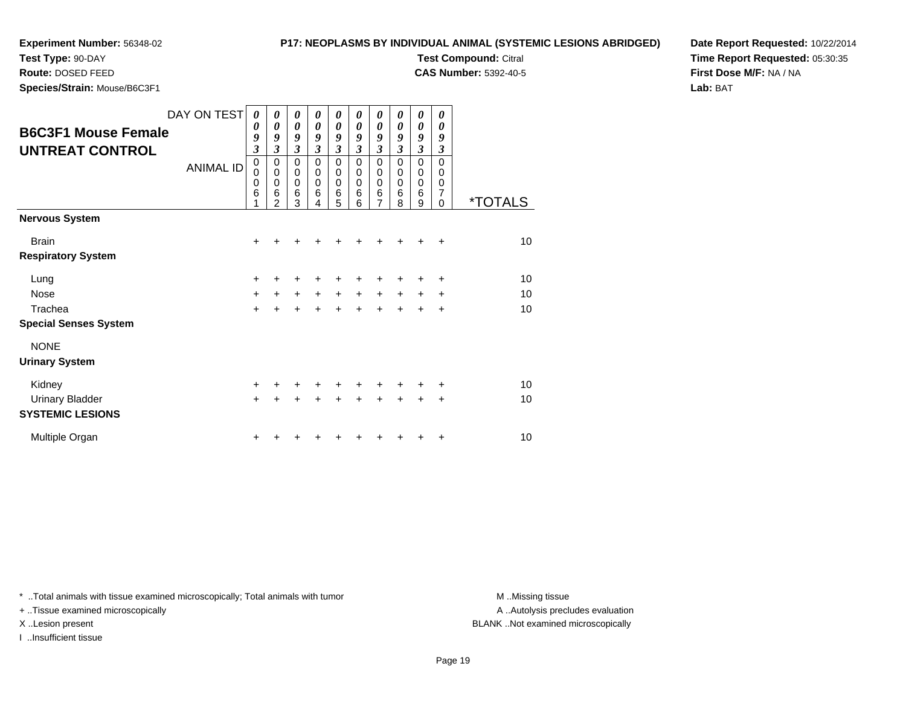# **P17: NEOPLASMS BY INDIVIDUAL ANIMAL (SYSTEMIC LESIONS ABRIDGED)**

**Test Compound:** Citral **CAS Number:** 5392-40-5

**Test Type:** 90-DAY

**Route:** DOSED FEED

**Species/Strain:** Mouse/B6C3F1

**Date Report Requested:** 10/22/2014**Time Report Requested:** 05:30:35**First Dose M/F:** NA / NA**Lab:** BAT

| <b>B6C3F1 Mouse Female</b><br><b>UNTREAT CONTROL</b> | DAY ON TEST<br><b>ANIMAL ID</b> | 0<br>$\boldsymbol{\theta}$<br>9<br>$\boldsymbol{\beta}$<br>$\mathbf 0$<br>$\mathbf 0$<br>$\mathbf 0$<br>6 | 0<br>0<br>9<br>$\mathfrak{z}$<br>$\mathbf 0$<br>$\mathbf 0$<br>$\mathbf 0$<br>6<br>2 | 0<br>$\boldsymbol{\theta}$<br>9<br>$\mathfrak{z}$<br>$\mathbf 0$<br>$\mathsf 0$<br>$\mathbf 0$<br>6<br>3 | 0<br>0<br>9<br>3<br>0<br>0<br>0<br>6<br>4 | 0<br>0<br>9<br>3<br>0<br>0<br>0<br>6<br>5 | 0<br>$\theta$<br>9<br>3<br>0<br>0<br>0<br>6<br>6 | 0<br>$\boldsymbol{\theta}$<br>9<br>$\mathfrak{z}$<br>0<br>$\mathbf 0$<br>$\mathbf 0$<br>6<br>7 | 0<br>0<br>9<br>3<br>0<br>0<br>0<br>6<br>8 | 0<br>$\pmb{\theta}$<br>9<br>$\overline{\mathbf{3}}$<br>0<br>0<br>0<br>6<br>9 | 0<br>0<br>9<br>3<br>$\mathbf 0$<br>0<br>0<br>7<br>0 | <i><b>*TOTALS</b></i> |
|------------------------------------------------------|---------------------------------|-----------------------------------------------------------------------------------------------------------|--------------------------------------------------------------------------------------|----------------------------------------------------------------------------------------------------------|-------------------------------------------|-------------------------------------------|--------------------------------------------------|------------------------------------------------------------------------------------------------|-------------------------------------------|------------------------------------------------------------------------------|-----------------------------------------------------|-----------------------|
| <b>Nervous System</b>                                |                                 |                                                                                                           |                                                                                      |                                                                                                          |                                           |                                           |                                                  |                                                                                                |                                           |                                                                              |                                                     |                       |
| <b>Brain</b>                                         |                                 | $\ddot{}$                                                                                                 |                                                                                      |                                                                                                          |                                           | +                                         | +                                                | +                                                                                              |                                           |                                                                              | ÷                                                   | 10                    |
| <b>Respiratory System</b>                            |                                 |                                                                                                           |                                                                                      |                                                                                                          |                                           |                                           |                                                  |                                                                                                |                                           |                                                                              |                                                     |                       |
| Lung                                                 |                                 | +                                                                                                         |                                                                                      |                                                                                                          |                                           | +                                         |                                                  |                                                                                                |                                           |                                                                              | ٠                                                   | 10                    |
| Nose                                                 |                                 | $\ddot{}$                                                                                                 | $\ddot{}$                                                                            | $\ddot{}$                                                                                                | $\ddot{}$                                 | $\ddot{}$                                 | $+$                                              | $\ddot{}$                                                                                      | $+$                                       | $\ddot{}$                                                                    | ÷                                                   | 10                    |
| Trachea                                              |                                 | $\ddot{}$                                                                                                 |                                                                                      |                                                                                                          |                                           | $\ddot{}$                                 | $\ddot{}$                                        | $\ddot{}$                                                                                      | $\ddot{}$                                 | +                                                                            | $\ddot{}$                                           | 10                    |
| <b>Special Senses System</b>                         |                                 |                                                                                                           |                                                                                      |                                                                                                          |                                           |                                           |                                                  |                                                                                                |                                           |                                                                              |                                                     |                       |
| <b>NONE</b>                                          |                                 |                                                                                                           |                                                                                      |                                                                                                          |                                           |                                           |                                                  |                                                                                                |                                           |                                                                              |                                                     |                       |
| <b>Urinary System</b>                                |                                 |                                                                                                           |                                                                                      |                                                                                                          |                                           |                                           |                                                  |                                                                                                |                                           |                                                                              |                                                     |                       |
| Kidney                                               |                                 | $+$                                                                                                       |                                                                                      | ÷                                                                                                        | ÷                                         | ٠                                         | $\div$                                           | +                                                                                              |                                           | +                                                                            | ÷                                                   | 10                    |
| <b>Urinary Bladder</b>                               |                                 | $+$                                                                                                       |                                                                                      |                                                                                                          |                                           | $\ddot{}$                                 | $\ddot{}$                                        | $\ddot{}$                                                                                      | $\ddot{}$                                 | +                                                                            | $\ddot{}$                                           | 10                    |
| <b>SYSTEMIC LESIONS</b>                              |                                 |                                                                                                           |                                                                                      |                                                                                                          |                                           |                                           |                                                  |                                                                                                |                                           |                                                                              |                                                     |                       |
| Multiple Organ                                       |                                 | ٠                                                                                                         |                                                                                      |                                                                                                          |                                           |                                           |                                                  |                                                                                                |                                           |                                                                              | ٠                                                   | 10                    |

\* ..Total animals with tissue examined microscopically; Total animals with tumor **M** . Missing tissue M ..Missing tissue

+ ..Tissue examined microscopically

I ..Insufficient tissue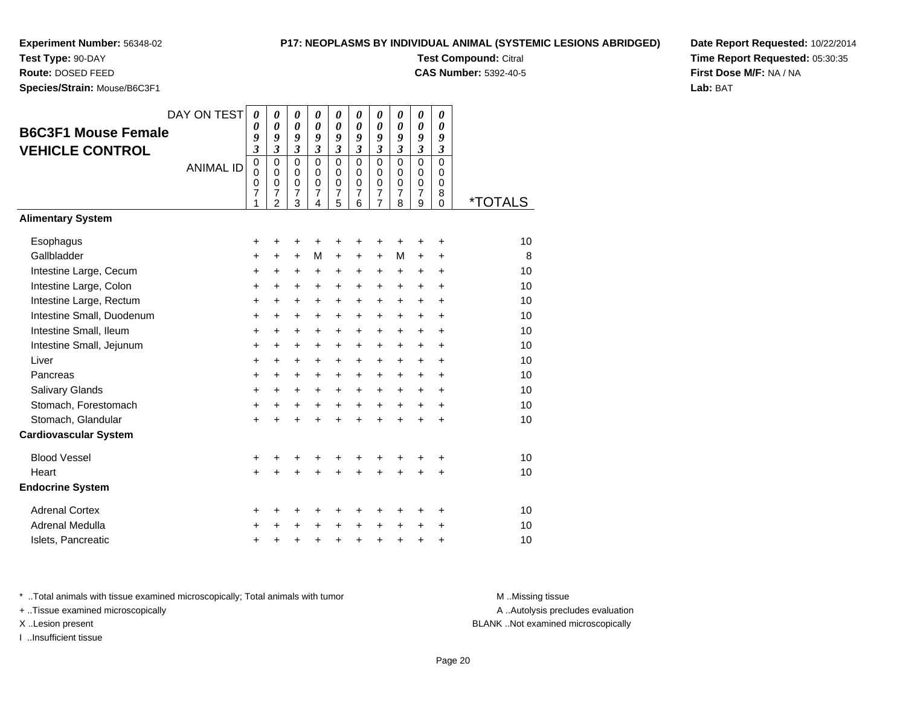# **Test Type:** 90-DAY

**Route:** DOSED FEED

**Species/Strain:** Mouse/B6C3F1

# **P17: NEOPLASMS BY INDIVIDUAL ANIMAL (SYSTEMIC LESIONS ABRIDGED)**

**Test Compound:** Citral

**CAS Number:** 5392-40-5

**Date Report Requested:** 10/22/2014**Time Report Requested:** 05:30:35**First Dose M/F:** NA / NA**Lab:** BAT

| <b>B6C3F1 Mouse Female</b><br><b>VEHICLE CONTROL</b> | DAY ON TEST<br><b>ANIMAL ID</b> | $\boldsymbol{\theta}$<br>0<br>9<br>3<br>$\mathbf 0$<br>$\mathbf 0$<br>0<br>$\overline{7}$<br>1 | $\boldsymbol{\theta}$<br>0<br>9<br>$\mathfrak{z}$<br>$\mathbf 0$<br>$\Omega$<br>0<br>$\overline{7}$<br>$\mathcal{P}$ | 0<br>0<br>9<br>$\boldsymbol{\beta}$<br>$\mathbf 0$<br>$\mathbf 0$<br>0<br>$\boldsymbol{7}$<br>3 | 0<br>0<br>9<br>$\mathfrak{z}$<br>$\mathbf 0$<br>$\mathbf 0$<br>0<br>$\overline{7}$<br>4 | $\boldsymbol{\theta}$<br>$\boldsymbol{\theta}$<br>9<br>$\boldsymbol{\beta}$<br>$\mathbf 0$<br>$\mathbf 0$<br>0<br>$\overline{7}$<br>5 | 0<br>0<br>9<br>3<br>$\Omega$<br>$\Omega$<br>0<br>$\overline{7}$<br>6 | 0<br>0<br>9<br>3<br>$\mathbf 0$<br>0<br>$\frac{0}{7}$<br>$\overline{7}$ | 0<br>0<br>9<br>3<br>$\mathbf 0$<br>0<br>0<br>$\overline{7}$<br>8 | 0<br>0<br>9<br>3<br>0<br>$\mathbf 0$<br>0<br>$\overline{7}$<br>9 | 0<br>0<br>9<br>$\boldsymbol{\beta}$<br>$\mathbf 0$<br>0<br>$\mathbf 0$<br>8<br>$\Omega$ | <i><b>*TOTALS</b></i> |
|------------------------------------------------------|---------------------------------|------------------------------------------------------------------------------------------------|----------------------------------------------------------------------------------------------------------------------|-------------------------------------------------------------------------------------------------|-----------------------------------------------------------------------------------------|---------------------------------------------------------------------------------------------------------------------------------------|----------------------------------------------------------------------|-------------------------------------------------------------------------|------------------------------------------------------------------|------------------------------------------------------------------|-----------------------------------------------------------------------------------------|-----------------------|
| <b>Alimentary System</b>                             |                                 |                                                                                                |                                                                                                                      |                                                                                                 |                                                                                         |                                                                                                                                       |                                                                      |                                                                         |                                                                  |                                                                  |                                                                                         |                       |
| Esophagus                                            |                                 | +                                                                                              | +                                                                                                                    | +                                                                                               | +                                                                                       | +                                                                                                                                     | +                                                                    | +                                                                       | +                                                                | +                                                                | +                                                                                       | 10                    |
| Gallbladder                                          |                                 | +                                                                                              | +                                                                                                                    | +                                                                                               | М                                                                                       | +                                                                                                                                     | +                                                                    | +                                                                       | м                                                                | +                                                                | +                                                                                       | 8                     |
| Intestine Large, Cecum                               |                                 | +                                                                                              | $\ddot{}$                                                                                                            | $\ddot{}$                                                                                       | +                                                                                       | +                                                                                                                                     | +                                                                    | +                                                                       | +                                                                | $\ddot{}$                                                        | $\ddot{}$                                                                               | 10                    |
| Intestine Large, Colon                               |                                 | +                                                                                              | +                                                                                                                    | +                                                                                               | +                                                                                       | +                                                                                                                                     | +                                                                    | +                                                                       | +                                                                | +                                                                | +                                                                                       | 10                    |
| Intestine Large, Rectum                              |                                 | +                                                                                              | $\ddot{}$                                                                                                            | $\ddot{}$                                                                                       | +                                                                                       | $\ddot{}$                                                                                                                             | $\ddot{}$                                                            | +                                                                       | +                                                                | +                                                                | +                                                                                       | 10                    |
| Intestine Small, Duodenum                            |                                 | $\ddot{}$                                                                                      | $\ddot{}$                                                                                                            | $\ddot{}$                                                                                       | +                                                                                       | $\ddot{}$                                                                                                                             | $\ddot{}$                                                            | $\ddot{}$                                                               | $\ddot{}$                                                        | +                                                                | $\ddot{}$                                                                               | 10                    |
| Intestine Small, Ileum                               |                                 | +                                                                                              | $\ddot{}$                                                                                                            | $\ddot{}$                                                                                       | $\ddot{}$                                                                               | $\ddot{}$                                                                                                                             | $\ddot{}$                                                            | $\ddot{}$                                                               | +                                                                | +                                                                | $\ddot{}$                                                                               | 10                    |
| Intestine Small, Jejunum                             |                                 | +                                                                                              | +                                                                                                                    | $\ddot{}$                                                                                       | +                                                                                       | +                                                                                                                                     | +                                                                    | +                                                                       | +                                                                | +                                                                | +                                                                                       | 10                    |
| Liver                                                |                                 | $\ddot{}$                                                                                      | $\ddot{}$                                                                                                            | $\ddot{}$                                                                                       | +                                                                                       | $\ddot{}$                                                                                                                             | $\ddot{}$                                                            | +                                                                       | $\ddot{}$                                                        | +                                                                | $\ddot{}$                                                                               | 10                    |
| Pancreas                                             |                                 | +                                                                                              | +                                                                                                                    | +                                                                                               | +                                                                                       | +                                                                                                                                     | +                                                                    | +                                                                       | +                                                                | +                                                                | +                                                                                       | 10                    |
| Salivary Glands                                      |                                 | +                                                                                              | $\ddot{}$                                                                                                            | $\ddot{}$                                                                                       | +                                                                                       | $\ddot{}$                                                                                                                             | $\ddot{}$                                                            | $\ddot{}$                                                               | +                                                                | +                                                                | $\ddot{}$                                                                               | 10                    |
| Stomach, Forestomach                                 |                                 | +                                                                                              | +                                                                                                                    | $\ddot{}$                                                                                       | $\ddot{}$                                                                               | $\ddot{}$                                                                                                                             | $+$                                                                  | $+$                                                                     | $+$                                                              | $+$                                                              | $\ddot{}$                                                                               | 10                    |
| Stomach, Glandular                                   |                                 | $\ddot{}$                                                                                      |                                                                                                                      | $\ddot{}$                                                                                       | ÷                                                                                       | $\ddot{}$                                                                                                                             | $\ddot{}$                                                            | $\ddot{}$                                                               | $\ddot{}$                                                        | $\ddot{}$                                                        | $\ddot{}$                                                                               | 10                    |
| <b>Cardiovascular System</b>                         |                                 |                                                                                                |                                                                                                                      |                                                                                                 |                                                                                         |                                                                                                                                       |                                                                      |                                                                         |                                                                  |                                                                  |                                                                                         |                       |
| <b>Blood Vessel</b>                                  |                                 | +                                                                                              | +                                                                                                                    | +                                                                                               | +                                                                                       | +                                                                                                                                     | +                                                                    | +                                                                       | +                                                                | +                                                                | +                                                                                       | 10                    |
| Heart                                                |                                 | $\ddot{}$                                                                                      |                                                                                                                      | $\ddot{}$                                                                                       |                                                                                         | $\ddot{}$                                                                                                                             | $\ddot{}$                                                            | $\ddot{}$                                                               | $\ddot{}$                                                        | $\ddot{}$                                                        | $\ddot{}$                                                                               | 10                    |
| <b>Endocrine System</b>                              |                                 |                                                                                                |                                                                                                                      |                                                                                                 |                                                                                         |                                                                                                                                       |                                                                      |                                                                         |                                                                  |                                                                  |                                                                                         |                       |
| <b>Adrenal Cortex</b>                                |                                 | +                                                                                              | +                                                                                                                    | +                                                                                               | +                                                                                       | +                                                                                                                                     | ٠                                                                    | +                                                                       | ٠                                                                | ٠                                                                | +                                                                                       | 10                    |
| Adrenal Medulla                                      |                                 | +                                                                                              |                                                                                                                      | +                                                                                               | +                                                                                       | $\ddot{}$                                                                                                                             | $\ddot{}$                                                            | $\ddot{}$                                                               | $\ddot{}$                                                        | $\ddot{}$                                                        | +                                                                                       | 10                    |
| Islets, Pancreatic                                   |                                 | +                                                                                              | +                                                                                                                    | +                                                                                               | +                                                                                       | +                                                                                                                                     | $\ddot{}$                                                            | $\ddot{}$                                                               | +                                                                | +                                                                | +                                                                                       | 10                    |

\* ..Total animals with tissue examined microscopically; Total animals with tumor **M** . Missing tissue M ..Missing tissue

+ ..Tissue examined microscopically

X ..Lesion present BLANK ..Not examined microscopically

I ..Insufficient tissue

A ..Autolysis precludes evaluation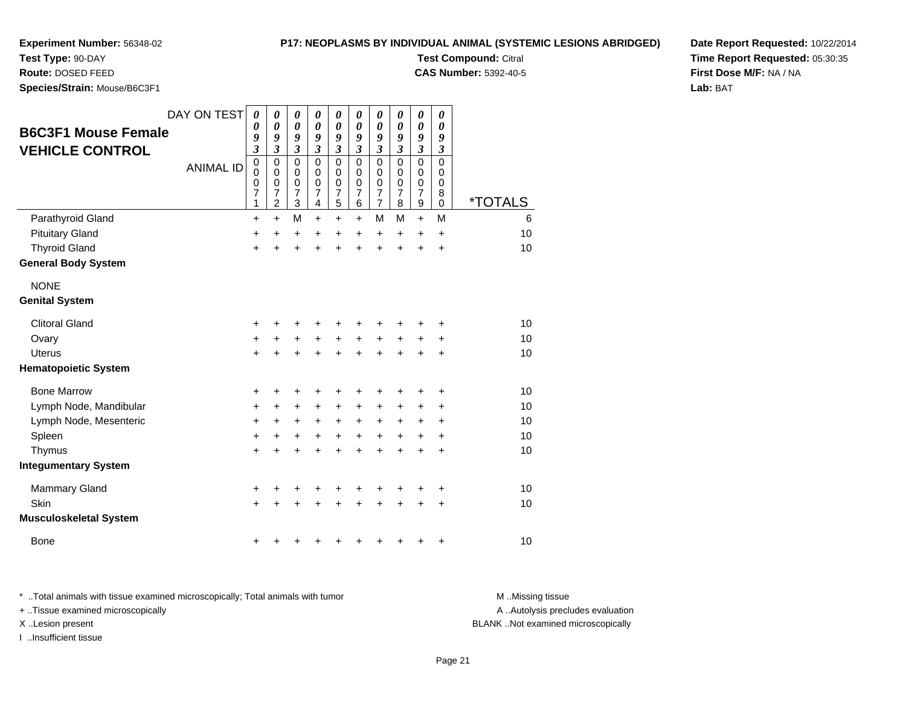**Test Type:** 90-DAY

**Route:** DOSED FEED

**Species/Strain:** Mouse/B6C3F1

### **P17: NEOPLASMS BY INDIVIDUAL ANIMAL (SYSTEMIC LESIONS ABRIDGED)**

**Test Compound:** Citral

**CAS Number:** 5392-40-5

**Date Report Requested:** 10/22/2014**Time Report Requested:** 05:30:35**First Dose M/F:** NA / NA**Lab:** BAT

| <b>B6C3F1 Mouse Female</b><br><b>VEHICLE CONTROL</b> | DAY ON TEST<br><b>ANIMAL ID</b> | 0<br>0<br>9<br>$\boldsymbol{\mathfrak{z}}$<br>$\mathbf 0$<br>0<br>0 | 0<br>0<br>9<br>$\boldsymbol{\mathfrak{z}}$<br>$\mathbf 0$<br>$\mathbf 0$<br>$\mathbf 0$ | 0<br>$\boldsymbol{\theta}$<br>9<br>$\boldsymbol{\mathfrak{z}}$<br>$\mathbf 0$<br>$\mathbf 0$<br>$\mathbf 0$ | 0<br>$\pmb{\theta}$<br>9<br>$\boldsymbol{\mathfrak{z}}$<br>$\mathbf 0$<br>$\mathbf 0$<br>$\mathbf 0$ | 0<br>$\boldsymbol{\theta}$<br>9<br>$\mathfrak{z}$<br>$\mathbf 0$<br>$\mathbf 0$<br>0 | 0<br>0<br>9<br>$\mathfrak{z}$<br>$\mathbf 0$<br>$\mathbf 0$<br>0 | 0<br>0<br>9<br>$\mathfrak{z}$<br>$\mathbf 0$<br>$\mathbf 0$<br>$\boldsymbol{0}$ | 0<br>$\boldsymbol{\theta}$<br>9<br>$\boldsymbol{\mathfrak{z}}$<br>$\Omega$<br>$\Omega$<br>0 | $\pmb{\theta}$<br>$\boldsymbol{\theta}$<br>9<br>$\mathfrak{z}$<br>$\mathbf 0$<br>$\mathbf 0$<br>$\pmb{0}$ | 0<br>$\boldsymbol{\theta}$<br>9<br>3<br>$\mathbf 0$<br>0<br>0 |                       |
|------------------------------------------------------|---------------------------------|---------------------------------------------------------------------|-----------------------------------------------------------------------------------------|-------------------------------------------------------------------------------------------------------------|------------------------------------------------------------------------------------------------------|--------------------------------------------------------------------------------------|------------------------------------------------------------------|---------------------------------------------------------------------------------|---------------------------------------------------------------------------------------------|-----------------------------------------------------------------------------------------------------------|---------------------------------------------------------------|-----------------------|
|                                                      |                                 | $\overline{7}$<br>1                                                 | $\overline{\mathbf{7}}$<br>$\overline{c}$                                               | $\overline{7}$<br>$\mathbf{3}$                                                                              | $\overline{7}$<br>4                                                                                  | $\overline{7}$<br>5                                                                  | $\overline{7}$<br>$\,6$                                          | $\overline{7}$<br>$\overline{7}$                                                | $\overline{7}$<br>8                                                                         | $\overline{7}$<br>$\boldsymbol{9}$                                                                        | 8<br>0                                                        | <i><b>*TOTALS</b></i> |
| Parathyroid Gland                                    |                                 | $\ddot{}$                                                           | $\ddot{}$                                                                               | M                                                                                                           | $\ddot{}$                                                                                            | $\ddot{}$                                                                            | $\ddot{}$                                                        | М                                                                               | M                                                                                           | $+$                                                                                                       | M                                                             | 6                     |
| <b>Pituitary Gland</b>                               |                                 | +                                                                   | $\ddot{}$                                                                               | +                                                                                                           | +                                                                                                    | +                                                                                    | +                                                                | +                                                                               | +                                                                                           | +                                                                                                         | $\ddot{}$                                                     | 10                    |
| <b>Thyroid Gland</b>                                 |                                 | +                                                                   | Ŧ.                                                                                      | $\ddot{}$                                                                                                   | Ŧ.                                                                                                   | $\ddot{}$                                                                            | $\ddot{}$                                                        | $\ddot{}$                                                                       | $\ddot{}$                                                                                   | $\ddot{}$                                                                                                 | $\ddot{}$                                                     | 10                    |
| <b>General Body System</b>                           |                                 |                                                                     |                                                                                         |                                                                                                             |                                                                                                      |                                                                                      |                                                                  |                                                                                 |                                                                                             |                                                                                                           |                                                               |                       |
| <b>NONE</b>                                          |                                 |                                                                     |                                                                                         |                                                                                                             |                                                                                                      |                                                                                      |                                                                  |                                                                                 |                                                                                             |                                                                                                           |                                                               |                       |
| <b>Genital System</b>                                |                                 |                                                                     |                                                                                         |                                                                                                             |                                                                                                      |                                                                                      |                                                                  |                                                                                 |                                                                                             |                                                                                                           |                                                               |                       |
| <b>Clitoral Gland</b>                                |                                 | +                                                                   |                                                                                         | +                                                                                                           |                                                                                                      | +                                                                                    |                                                                  | +                                                                               |                                                                                             |                                                                                                           | +                                                             | 10                    |
| Ovary                                                |                                 | $\ddot{}$                                                           | $\ddot{}$                                                                               | $\ddot{}$                                                                                                   | +                                                                                                    | $\ddot{}$                                                                            | $\ddot{}$                                                        | +                                                                               | +                                                                                           | +                                                                                                         | +                                                             | 10                    |
| <b>Uterus</b>                                        |                                 | $\ddot{}$                                                           |                                                                                         |                                                                                                             |                                                                                                      | $\ddot{}$                                                                            | $\ddot{}$                                                        | $\ddot{}$                                                                       | ÷                                                                                           | +                                                                                                         | $\ddot{}$                                                     | 10                    |
| <b>Hematopoietic System</b>                          |                                 |                                                                     |                                                                                         |                                                                                                             |                                                                                                      |                                                                                      |                                                                  |                                                                                 |                                                                                             |                                                                                                           |                                                               |                       |
| <b>Bone Marrow</b>                                   |                                 | +                                                                   | +                                                                                       | +                                                                                                           | +                                                                                                    | +                                                                                    | +                                                                | +                                                                               | +                                                                                           | +                                                                                                         | +                                                             | 10                    |
| Lymph Node, Mandibular                               |                                 | +                                                                   | +                                                                                       | +                                                                                                           | +                                                                                                    | +                                                                                    | +                                                                | +                                                                               | +                                                                                           | +                                                                                                         | +                                                             | 10                    |
| Lymph Node, Mesenteric                               |                                 | $\pm$                                                               | +                                                                                       | $\ddot{}$                                                                                                   | $\pm$                                                                                                | $\ddot{}$                                                                            | $\ddot{}$                                                        | +                                                                               | +                                                                                           | $\ddot{}$                                                                                                 | +                                                             | 10                    |
| Spleen                                               |                                 | +                                                                   | +                                                                                       | +                                                                                                           | +                                                                                                    | $\ddot{}$                                                                            | $\ddot{}$                                                        | $\ddot{}$                                                                       | $\ddot{}$                                                                                   | $\ddot{}$                                                                                                 | $\ddot{}$                                                     | 10                    |
| Thymus                                               |                                 | $\ddot{}$                                                           | +                                                                                       | +                                                                                                           | +                                                                                                    | $\ddot{}$                                                                            | $\ddot{}$                                                        | $\ddot{}$                                                                       | $\ddot{}$                                                                                   | $\ddot{}$                                                                                                 | $\ddot{}$                                                     | 10                    |
| <b>Integumentary System</b>                          |                                 |                                                                     |                                                                                         |                                                                                                             |                                                                                                      |                                                                                      |                                                                  |                                                                                 |                                                                                             |                                                                                                           |                                                               |                       |
| <b>Mammary Gland</b>                                 |                                 | +                                                                   |                                                                                         | +                                                                                                           | +                                                                                                    | +                                                                                    | +                                                                | +                                                                               | +                                                                                           | +                                                                                                         | +                                                             | 10                    |
| <b>Skin</b>                                          |                                 | $\ddot{}$                                                           |                                                                                         |                                                                                                             |                                                                                                      |                                                                                      |                                                                  | +                                                                               |                                                                                             | +                                                                                                         | +                                                             | 10                    |
| <b>Musculoskeletal System</b>                        |                                 |                                                                     |                                                                                         |                                                                                                             |                                                                                                      |                                                                                      |                                                                  |                                                                                 |                                                                                             |                                                                                                           |                                                               |                       |
| <b>Bone</b>                                          |                                 | +                                                                   |                                                                                         |                                                                                                             |                                                                                                      |                                                                                      |                                                                  | +                                                                               | +                                                                                           | +                                                                                                         | +                                                             | 10                    |

\* ..Total animals with tissue examined microscopically; Total animals with tumor **M** . Missing tissue M ..Missing tissue A ..Autolysis precludes evaluation + ..Tissue examined microscopically X ..Lesion present BLANK ..Not examined microscopicallyI ..Insufficient tissue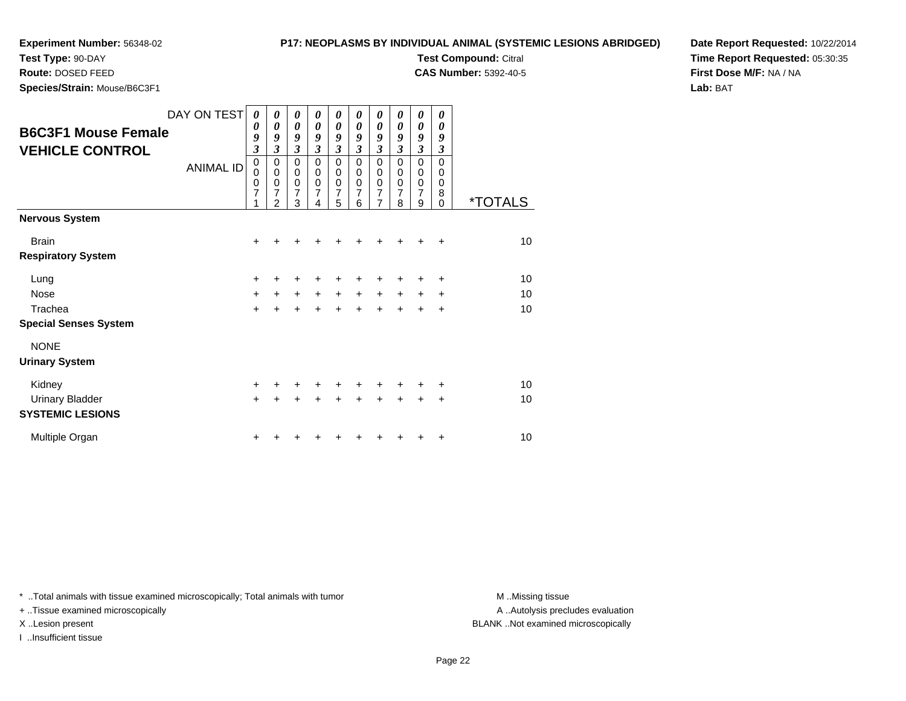# **P17: NEOPLASMS BY INDIVIDUAL ANIMAL (SYSTEMIC LESIONS ABRIDGED)Test Compound:** Citral

**CAS Number:** 5392-40-5

**Test Type:** 90-DAY**Route:** DOSED FEED

**Species/Strain:** Mouse/B6C3F1

**Date Report Requested:** 10/22/2014**Time Report Requested:** 05:30:35**First Dose M/F:** NA / NA**Lab:** BAT

|                              | DAY ON TEST      | 0                         | 0                   | 0                           | 0                | 0                           | 0                | 0                             | 0         | 0                     | 0         |                       |
|------------------------------|------------------|---------------------------|---------------------|-----------------------------|------------------|-----------------------------|------------------|-------------------------------|-----------|-----------------------|-----------|-----------------------|
| <b>B6C3F1 Mouse Female</b>   |                  | 0                         | 0                   | 0                           | 0                | $\boldsymbol{\theta}$       | 0                | $\boldsymbol{\theta}$         | 0         | $\boldsymbol{\theta}$ | 0         |                       |
| <b>VEHICLE CONTROL</b>       |                  | 9<br>$\boldsymbol{\beta}$ | 9<br>$\mathfrak{z}$ | 9<br>$\mathfrak{z}$         | 9<br>3           | 9<br>$\mathfrak{z}$         | 9<br>3           | 9<br>$\mathfrak{z}$           | 9<br>3    | 9<br>$\mathfrak{z}$   | 9<br>3    |                       |
|                              |                  | 0                         | 0                   | $\mathbf 0$                 | $\mathbf 0$      | $\mathbf 0$                 | $\mathbf 0$      | $\mathbf 0$                   | 0         | $\pmb{0}$             | 0         |                       |
|                              | <b>ANIMAL ID</b> | $\mathbf 0$               | 0                   | $\pmb{0}$                   | 0                | 0                           | 0                | $\pmb{0}$                     | 0         | $\,0\,$               | 0         |                       |
|                              |                  | $\pmb{0}$<br>7            | $\pmb{0}$<br>7      | $\pmb{0}$<br>$\overline{7}$ | $\mathbf 0$<br>7 | $\pmb{0}$<br>$\overline{7}$ | $\mathbf 0$<br>7 | $\mathbf 0$<br>$\overline{7}$ | 0<br>7    | $\pmb{0}$<br>7        | 0<br>8    |                       |
|                              |                  | 1                         | $\overline{2}$      | 3                           | 4                | 5                           | 6                | $\overline{7}$                | 8         | 9                     | $\Omega$  | <i><b>*TOTALS</b></i> |
| <b>Nervous System</b>        |                  |                           |                     |                             |                  |                             |                  |                               |           |                       |           |                       |
| <b>Brain</b>                 |                  | +                         |                     |                             |                  |                             |                  | +                             |           |                       | ÷         | 10 <sup>1</sup>       |
| <b>Respiratory System</b>    |                  |                           |                     |                             |                  |                             |                  |                               |           |                       |           |                       |
| Lung                         |                  | +                         |                     | ÷                           | ٠                | +                           | ٠                | +                             | +         | +                     | +         | 10                    |
| <b>Nose</b>                  |                  | $\ddot{}$                 | $\ddot{}$           | $\ddot{}$                   | $\ddot{}$        | $\ddot{}$                   | $\ddot{}$        | $\ddot{}$                     | $\ddot{}$ | $\ddot{}$             | +         | 10                    |
| Trachea                      |                  | $\ddot{}$                 |                     |                             |                  | $\ddot{}$                   | $\ddot{}$        | $\ddot{}$                     | $\ddot{}$ | $\div$                | $\ddot{}$ | 10                    |
| <b>Special Senses System</b> |                  |                           |                     |                             |                  |                             |                  |                               |           |                       |           |                       |
| <b>NONE</b>                  |                  |                           |                     |                             |                  |                             |                  |                               |           |                       |           |                       |
| <b>Urinary System</b>        |                  |                           |                     |                             |                  |                             |                  |                               |           |                       |           |                       |
| Kidney                       |                  | +                         |                     | ÷                           | ٠                | +                           | ٠                | ٠                             | ٠         | +                     | ÷         | 10                    |
| <b>Urinary Bladder</b>       |                  | $+$                       |                     |                             |                  | $\div$                      | $\ddot{}$        | $\ddot{}$                     | $\div$    | $\pm$                 | $\ddot{}$ | 10                    |
| <b>SYSTEMIC LESIONS</b>      |                  |                           |                     |                             |                  |                             |                  |                               |           |                       |           |                       |
| Multiple Organ               |                  | ٠                         |                     |                             |                  |                             |                  |                               |           |                       | ٠         | 10                    |

\* ..Total animals with tissue examined microscopically; Total animals with tumor **M** . Missing tissue M ..Missing tissue

+ ..Tissue examined microscopically

I ..Insufficient tissue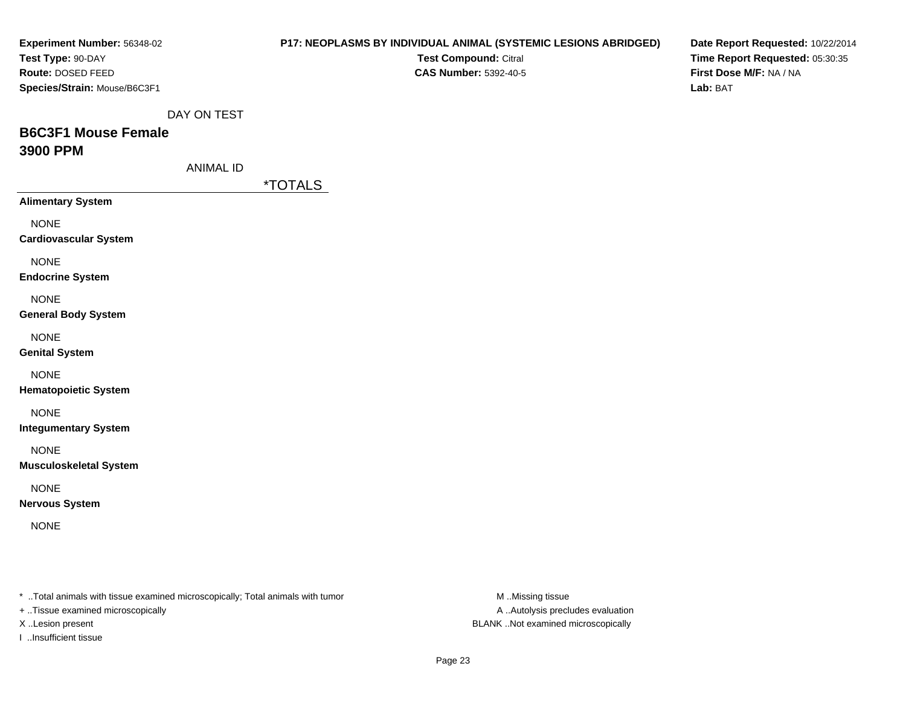| Experiment Number: 56348-02<br>Test Type: 90-DAY<br>Route: DOSED FEED<br>Species/Strain: Mouse/B6C3F1               |                  |                       | Test Compound: Citral<br><b>CAS Number: 5392-40-5</b> | <b>P17: NEOPLASMS BY INDIVIDUAL ANIMAL (SYSTEMIC LESIONS ABRIDGED)</b> | Date Report Requested: 10/22/2014<br>Time Report Requested: 05:30:35<br>First Dose M/F: NA / NA<br>Lab: BAT |
|---------------------------------------------------------------------------------------------------------------------|------------------|-----------------------|-------------------------------------------------------|------------------------------------------------------------------------|-------------------------------------------------------------------------------------------------------------|
|                                                                                                                     | DAY ON TEST      |                       |                                                       |                                                                        |                                                                                                             |
| <b>B6C3F1 Mouse Female</b><br>3900 PPM                                                                              |                  |                       |                                                       |                                                                        |                                                                                                             |
|                                                                                                                     | <b>ANIMAL ID</b> |                       |                                                       |                                                                        |                                                                                                             |
| <b>Alimentary System</b>                                                                                            |                  | <i><b>*TOTALS</b></i> |                                                       |                                                                        |                                                                                                             |
| <b>NONE</b><br><b>Cardiovascular System</b>                                                                         |                  |                       |                                                       |                                                                        |                                                                                                             |
| <b>NONE</b><br><b>Endocrine System</b>                                                                              |                  |                       |                                                       |                                                                        |                                                                                                             |
| <b>NONE</b><br><b>General Body System</b>                                                                           |                  |                       |                                                       |                                                                        |                                                                                                             |
| <b>NONE</b><br><b>Genital System</b>                                                                                |                  |                       |                                                       |                                                                        |                                                                                                             |
| <b>NONE</b><br><b>Hematopoietic System</b>                                                                          |                  |                       |                                                       |                                                                        |                                                                                                             |
| <b>NONE</b><br><b>Integumentary System</b>                                                                          |                  |                       |                                                       |                                                                        |                                                                                                             |
| <b>NONE</b><br><b>Musculoskeletal System</b>                                                                        |                  |                       |                                                       |                                                                        |                                                                                                             |
| <b>NONE</b><br><b>Nervous System</b>                                                                                |                  |                       |                                                       |                                                                        |                                                                                                             |
| <b>NONE</b>                                                                                                         |                  |                       |                                                       |                                                                        |                                                                                                             |
| * Total animals with tissue examined microscopically; Total animals with tumor<br>+ Tissue examined microscopically |                  |                       |                                                       | M Missing tissue<br>A  Autolysis precludes evaluation                  |                                                                                                             |

I ..Insufficient tissue

X ..Lesion present BLANK ..Not examined microscopically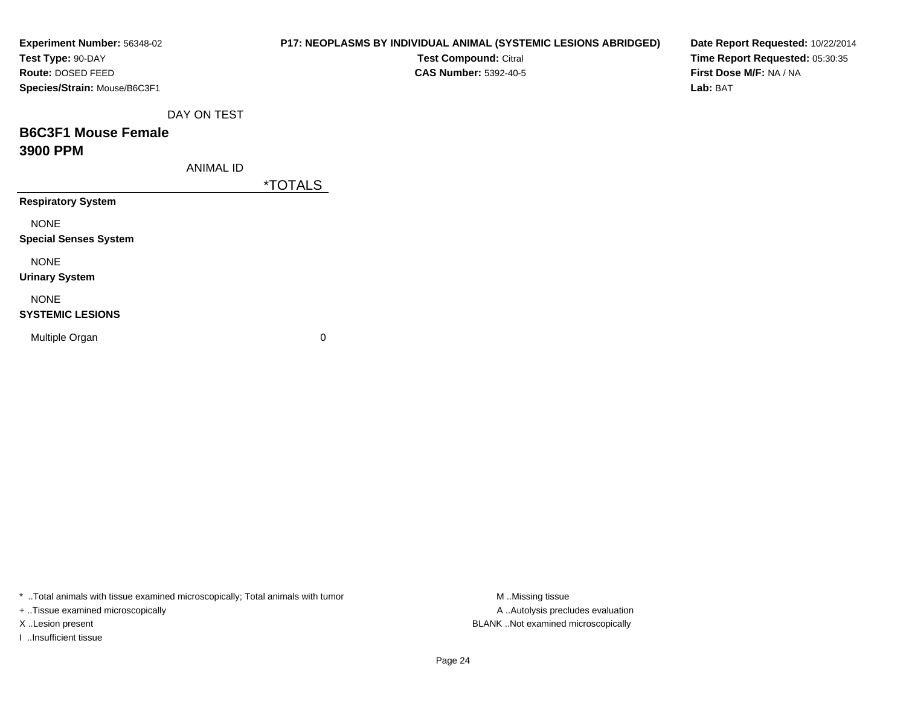| Experiment Number: 56348-02<br>Test Type: 90-DAY  |                  | P17: NEOPLASMS BY INDIVIDUAL ANIMAL (SYSTEMIC LESIONS ABRIDGED)<br>Test Compound: Citral | Date Report Requested: 10/22/2014<br>Time Report Requested: 05:30:35 |
|---------------------------------------------------|------------------|------------------------------------------------------------------------------------------|----------------------------------------------------------------------|
| Route: DOSED FEED<br>Species/Strain: Mouse/B6C3F1 |                  | <b>CAS Number: 5392-40-5</b>                                                             | First Dose M/F: NA / NA<br>Lab: BAT                                  |
|                                                   | DAY ON TEST      |                                                                                          |                                                                      |
| <b>B6C3F1 Mouse Female</b>                        |                  |                                                                                          |                                                                      |
| 3900 PPM                                          |                  |                                                                                          |                                                                      |
|                                                   | <b>ANIMAL ID</b> |                                                                                          |                                                                      |
|                                                   |                  | <i><b>*TOTALS</b></i>                                                                    |                                                                      |
| <b>Respiratory System</b>                         |                  |                                                                                          |                                                                      |
| <b>NONE</b>                                       |                  |                                                                                          |                                                                      |
| <b>Special Senses System</b>                      |                  |                                                                                          |                                                                      |
| <b>NONE</b>                                       |                  |                                                                                          |                                                                      |
| <b>Urinary System</b>                             |                  |                                                                                          |                                                                      |
| <b>NONE</b>                                       |                  |                                                                                          |                                                                      |
| <b>SYSTEMIC LESIONS</b>                           |                  |                                                                                          |                                                                      |
| Multiple Organ                                    |                  | 0                                                                                        |                                                                      |
|                                                   |                  |                                                                                          |                                                                      |
|                                                   |                  |                                                                                          |                                                                      |

\* ..Total animals with tissue examined microscopically; Total animals with tumor M..Missing tissue M ..Missing tissue

+ ..Tissue examined microscopically

I ..Insufficient tissue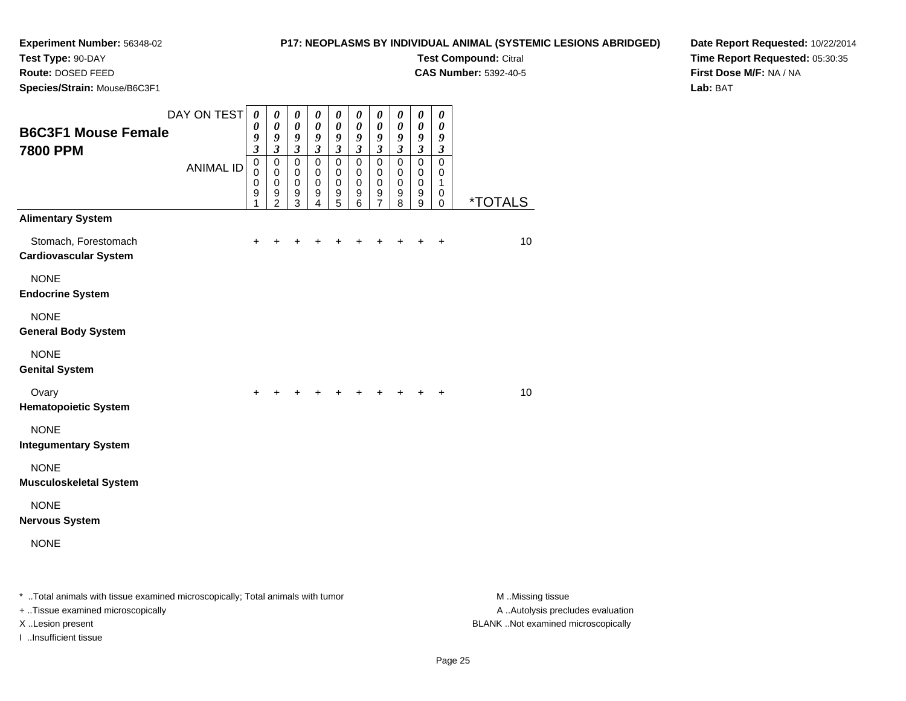# **P17: NEOPLASMS BY INDIVIDUAL ANIMAL (SYSTEMIC LESIONS ABRIDGED)**

**Test Compound:** Citral **CAS Number:** 5392-40-5

**Test Type:** 90-DAY

**Route:** DOSED FEED

**Species/Strain:** Mouse/B6C3F1

**Date Report Requested:** 10/22/2014**Time Report Requested:** 05:30:35**First Dose M/F:** NA / NA**Lab:** BAT

| <b>B6C3F1 Mouse Female</b>                                                     | DAY ON TEST      | $\boldsymbol{\theta}$<br>0<br>9                                              | $\boldsymbol{\theta}$<br>$\boldsymbol{\theta}$<br>9            | 0<br>$\boldsymbol{\theta}$<br>9                                                    | $\boldsymbol{\theta}$<br>0<br>9                                                    | 0<br>$\boldsymbol{\theta}$<br>9                                       | $\boldsymbol{\theta}$<br>0<br>9                                       | $\boldsymbol{\theta}$<br>0<br>9                                                  | 0<br>$\boldsymbol{\theta}$<br>9                                                | $\pmb{\theta}$<br>$\boldsymbol{\theta}$<br>9                          | 0<br>0<br>9                                                 |                       |
|--------------------------------------------------------------------------------|------------------|------------------------------------------------------------------------------|----------------------------------------------------------------|------------------------------------------------------------------------------------|------------------------------------------------------------------------------------|-----------------------------------------------------------------------|-----------------------------------------------------------------------|----------------------------------------------------------------------------------|--------------------------------------------------------------------------------|-----------------------------------------------------------------------|-------------------------------------------------------------|-----------------------|
| <b>7800 PPM</b>                                                                | <b>ANIMAL ID</b> | $\overline{\mathbf{3}}$<br>$\pmb{0}$<br>$\mathbf 0$<br>$\mathbf 0$<br>9<br>1 | $\mathfrak{z}$<br>0<br>$\mathbf 0$<br>0<br>9<br>$\overline{2}$ | $\mathfrak{z}$<br>$\mathbf 0$<br>$\mathbf 0$<br>$\mathbf 0$<br>9<br>$\overline{3}$ | $\mathfrak{z}$<br>$\mathbf 0$<br>$\mathbf 0$<br>$\mathbf 0$<br>9<br>$\overline{4}$ | $\mathfrak{z}$<br>$\mathbf 0$<br>$\mathbf 0$<br>$\mathbf 0$<br>9<br>5 | $\mathfrak{z}$<br>$\mathbf 0$<br>$\mathbf 0$<br>$\mathbf 0$<br>9<br>6 | $\mathfrak{z}$<br>$\mathbf 0$<br>$\pmb{0}$<br>$\mathbf 0$<br>9<br>$\overline{7}$ | $\mathfrak{z}$<br>$\pmb{0}$<br>$\pmb{0}$<br>$\mathbf 0$<br>9<br>$\overline{8}$ | $\mathfrak{z}$<br>$\mathbf 0$<br>$\mathbf 0$<br>$\mathbf 0$<br>9<br>9 | $\mathfrak{z}$<br>$\mathbf 0$<br>0<br>1<br>0<br>$\mathbf 0$ | <i><b>*TOTALS</b></i> |
| <b>Alimentary System</b>                                                       |                  |                                                                              |                                                                |                                                                                    |                                                                                    |                                                                       |                                                                       |                                                                                  |                                                                                |                                                                       |                                                             |                       |
| Stomach, Forestomach<br><b>Cardiovascular System</b>                           |                  | +                                                                            |                                                                |                                                                                    |                                                                                    |                                                                       |                                                                       |                                                                                  |                                                                                | +                                                                     | $\ddot{}$                                                   | 10                    |
| <b>NONE</b><br><b>Endocrine System</b>                                         |                  |                                                                              |                                                                |                                                                                    |                                                                                    |                                                                       |                                                                       |                                                                                  |                                                                                |                                                                       |                                                             |                       |
| <b>NONE</b><br><b>General Body System</b>                                      |                  |                                                                              |                                                                |                                                                                    |                                                                                    |                                                                       |                                                                       |                                                                                  |                                                                                |                                                                       |                                                             |                       |
| <b>NONE</b><br><b>Genital System</b>                                           |                  |                                                                              |                                                                |                                                                                    |                                                                                    |                                                                       |                                                                       |                                                                                  |                                                                                |                                                                       |                                                             |                       |
| Ovary<br><b>Hematopoietic System</b>                                           |                  | $\ddot{}$                                                                    |                                                                |                                                                                    | $\pm$                                                                              | $\pm$                                                                 | $+$                                                                   | $\pm$                                                                            | $\pm$                                                                          | $+$                                                                   | $\ddot{}$                                                   | 10 <sup>1</sup>       |
| <b>NONE</b><br><b>Integumentary System</b>                                     |                  |                                                                              |                                                                |                                                                                    |                                                                                    |                                                                       |                                                                       |                                                                                  |                                                                                |                                                                       |                                                             |                       |
| <b>NONE</b><br><b>Musculoskeletal System</b>                                   |                  |                                                                              |                                                                |                                                                                    |                                                                                    |                                                                       |                                                                       |                                                                                  |                                                                                |                                                                       |                                                             |                       |
| <b>NONE</b><br><b>Nervous System</b>                                           |                  |                                                                              |                                                                |                                                                                    |                                                                                    |                                                                       |                                                                       |                                                                                  |                                                                                |                                                                       |                                                             |                       |
| <b>NONE</b>                                                                    |                  |                                                                              |                                                                |                                                                                    |                                                                                    |                                                                       |                                                                       |                                                                                  |                                                                                |                                                                       |                                                             |                       |
| * Total animals with tissue examined microscopically; Total animals with tumor |                  |                                                                              |                                                                |                                                                                    |                                                                                    |                                                                       |                                                                       |                                                                                  |                                                                                |                                                                       |                                                             | M Missing tissue      |

+ ..Tissue examined microscopically

I ..Insufficient tissue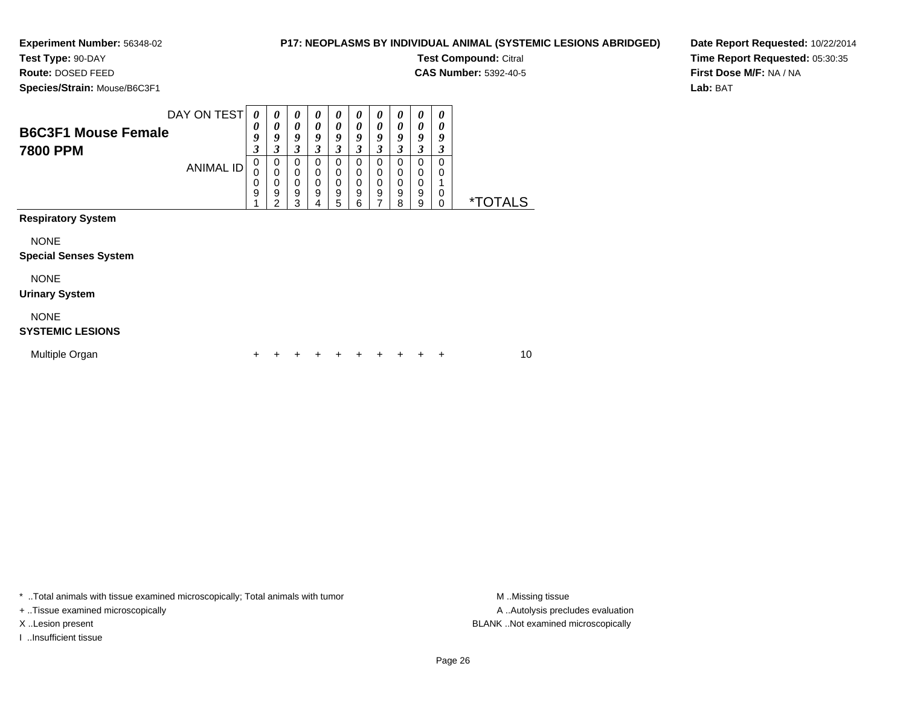**Test Type:** 90-DAY

**Route:** DOSED FEED

**Species/Strain:** Mouse/B6C3F1

### **P17: NEOPLASMS BY INDIVIDUAL ANIMAL (SYSTEMIC LESIONS ABRIDGED)**

**Test Compound:** Citral

**CAS Number:** 5392-40-5

**Date Report Requested:** 10/22/2014**Time Report Requested:** 05:30:35**First Dose M/F:** NA / NA**Lab:** BAT

|                                               | DAY ON TEST      | $\boldsymbol{\theta}$                | 0                               | 0                                       | 0                               | 0                     | $\boldsymbol{\theta}$                        | 0                               | 0                                    | 0                     | $\boldsymbol{\theta}$ |                       |  |
|-----------------------------------------------|------------------|--------------------------------------|---------------------------------|-----------------------------------------|---------------------------------|-----------------------|----------------------------------------------|---------------------------------|--------------------------------------|-----------------------|-----------------------|-----------------------|--|
| <b>B6C3F1 Mouse Female</b><br><b>7800 PPM</b> |                  | 0<br>9<br>3                          | $\boldsymbol{\theta}$<br>9<br>3 | $\boldsymbol{\theta}$<br>9<br>3         | 0<br>9<br>3                     | 0<br>9<br>3           | 0<br>9<br>3                                  | $\boldsymbol{\theta}$<br>9<br>3 | 0<br>9<br>3                          | 0<br>9<br>3           | 0<br>9<br>3           |                       |  |
|                                               | <b>ANIMAL ID</b> | $\mathbf 0$<br>$\mathbf 0$<br>0<br>9 | 0<br>$\mathbf 0$<br>0<br>9<br>2 | 0<br>$\pmb{0}$<br>$\mathbf 0$<br>9<br>3 | 0<br>0<br>$\mathbf 0$<br>9<br>4 | 0<br>0<br>0<br>9<br>5 | 0<br>0<br>$\pmb{0}$<br>$\boldsymbol{9}$<br>6 | 0<br>0<br>0<br>9<br>7           | 0<br>0<br>0<br>$\boldsymbol{9}$<br>8 | 0<br>0<br>0<br>9<br>9 | 0<br>0<br>1<br>0<br>0 | <i><b>*TOTALS</b></i> |  |
| <b>Respiratory System</b>                     |                  |                                      |                                 |                                         |                                 |                       |                                              |                                 |                                      |                       |                       |                       |  |
| <b>NONE</b><br><b>Special Senses System</b>   |                  |                                      |                                 |                                         |                                 |                       |                                              |                                 |                                      |                       |                       |                       |  |
| <b>NONE</b><br><b>Urinary System</b>          |                  |                                      |                                 |                                         |                                 |                       |                                              |                                 |                                      |                       |                       |                       |  |
| <b>NONE</b><br><b>SYSTEMIC LESIONS</b>        |                  |                                      |                                 |                                         |                                 |                       |                                              |                                 |                                      |                       |                       |                       |  |
| Multiple Organ                                |                  |                                      |                                 |                                         |                                 |                       | +                                            |                                 |                                      |                       | ÷                     | 10                    |  |

\* ..Total animals with tissue examined microscopically; Total animals with tumor **M** . Missing tissue M ..Missing tissue

+ ..Tissue examined microscopically

I ..Insufficient tissue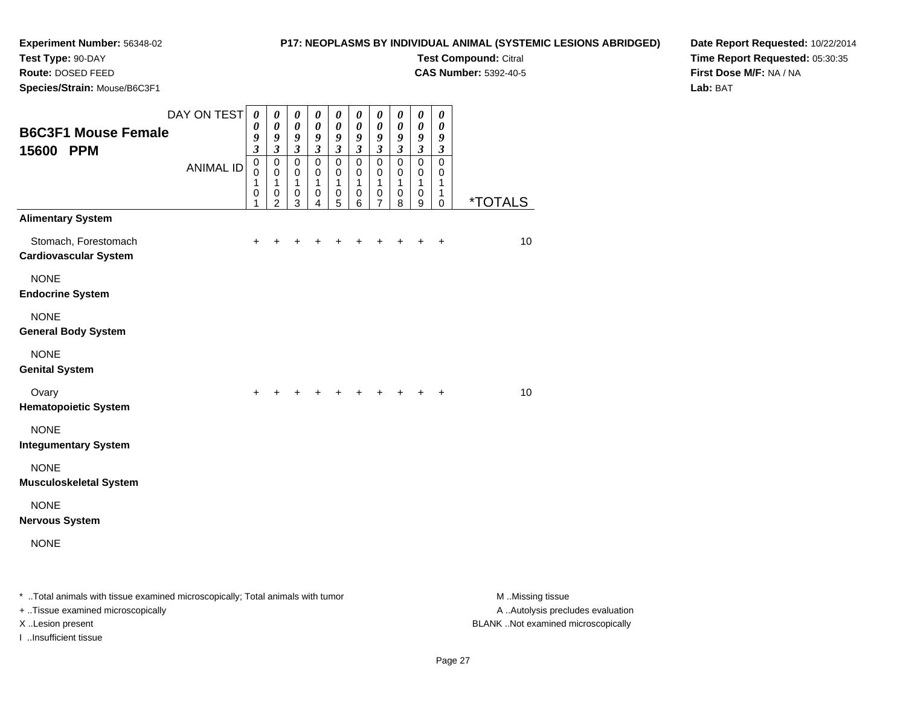# **P17: NEOPLASMS BY INDIVIDUAL ANIMAL (SYSTEMIC LESIONS ABRIDGED)**

**Test Compound:** Citral **CAS Number:** 5392-40-5

**Test Type:** 90-DAY

**Route:** DOSED FEED

**Species/Strain:** Mouse/B6C3F1

**Date Report Requested:** 10/22/2014**Time Report Requested:** 05:30:35**First Dose M/F:** NA / NA

**Lab:** BAT

|                                                                                | DAY ON TEST      | 0<br>0                          | $\boldsymbol{\theta}$<br>$\boldsymbol{\theta}$ | 0<br>0                                    | $\boldsymbol{\theta}$<br>$\boldsymbol{\theta}$         | $\boldsymbol{\theta}$<br>$\boldsymbol{\theta}$ | $\boldsymbol{\theta}$<br>$\pmb{\theta}$  | 0<br>0                                          | 0<br>0                                   | 0<br>$\pmb{\theta}$                                        | 0<br>$\boldsymbol{\theta}$                        |                       |
|--------------------------------------------------------------------------------|------------------|---------------------------------|------------------------------------------------|-------------------------------------------|--------------------------------------------------------|------------------------------------------------|------------------------------------------|-------------------------------------------------|------------------------------------------|------------------------------------------------------------|---------------------------------------------------|-----------------------|
| <b>B6C3F1 Mouse Female</b><br>15600 PPM                                        |                  | 9<br>$\mathfrak{z}$             | 9<br>$\boldsymbol{\beta}$                      | 9<br>$\boldsymbol{\mathfrak{z}}$          | 9<br>$\boldsymbol{\beta}$                              | 9<br>$\mathfrak{z}$                            | $\boldsymbol{g}$<br>$\boldsymbol{\beta}$ | 9<br>$\mathfrak{z}$                             | $\boldsymbol{g}$<br>$\boldsymbol{\beta}$ | $\boldsymbol{g}$<br>$\mathfrak{z}$                         | $\boldsymbol{g}$<br>$\boldsymbol{\beta}$          |                       |
|                                                                                | <b>ANIMAL ID</b> | $\mathbf 0$<br>0<br>1<br>0<br>1 | $\mathbf 0$<br>0<br>1<br>0<br>$\overline{2}$   | $\mathbf 0$<br>0<br>1<br>$\mathbf 0$<br>3 | $\mathbf 0$<br>$\mathbf 0$<br>1<br>0<br>$\overline{4}$ | $\mathbf 0$<br>0<br>1<br>0<br>5                | $\mathbf 0$<br>0<br>1<br>$\,0\,$<br>6    | $\Omega$<br>0<br>1<br>$\,0\,$<br>$\overline{7}$ | $\mathbf 0$<br>0<br>1<br>$\,0\,$<br>8    | $\mathbf 0$<br>$\mathbf 0$<br>$\mathbf{1}$<br>$\,0\,$<br>9 | $\Omega$<br>0<br>1<br>$\mathbf{1}$<br>$\mathbf 0$ | <i><b>*TOTALS</b></i> |
| <b>Alimentary System</b>                                                       |                  |                                 |                                                |                                           |                                                        |                                                |                                          |                                                 |                                          |                                                            |                                                   |                       |
| Stomach, Forestomach<br><b>Cardiovascular System</b>                           |                  | $\ddot{}$                       | +                                              | +                                         | +                                                      | +                                              | +                                        | +                                               | $\ddot{}$                                | $\ddot{}$                                                  | $\ddot{}$                                         | 10                    |
| <b>NONE</b><br><b>Endocrine System</b>                                         |                  |                                 |                                                |                                           |                                                        |                                                |                                          |                                                 |                                          |                                                            |                                                   |                       |
| <b>NONE</b><br><b>General Body System</b>                                      |                  |                                 |                                                |                                           |                                                        |                                                |                                          |                                                 |                                          |                                                            |                                                   |                       |
| <b>NONE</b><br><b>Genital System</b>                                           |                  |                                 |                                                |                                           |                                                        |                                                |                                          |                                                 |                                          |                                                            |                                                   |                       |
| Ovary<br><b>Hematopoietic System</b>                                           |                  | $\ddot{}$                       |                                                |                                           |                                                        |                                                | $\pm$                                    | $+$                                             |                                          | $\ddot{}$                                                  | $\ddot{}$                                         | 10                    |
| <b>NONE</b><br><b>Integumentary System</b>                                     |                  |                                 |                                                |                                           |                                                        |                                                |                                          |                                                 |                                          |                                                            |                                                   |                       |
| <b>NONE</b><br><b>Musculoskeletal System</b>                                   |                  |                                 |                                                |                                           |                                                        |                                                |                                          |                                                 |                                          |                                                            |                                                   |                       |
| <b>NONE</b><br><b>Nervous System</b>                                           |                  |                                 |                                                |                                           |                                                        |                                                |                                          |                                                 |                                          |                                                            |                                                   |                       |
| <b>NONE</b>                                                                    |                  |                                 |                                                |                                           |                                                        |                                                |                                          |                                                 |                                          |                                                            |                                                   |                       |
| * Total animals with tissue examined microscopically; Total animals with tumor |                  |                                 |                                                |                                           |                                                        |                                                |                                          |                                                 |                                          |                                                            |                                                   | M Missing tissue      |

+ ..Tissue examined microscopically

I ..Insufficient tissue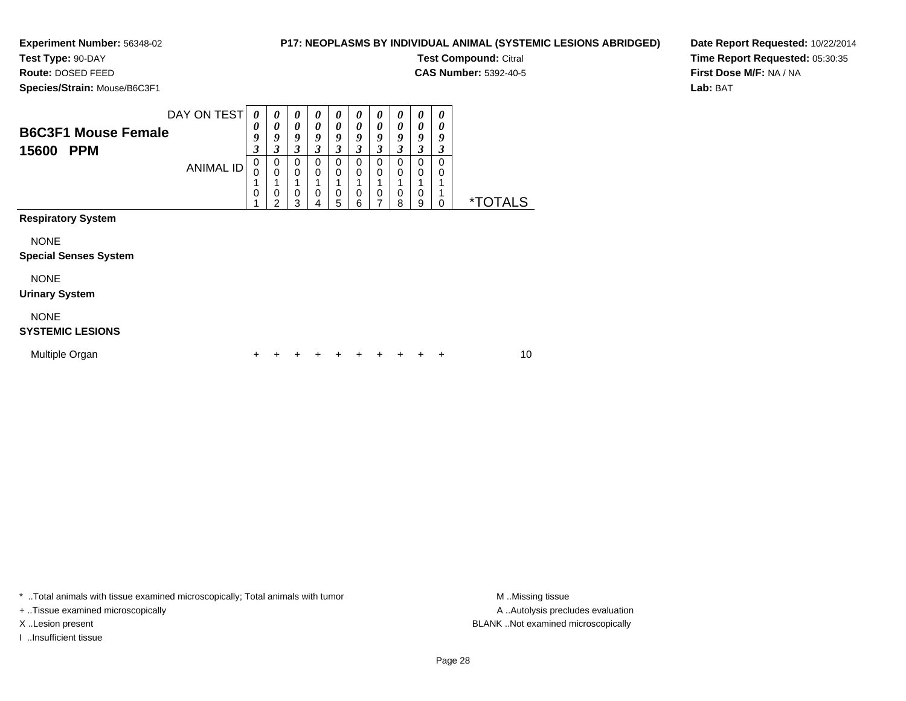# **P17: NEOPLASMS BY INDIVIDUAL ANIMAL (SYSTEMIC LESIONS ABRIDGED)Test Compound:** Citral

**CAS Number:** 5392-40-5

**Test Type:** 90-DAY**Route:** DOSED FEED

**Species/Strain:** Mouse/B6C3F1

**Date Report Requested:** 10/22/2014**Time Report Requested:** 05:30:35**First Dose M/F:** NA / NA**Lab:** BAT

| <b>B6C3F1 Mouse Female</b><br>15600<br><b>PPM</b> | DAY ON TEST<br><b>ANIMAL ID</b> | 0<br>0<br>9<br>$\overline{\mathbf{3}}$<br>0<br>0<br>$\mathbf 0$ | 0<br>$\boldsymbol{\theta}$<br>9<br>3<br>0<br>$\mathbf 0$<br>$\mathbf 0$<br>$\mathfrak{p}$ | 0<br>0<br>9<br>3<br>0<br>$\mathbf 0$<br>0<br>3 | 0<br>0<br>9<br>3<br>$\Omega$<br>0<br>0<br>4 | 0<br>0<br>9<br>3<br>0<br>0<br>0<br>5 | 0<br>0<br>9<br>3<br>0<br>0<br>$\mathbf 0$<br>6 | $\boldsymbol{\theta}$<br>0<br>9<br>3<br>0<br>0<br>$\mathbf 0$<br>7 | $\boldsymbol{\theta}$<br>$\boldsymbol{\theta}$<br>9<br>3<br>0<br>0<br>$\mathbf 0$<br>8 | $\boldsymbol{\theta}$<br>0<br>9<br>3<br>$\Omega$<br>$\mathbf 0$<br>0<br>9 | 0<br>0<br>9<br>3<br>0<br>0<br>0 | <i><b>*TOTALS</b></i> |  |
|---------------------------------------------------|---------------------------------|-----------------------------------------------------------------|-------------------------------------------------------------------------------------------|------------------------------------------------|---------------------------------------------|--------------------------------------|------------------------------------------------|--------------------------------------------------------------------|----------------------------------------------------------------------------------------|---------------------------------------------------------------------------|---------------------------------|-----------------------|--|
| <b>Respiratory System</b>                         |                                 |                                                                 |                                                                                           |                                                |                                             |                                      |                                                |                                                                    |                                                                                        |                                                                           |                                 |                       |  |
| <b>NONE</b><br><b>Special Senses System</b>       |                                 |                                                                 |                                                                                           |                                                |                                             |                                      |                                                |                                                                    |                                                                                        |                                                                           |                                 |                       |  |
| <b>NONE</b><br><b>Urinary System</b>              |                                 |                                                                 |                                                                                           |                                                |                                             |                                      |                                                |                                                                    |                                                                                        |                                                                           |                                 |                       |  |
| <b>NONE</b><br><b>SYSTEMIC LESIONS</b>            |                                 |                                                                 |                                                                                           |                                                |                                             |                                      |                                                |                                                                    |                                                                                        |                                                                           |                                 |                       |  |
| Multiple Organ                                    |                                 |                                                                 |                                                                                           |                                                |                                             |                                      | ٠                                              | +                                                                  |                                                                                        |                                                                           | ٠                               | 10                    |  |

\* ..Total animals with tissue examined microscopically; Total animals with tumor **M** . Missing tissue M ..Missing tissue

+ ..Tissue examined microscopically

I ..Insufficient tissue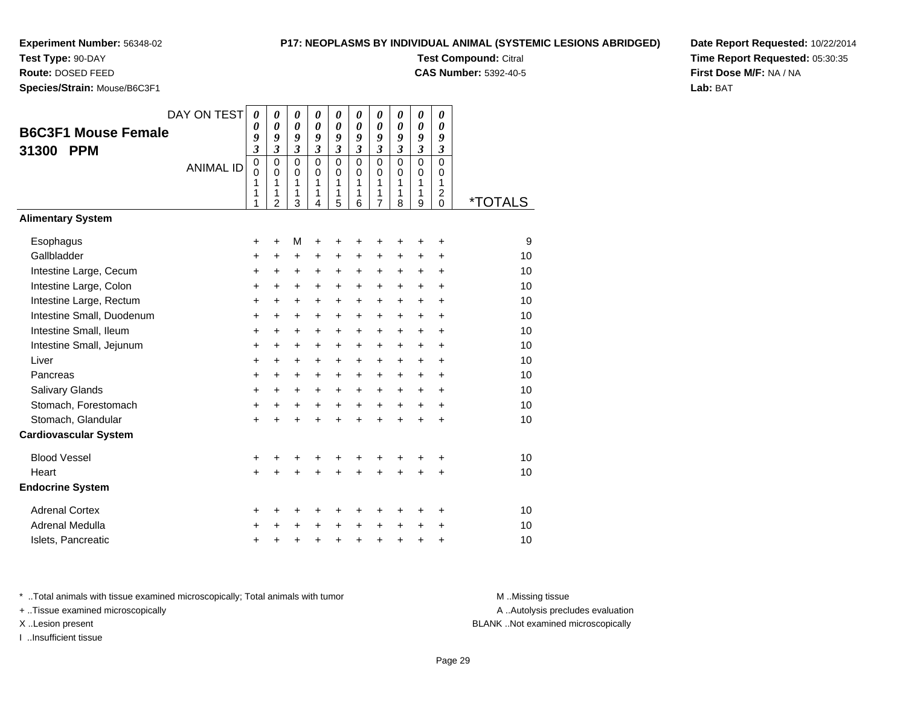**Test Type:** 90-DAY

**Route:** DOSED FEED

**Species/Strain:** Mouse/B6C3F1

#### **P17: NEOPLASMS BY INDIVIDUAL ANIMAL (SYSTEMIC LESIONS ABRIDGED)**

**Test Compound:** Citral

**CAS Number:** 5392-40-5

**Date Report Requested:** 10/22/2014**Time Report Requested:** 05:30:35**First Dose M/F:** NA / NA**Lab:** BAT

|                              | DAY ON TEST      | $\theta$                | 0                          | $\boldsymbol{\theta}$      | 0                          | 0                       | 0              | 0                           | 0              | 0                          | 0                            |                       |
|------------------------------|------------------|-------------------------|----------------------------|----------------------------|----------------------------|-------------------------|----------------|-----------------------------|----------------|----------------------------|------------------------------|-----------------------|
| <b>B6C3F1 Mouse Female</b>   |                  | 0<br>9                  | $\boldsymbol{\theta}$<br>9 | $\boldsymbol{\theta}$<br>9 | $\boldsymbol{\theta}$<br>9 | 0<br>9                  | 0<br>9         | 0<br>9                      | 0<br>9         | $\boldsymbol{\theta}$<br>9 | 0<br>9                       |                       |
| 31300<br><b>PPM</b>          |                  | $\overline{\mathbf{3}}$ | $\mathfrak{z}$             | $\overline{\mathbf{3}}$    | $\overline{\mathbf{3}}$    | $\overline{\mathbf{3}}$ | $\mathfrak{z}$ | $\boldsymbol{\beta}$        | $\mathfrak{z}$ | $\overline{\mathbf{3}}$    | $\overline{\mathbf{3}}$      |                       |
|                              | <b>ANIMAL ID</b> | $\mathbf 0$             | $\Omega$                   | $\Omega$                   | $\mathbf{0}$               | $\mathbf 0$             | $\Omega$       | $\Omega$                    | $\Omega$       | $\mathbf 0$                | $\mathbf 0$                  |                       |
|                              |                  | 0<br>1                  | 0<br>$\mathbf{1}$          | 0<br>1                     | 0<br>1                     | 0<br>1                  | $\Omega$<br>1  | $\mathbf 0$<br>$\mathbf{1}$ | $\Omega$<br>1  | 0<br>1                     | 0<br>$\mathbf{1}$            |                       |
|                              |                  | 1<br>1                  | 1<br>$\overline{2}$        | 1<br>3                     | 1<br>4                     | 1<br>5                  | 1<br>6         | 1<br>$\overline{7}$         | 1<br>8         | 1<br>9                     | $\overline{\mathbf{c}}$<br>0 | <i><b>*TOTALS</b></i> |
| <b>Alimentary System</b>     |                  |                         |                            |                            |                            |                         |                |                             |                |                            |                              |                       |
| Esophagus                    |                  | +                       | $\ddot{}$                  | M                          | +                          | +                       | +              | +                           | +              | +                          | +                            | 9                     |
| Gallbladder                  |                  | +                       | +                          | +                          | +                          | +                       | +              | +                           | +              | +                          | +                            | 10                    |
| Intestine Large, Cecum       |                  | $\ddot{}$               | $\ddot{}$                  | $\ddot{}$                  | $\ddot{}$                  | $\ddot{}$               | +              | +                           | $\ddot{}$      | $\ddot{}$                  | $\ddot{}$                    | 10                    |
| Intestine Large, Colon       |                  | +                       | $\ddot{}$                  | $\ddot{}$                  | +                          | +                       | $\pm$          | $\ddot{}$                   | $\ddot{}$      | $\ddot{}$                  | +                            | 10                    |
| Intestine Large, Rectum      |                  | $\ddot{}$               | $\ddot{}$                  | $\ddot{}$                  | $\ddot{}$                  | $\ddot{}$               | +              | $\ddot{}$                   | $\ddot{}$      | $\ddot{}$                  | $\ddot{}$                    | 10                    |
| Intestine Small, Duodenum    |                  | +                       | $\ddot{}$                  | $\ddot{}$                  | +                          | +                       | +              | +                           | +              | +                          | +                            | 10                    |
| Intestine Small, Ileum       |                  | $\pmb{+}$               | $\ddot{}$                  | $\ddot{}$                  | $\ddot{}$                  | $\ddot{}$               | +              | $\ddot{}$                   | $\ddot{}$      | $\ddot{}$                  | $\ddot{}$                    | 10                    |
| Intestine Small, Jejunum     |                  | +                       | $\ddot{}$                  | $\ddot{}$                  | $\ddot{}$                  | +                       | +              | +                           | +              | +                          | +                            | 10                    |
| Liver                        |                  | $\ddot{}$               | $\ddot{}$                  | $\ddot{}$                  | $\ddot{}$                  | $\ddot{}$               | $\ddot{}$      | $\ddot{}$                   | $\ddot{}$      | $\ddot{}$                  | $\ddot{}$                    | 10                    |
| Pancreas                     |                  | +                       | +                          | $\ddot{}$                  | +                          | +                       | +              | +                           | +              | $\ddot{}$                  | $\pm$                        | 10                    |
| Salivary Glands              |                  | $\ddot{}$               | $\ddot{}$                  | $\ddot{}$                  | $\ddot{}$                  | $\ddot{}$               | $\ddot{}$      | $\ddot{}$                   | $\ddot{}$      | $\ddot{}$                  | $\ddot{}$                    | 10                    |
| Stomach, Forestomach         |                  | +                       | $\ddot{}$                  | $\ddot{}$                  | $\ddot{}$                  | $\ddot{}$               | $\ddot{}$      | $\ddot{}$                   | $\ddot{}$      | $\ddot{}$                  | +                            | 10                    |
| Stomach, Glandular           |                  | $\ddot{}$               |                            | $\ddot{}$                  | ÷                          | $\ddot{}$               | ÷              | $\ddot{}$                   | $\ddot{}$      | $\ddot{}$                  | $\ddot{}$                    | 10                    |
| <b>Cardiovascular System</b> |                  |                         |                            |                            |                            |                         |                |                             |                |                            |                              |                       |
| <b>Blood Vessel</b>          |                  | +                       | +                          | +                          | +                          | +                       | +              | +                           | +              | +                          | +                            | 10                    |
| Heart                        |                  | $\ddot{}$               |                            | $\ddot{}$                  |                            | $\ddot{}$               | $\ddot{}$      | $\ddot{}$                   | $\ddot{}$      | $\ddot{}$                  | $\ddot{}$                    | 10                    |
| <b>Endocrine System</b>      |                  |                         |                            |                            |                            |                         |                |                             |                |                            |                              |                       |
| <b>Adrenal Cortex</b>        |                  | +                       | +                          | +                          | +                          | +                       | +              | +                           | ٠              | +                          | +                            | 10                    |
| Adrenal Medulla              |                  | +                       | ÷                          | $\ddot{}$                  | $\ddot{}$                  | +                       | $\ddot{}$      | $\ddot{}$                   | $\ddot{}$      | $\ddot{}$                  | $\div$                       | 10                    |
| Islets, Pancreatic           |                  | +                       | +                          | +                          | $\ddot{}$                  | +                       | $\pmb{+}$      | +                           | $\ddot{}$      | $\ddot{}$                  | +                            | 10                    |

\* ..Total animals with tissue examined microscopically; Total animals with tumor **M** . Missing tissue M ..Missing tissue

+ ..Tissue examined microscopically

X ..Lesion present BLANK ..Not examined microscopically

I ..Insufficient tissue

A ..Autolysis precludes evaluation

Page 29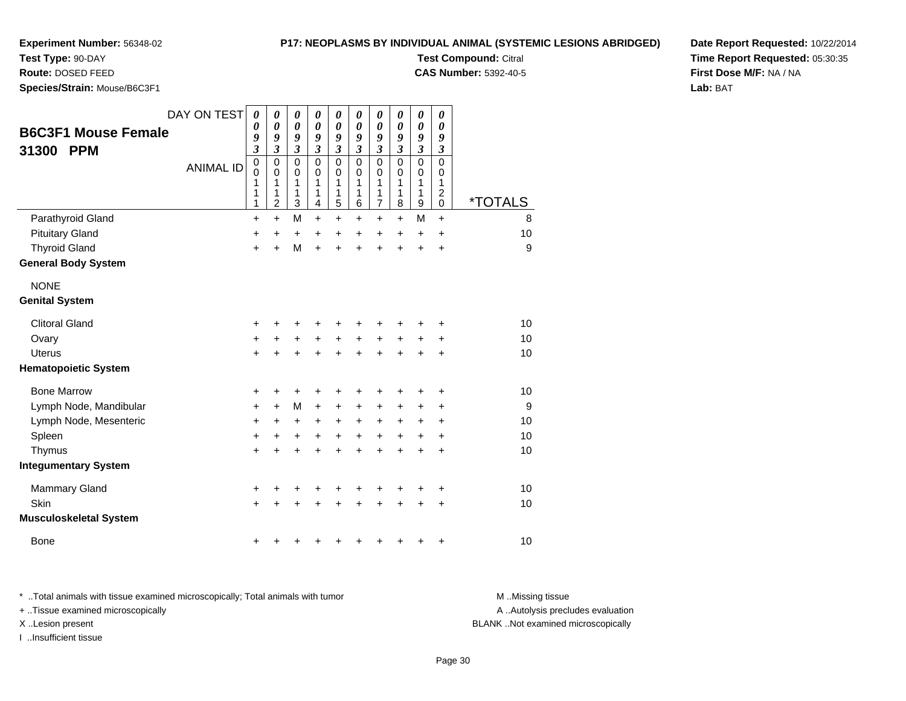# **P17: NEOPLASMS BY INDIVIDUAL ANIMAL (SYSTEMIC LESIONS ABRIDGED)**

**Test Compound:** Citral **CAS Number:** 5392-40-5

**Test Type:** 90-DAY

**Route:** DOSED FEED

**Species/Strain:** Mouse/B6C3F1

| <b>B6C3F1 Mouse Female</b><br>31300<br><b>PPM</b><br>Parathyroid Gland | DAY ON TEST<br><b>ANIMAL ID</b> | $\boldsymbol{\theta}$<br>0<br>9<br>$\overline{\mathbf{3}}$<br>0<br>0<br>1<br>1<br>1<br>+ | 0<br>0<br>9<br>$\overline{\mathbf{3}}$<br>$\mathbf 0$<br>0<br>$\mathbf{1}$<br>1<br>$\overline{2}$<br>$\ddot{}$ | 0<br>0<br>9<br>$\mathfrak{z}$<br>$\mathbf 0$<br>$\mathbf 0$<br>$\mathbf{1}$<br>1<br>3<br>M | 0<br>0<br>9<br>3<br>$\mathbf 0$<br>0<br>$\mathbf{1}$<br>1<br>$\overline{4}$<br>$\ddot{}$ | 0<br>$\boldsymbol{\theta}$<br>9<br>$\boldsymbol{\beta}$<br>$\mathbf 0$<br>0<br>1<br>1<br>5<br>$\ddot{}$ | 0<br>0<br>9<br>$\mathfrak{z}$<br>$\mathbf 0$<br>0<br>$\mathbf{1}$<br>1<br>6<br>+ | $\pmb{\theta}$<br>0<br>9<br>$\mathfrak{z}$<br>$\mathbf 0$<br>0<br>1<br>1<br>7<br>+ | $\boldsymbol{\theta}$<br>$\boldsymbol{\theta}$<br>9<br>$\mathfrak{z}$<br>$\mathbf 0$<br>0<br>1<br>1<br>8<br>$\ddot{}$ | $\boldsymbol{\theta}$<br>$\boldsymbol{\theta}$<br>9<br>$\mathfrak{z}$<br>$\mathbf 0$<br>0<br>1<br>1<br>9<br>M | 0<br>$\boldsymbol{\theta}$<br>9<br>$\boldsymbol{\beta}$<br>$\mathbf 0$<br>0<br>1<br>$\overline{c}$<br>$\mathbf 0$<br>$\ddot{}$ | <i><b>*TOTALS</b></i><br>8 |
|------------------------------------------------------------------------|---------------------------------|------------------------------------------------------------------------------------------|----------------------------------------------------------------------------------------------------------------|--------------------------------------------------------------------------------------------|------------------------------------------------------------------------------------------|---------------------------------------------------------------------------------------------------------|----------------------------------------------------------------------------------|------------------------------------------------------------------------------------|-----------------------------------------------------------------------------------------------------------------------|---------------------------------------------------------------------------------------------------------------|--------------------------------------------------------------------------------------------------------------------------------|----------------------------|
| <b>Pituitary Gland</b>                                                 |                                 | $\ddot{}$                                                                                | $\ddot{}$                                                                                                      | $\ddot{}$                                                                                  | +                                                                                        | +                                                                                                       | +                                                                                | +                                                                                  | $\ddot{}$                                                                                                             | $\ddot{}$                                                                                                     | +                                                                                                                              | 10                         |
| <b>Thyroid Gland</b>                                                   |                                 | $\ddot{}$                                                                                | $\ddot{}$                                                                                                      | M                                                                                          | $\ddot{}$                                                                                | $\ddot{}$                                                                                               | $\ddot{}$                                                                        | Ŧ.                                                                                 | $\ddot{}$                                                                                                             | $\ddot{}$                                                                                                     | $\ddot{}$                                                                                                                      | 9                          |
| <b>General Body System</b>                                             |                                 |                                                                                          |                                                                                                                |                                                                                            |                                                                                          |                                                                                                         |                                                                                  |                                                                                    |                                                                                                                       |                                                                                                               |                                                                                                                                |                            |
| <b>NONE</b><br><b>Genital System</b>                                   |                                 |                                                                                          |                                                                                                                |                                                                                            |                                                                                          |                                                                                                         |                                                                                  |                                                                                    |                                                                                                                       |                                                                                                               |                                                                                                                                |                            |
| <b>Clitoral Gland</b>                                                  |                                 | ٠                                                                                        |                                                                                                                | +                                                                                          | ٠                                                                                        |                                                                                                         | ٠                                                                                | +                                                                                  | +                                                                                                                     | +                                                                                                             | +                                                                                                                              | 10                         |
| Ovary                                                                  |                                 | $\ddot{}$                                                                                | +                                                                                                              | $\ddot{}$                                                                                  | +                                                                                        | $\ddot{}$                                                                                               | +                                                                                | $\ddot{}$                                                                          | +                                                                                                                     |                                                                                                               | +                                                                                                                              | 10                         |
| <b>Uterus</b>                                                          |                                 | $\ddot{}$                                                                                |                                                                                                                | +                                                                                          | $\ddot{}$                                                                                | $\ddot{}$                                                                                               | $\ddot{}$                                                                        | $\ddot{}$                                                                          | $\ddot{}$                                                                                                             | $\ddot{}$                                                                                                     | +                                                                                                                              | 10                         |
| <b>Hematopoietic System</b>                                            |                                 |                                                                                          |                                                                                                                |                                                                                            |                                                                                          |                                                                                                         |                                                                                  |                                                                                    |                                                                                                                       |                                                                                                               |                                                                                                                                |                            |
| <b>Bone Marrow</b>                                                     |                                 | +                                                                                        | +                                                                                                              | +                                                                                          | +                                                                                        | +                                                                                                       | +                                                                                | +                                                                                  | +                                                                                                                     | +                                                                                                             | +                                                                                                                              | 10                         |
| Lymph Node, Mandibular                                                 |                                 | $\ddot{}$                                                                                | $\ddot{}$                                                                                                      | M                                                                                          | $\ddot{}$                                                                                | $\ddot{}$                                                                                               | $\ddot{}$                                                                        | $\ddot{}$                                                                          | +                                                                                                                     | +                                                                                                             | +                                                                                                                              | 9                          |
| Lymph Node, Mesenteric                                                 |                                 | +                                                                                        | +                                                                                                              | +                                                                                          | +                                                                                        | +                                                                                                       | +                                                                                | +                                                                                  | +                                                                                                                     | +                                                                                                             | +                                                                                                                              | 10                         |
| Spleen                                                                 |                                 | $\ddot{}$                                                                                | $\ddot{}$                                                                                                      | +                                                                                          | $\ddot{}$                                                                                | $\ddot{}$                                                                                               | $\ddot{}$                                                                        | $\ddot{}$                                                                          | $\ddot{}$                                                                                                             | $\ddot{}$                                                                                                     | +                                                                                                                              | 10                         |
| Thymus                                                                 |                                 | $\ddot{}$                                                                                | +                                                                                                              | +                                                                                          | +                                                                                        | +                                                                                                       | $\ddot{}$                                                                        | $\ddot{}$                                                                          | $\ddot{}$                                                                                                             | $\ddot{}$                                                                                                     | +                                                                                                                              | 10                         |
| <b>Integumentary System</b>                                            |                                 |                                                                                          |                                                                                                                |                                                                                            |                                                                                          |                                                                                                         |                                                                                  |                                                                                    |                                                                                                                       |                                                                                                               |                                                                                                                                |                            |
| Mammary Gland                                                          |                                 | +                                                                                        |                                                                                                                |                                                                                            |                                                                                          |                                                                                                         | +                                                                                | +                                                                                  | +                                                                                                                     |                                                                                                               | +                                                                                                                              | 10                         |
| Skin                                                                   |                                 | $\ddot{}$                                                                                |                                                                                                                | +                                                                                          | +                                                                                        |                                                                                                         | +                                                                                |                                                                                    | +                                                                                                                     |                                                                                                               | +                                                                                                                              | 10                         |
| <b>Musculoskeletal System</b>                                          |                                 |                                                                                          |                                                                                                                |                                                                                            |                                                                                          |                                                                                                         |                                                                                  |                                                                                    |                                                                                                                       |                                                                                                               |                                                                                                                                |                            |
| <b>Bone</b>                                                            |                                 |                                                                                          |                                                                                                                |                                                                                            |                                                                                          |                                                                                                         |                                                                                  |                                                                                    |                                                                                                                       |                                                                                                               | +                                                                                                                              | 10                         |

**Date Report Requested:** 10/22/2014**Time Report Requested:** 05:30:35**First Dose M/F:** NA / NA**Lab:** BAT

\* ..Total animals with tissue examined microscopically; Total animals with tumor **M** . Missing tissue M ..Missing tissue + ..Tissue examined microscopically X ..Lesion present BLANK ..Not examined microscopically

I ..Insufficient tissue

A ..Autolysis precludes evaluation